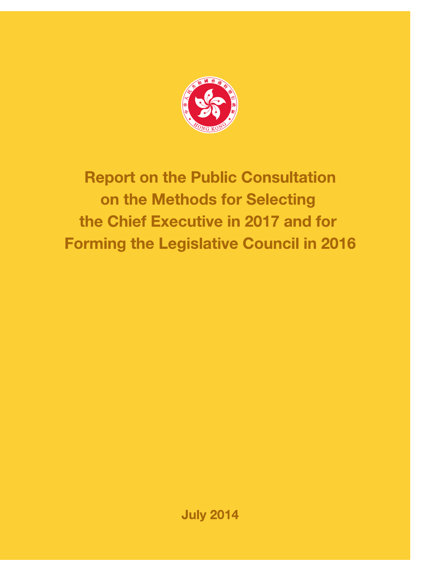

# **Report on the Public Consultation** on the Methods for Selecting the Chief Executive in 2017 and for **Forming the Legislative Council in 2016**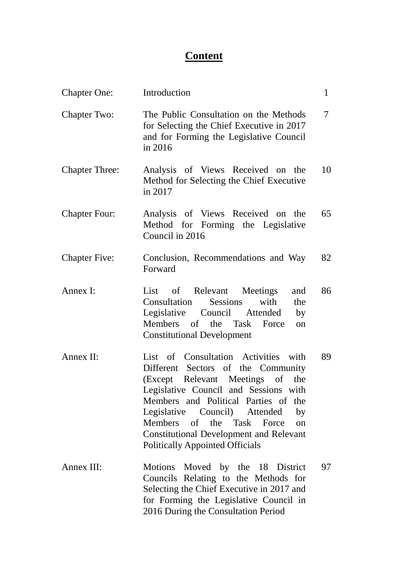# **Content**

| <b>Chapter One:</b>   | Introduction                                                                                                                                                                                                                                                                                                                                                          | $\mathbf{1}$ |
|-----------------------|-----------------------------------------------------------------------------------------------------------------------------------------------------------------------------------------------------------------------------------------------------------------------------------------------------------------------------------------------------------------------|--------------|
| <b>Chapter Two:</b>   | The Public Consultation on the Methods<br>for Selecting the Chief Executive in 2017<br>and for Forming the Legislative Council<br>in 2016                                                                                                                                                                                                                             | 7            |
| <b>Chapter Three:</b> | Analysis of Views Received on the<br>Method for Selecting the Chief Executive<br>in 2017                                                                                                                                                                                                                                                                              | 10           |
| <b>Chapter Four:</b>  | Analysis of Views Received on the<br>Method for Forming the Legislative<br>Council in 2016                                                                                                                                                                                                                                                                            | 65           |
| <b>Chapter Five:</b>  | Conclusion, Recommendations and Way<br>Forward                                                                                                                                                                                                                                                                                                                        | 82           |
| Annex I:              | of Relevant Meetings<br>List<br>and<br><b>Consultation</b> Sessions<br>with<br>the<br>Legislative Council Attended<br>by<br>Members of the Task<br>Force<br>on<br><b>Constitutional Development</b>                                                                                                                                                                   | 86           |
| Annex II:             | List of Consultation Activities with<br>Different Sectors of the Community<br>(Except Relevant Meetings of the<br>Legislative Council and Sessions with<br>Members and Political Parties of the<br>Legislative Council) Attended<br>by<br>Members of the Task Force<br>on<br><b>Constitutional Development and Relevant</b><br><b>Politically Appointed Officials</b> | 89           |
| Annex III:            | Motions Moved by the 18 District<br>Councils Relating to the Methods for<br>Selecting the Chief Executive in 2017 and<br>for Forming the Legislative Council in<br>2016 During the Consultation Period                                                                                                                                                                | 97           |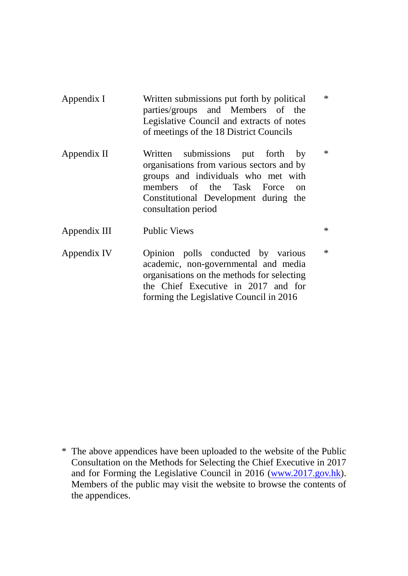| Appendix I   | Written submissions put forth by political<br>parties/groups and Members of the<br>Legislative Council and extracts of notes<br>of meetings of the 18 District Councils                                                       | $\ast$ |
|--------------|-------------------------------------------------------------------------------------------------------------------------------------------------------------------------------------------------------------------------------|--------|
| Appendix II  | Written submissions put forth by<br>organisations from various sectors and by<br>groups and individuals who met with<br>members of the Task Force<br>$\Omega$<br>Constitutional Development during the<br>consultation period | $\ast$ |
| Appendix III | <b>Public Views</b>                                                                                                                                                                                                           | $\ast$ |

Appendix IV Opinion polls conducted by various academic, non-governmental and media organisations on the methods for selecting the Chief Executive in 2017 and for forming the Legislative Council in 2016

\*

<sup>\*</sup> The above appendices have been uploaded to the website of the Public Consultation on the Methods for Selecting the Chief Executive in 2017 and for Forming the Legislative Council in 2016 [\(www.2017.gov.hk\)](http://www.2017.gov.hk/). Members of the public may visit the website to browse the contents of the appendices.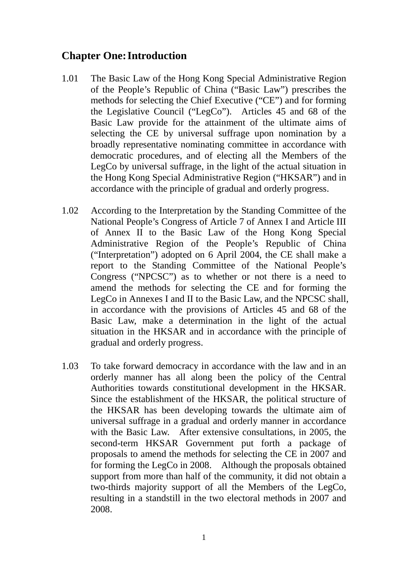# <span id="page-3-0"></span>**Chapter One:Introduction**

- 1.01 The Basic Law of the Hong Kong Special Administrative Region of the People's Republic of China ("Basic Law") prescribes the methods for selecting the Chief Executive ("CE") and for forming the Legislative Council ("LegCo"). Articles 45 and 68 of the Basic Law provide for the attainment of the ultimate aims of selecting the CE by universal suffrage upon nomination by a broadly representative nominating committee in accordance with democratic procedures, and of electing all the Members of the LegCo by universal suffrage, in the light of the actual situation in the Hong Kong Special Administrative Region ("HKSAR") and in accordance with the principle of gradual and orderly progress.
- 1.02 According to the Interpretation by the Standing Committee of the National People's Congress of Article 7 of Annex I and Article III of Annex II to the Basic Law of the Hong Kong Special Administrative Region of the People's Republic of China ("Interpretation") adopted on 6 April 2004, the CE shall make a report to the Standing Committee of the National People's Congress ("NPCSC") as to whether or not there is a need to amend the methods for selecting the CE and for forming the LegCo in Annexes I and II to the Basic Law, and the NPCSC shall, in accordance with the provisions of Articles 45 and 68 of the Basic Law, make a determination in the light of the actual situation in the HKSAR and in accordance with the principle of gradual and orderly progress.
- 1.03 To take forward democracy in accordance with the law and in an orderly manner has all along been the policy of the Central Authorities towards constitutional development in the HKSAR. Since the establishment of the HKSAR, the political structure of the HKSAR has been developing towards the ultimate aim of universal suffrage in a gradual and orderly manner in accordance with the Basic Law. After extensive consultations, in 2005, the second-term HKSAR Government put forth a package of proposals to amend the methods for selecting the CE in 2007 and for forming the LegCo in 2008. Although the proposals obtained support from more than half of the community, it did not obtain a two-thirds majority support of all the Members of the LegCo, resulting in a standstill in the two electoral methods in 2007 and 2008.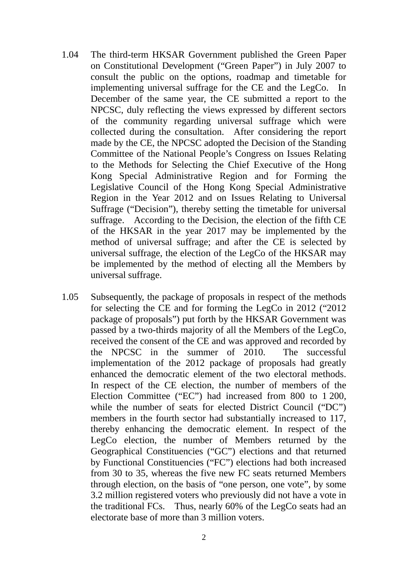- 1.04 The third-term HKSAR Government published the Green Paper on Constitutional Development ("Green Paper") in July 2007 to consult the public on the options, roadmap and timetable for implementing universal suffrage for the CE and the LegCo. In December of the same year, the CE submitted a report to the NPCSC, duly reflecting the views expressed by different sectors of the community regarding universal suffrage which were collected during the consultation. After considering the report made by the CE, the NPCSC adopted the Decision of the Standing Committee of the National People's Congress on Issues Relating to the Methods for Selecting the Chief Executive of the Hong Kong Special Administrative Region and for Forming the Legislative Council of the Hong Kong Special Administrative Region in the Year 2012 and on Issues Relating to Universal Suffrage ("Decision"), thereby setting the timetable for universal suffrage. According to the Decision, the election of the fifth CE of the HKSAR in the year 2017 may be implemented by the method of universal suffrage; and after the CE is selected by universal suffrage, the election of the LegCo of the HKSAR may be implemented by the method of electing all the Members by universal suffrage.
- 1.05 Subsequently, the package of proposals in respect of the methods for selecting the CE and for forming the LegCo in 2012 ("2012 package of proposals") put forth by the HKSAR Government was passed by a two-thirds majority of all the Members of the LegCo, received the consent of the CE and was approved and recorded by the NPCSC in the summer of 2010. The successful implementation of the 2012 package of proposals had greatly enhanced the democratic element of the two electoral methods. In respect of the CE election, the number of members of the Election Committee ("EC") had increased from 800 to 1 200, while the number of seats for elected District Council ("DC") members in the fourth sector had substantially increased to 117, thereby enhancing the democratic element. In respect of the LegCo election, the number of Members returned by the Geographical Constituencies ("GC") elections and that returned by Functional Constituencies ("FC") elections had both increased from 30 to 35, whereas the five new FC seats returned Members through election, on the basis of "one person, one vote", by some 3.2 million registered voters who previously did not have a vote in the traditional FCs. Thus, nearly 60% of the LegCo seats had an electorate base of more than 3 million voters.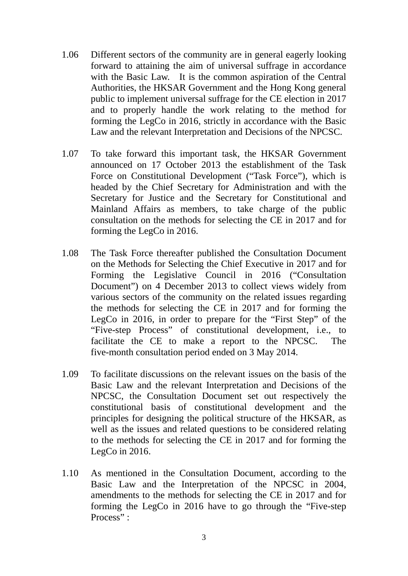- 1.06 Different sectors of the community are in general eagerly looking forward to attaining the aim of universal suffrage in accordance with the Basic Law. It is the common aspiration of the Central Authorities, the HKSAR Government and the Hong Kong general public to implement universal suffrage for the CE election in 2017 and to properly handle the work relating to the method for forming the LegCo in 2016, strictly in accordance with the Basic Law and the relevant Interpretation and Decisions of the NPCSC.
- 1.07 To take forward this important task, the HKSAR Government announced on 17 October 2013 the establishment of the Task Force on Constitutional Development ("Task Force"), which is headed by the Chief Secretary for Administration and with the Secretary for Justice and the Secretary for Constitutional and Mainland Affairs as members, to take charge of the public consultation on the methods for selecting the CE in 2017 and for forming the LegCo in 2016.
- 1.08 The Task Force thereafter published the Consultation Document on the Methods for Selecting the Chief Executive in 2017 and for Forming the Legislative Council in 2016 ("Consultation Document") on 4 December 2013 to collect views widely from various sectors of the community on the related issues regarding the methods for selecting the CE in 2017 and for forming the LegCo in 2016, in order to prepare for the "First Step" of the "Five-step Process" of constitutional development, i.e., to facilitate the CE to make a report to the NPCSC. The five-month consultation period ended on 3 May 2014.
- 1.09 To facilitate discussions on the relevant issues on the basis of the Basic Law and the relevant Interpretation and Decisions of the NPCSC, the Consultation Document set out respectively the constitutional basis of constitutional development and the principles for designing the political structure of the HKSAR, as well as the issues and related questions to be considered relating to the methods for selecting the CE in 2017 and for forming the LegCo in 2016.
- 1.10 As mentioned in the Consultation Document, according to the Basic Law and the Interpretation of the NPCSC in 2004, amendments to the methods for selecting the CE in 2017 and for forming the LegCo in 2016 have to go through the "Five-step Process" :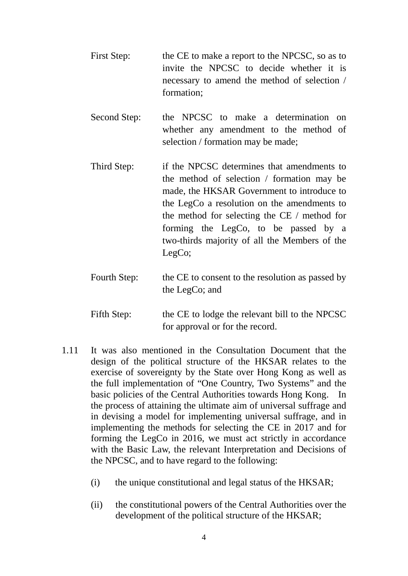- First Step: the CE to make a report to the NPCSC, so as to invite the NPCSC to decide whether it is necessary to amend the method of selection / formation;
- Second Step: the NPCSC to make a determination on whether any amendment to the method of selection / formation may be made;
- Third Step: if the NPCSC determines that amendments to the method of selection / formation may be made, the HKSAR Government to introduce to the LegCo a resolution on the amendments to the method for selecting the CE / method for forming the LegCo, to be passed by a two-thirds majority of all the Members of the LegCo;
- Fourth Step: the CE to consent to the resolution as passed by the LegCo; and
- Fifth Step: the CE to lodge the relevant bill to the NPCSC for approval or for the record.
- 1.11 It was also mentioned in the Consultation Document that the design of the political structure of the HKSAR relates to the exercise of sovereignty by the State over Hong Kong as well as the full implementation of "One Country, Two Systems" and the basic policies of the Central Authorities towards Hong Kong. In the process of attaining the ultimate aim of universal suffrage and in devising a model for implementing universal suffrage, and in implementing the methods for selecting the CE in 2017 and for forming the LegCo in 2016, we must act strictly in accordance with the Basic Law, the relevant Interpretation and Decisions of the NPCSC, and to have regard to the following:
	- (i) the unique constitutional and legal status of the HKSAR;
	- (ii) the constitutional powers of the Central Authorities over the development of the political structure of the HKSAR;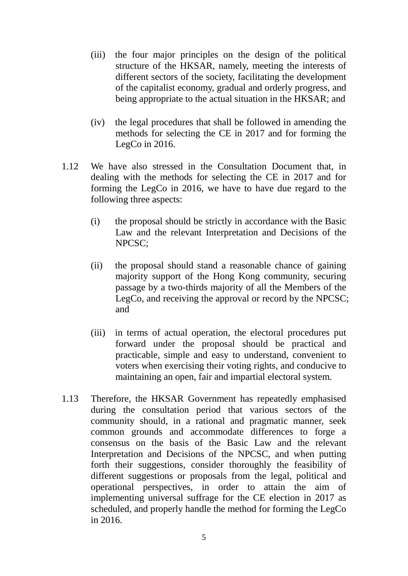- (iii) the four major principles on the design of the political structure of the HKSAR, namely, meeting the interests of different sectors of the society, facilitating the development of the capitalist economy, gradual and orderly progress, and being appropriate to the actual situation in the HKSAR; and
- (iv) the legal procedures that shall be followed in amending the methods for selecting the CE in 2017 and for forming the LegCo in 2016.
- 1.12 We have also stressed in the Consultation Document that, in dealing with the methods for selecting the CE in 2017 and for forming the LegCo in 2016, we have to have due regard to the following three aspects:
	- (i) the proposal should be strictly in accordance with the Basic Law and the relevant Interpretation and Decisions of the NPCSC;
	- (ii) the proposal should stand a reasonable chance of gaining majority support of the Hong Kong community, securing passage by a two-thirds majority of all the Members of the LegCo, and receiving the approval or record by the NPCSC; and
	- (iii) in terms of actual operation, the electoral procedures put forward under the proposal should be practical and practicable, simple and easy to understand, convenient to voters when exercising their voting rights, and conducive to maintaining an open, fair and impartial electoral system.
- 1.13 Therefore, the HKSAR Government has repeatedly emphasised during the consultation period that various sectors of the community should, in a rational and pragmatic manner, seek common grounds and accommodate differences to forge a consensus on the basis of the Basic Law and the relevant Interpretation and Decisions of the NPCSC, and when putting forth their suggestions, consider thoroughly the feasibility of different suggestions or proposals from the legal, political and operational perspectives, in order to attain the aim of implementing universal suffrage for the CE election in 2017 as scheduled, and properly handle the method for forming the LegCo in 2016.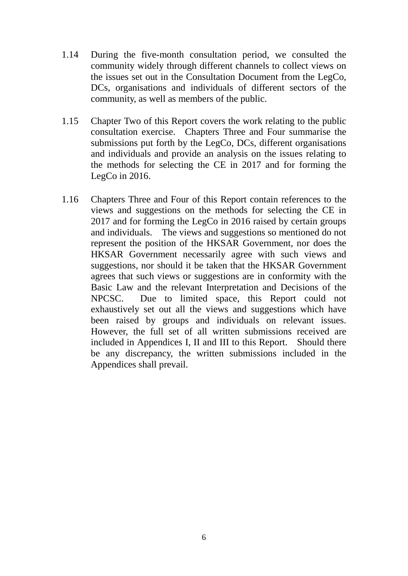- 1.14 During the five-month consultation period, we consulted the community widely through different channels to collect views on the issues set out in the Consultation Document from the LegCo, DCs, organisations and individuals of different sectors of the community, as well as members of the public.
- 1.15 Chapter Two of this Report covers the work relating to the public consultation exercise. Chapters Three and Four summarise the submissions put forth by the LegCo, DCs, different organisations and individuals and provide an analysis on the issues relating to the methods for selecting the CE in 2017 and for forming the LegCo in 2016.
- 1.16 Chapters Three and Four of this Report contain references to the views and suggestions on the methods for selecting the CE in 2017 and for forming the LegCo in 2016 raised by certain groups and individuals. The views and suggestions so mentioned do not represent the position of the HKSAR Government, nor does the HKSAR Government necessarily agree with such views and suggestions, nor should it be taken that the HKSAR Government agrees that such views or suggestions are in conformity with the Basic Law and the relevant Interpretation and Decisions of the NPCSC. Due to limited space, this Report could not exhaustively set out all the views and suggestions which have been raised by groups and individuals on relevant issues. However, the full set of all written submissions received are included in Appendices I, II and III to this Report. Should there be any discrepancy, the written submissions included in the Appendices shall prevail.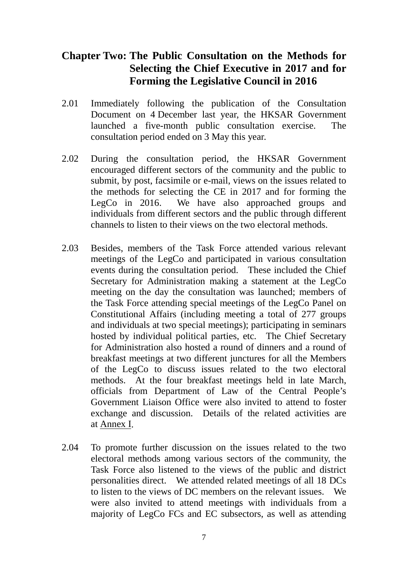# <span id="page-9-0"></span>**Chapter Two: The Public Consultation on the Methods for Selecting the Chief Executive in 2017 and for Forming the Legislative Council in 2016**

- 2.01 Immediately following the publication of the Consultation Document on 4 December last year, the HKSAR Government launched a five-month public consultation exercise. The consultation period ended on 3 May this year.
- 2.02 During the consultation period, the HKSAR Government encouraged different sectors of the community and the public to submit, by post, facsimile or e-mail, views on the issues related to the methods for selecting the CE in 2017 and for forming the LegCo in 2016. We have also approached groups and individuals from different sectors and the public through different channels to listen to their views on the two electoral methods.
- 2.03 Besides, members of the Task Force attended various relevant meetings of the LegCo and participated in various consultation events during the consultation period. These included the Chief Secretary for Administration making a statement at the LegCo meeting on the day the consultation was launched; members of the Task Force attending special meetings of the LegCo Panel on Constitutional Affairs (including meeting a total of 277 groups and individuals at two special meetings); participating in seminars hosted by individual political parties, etc. The Chief Secretary for Administration also hosted a round of dinners and a round of breakfast meetings at two different junctures for all the Members of the LegCo to discuss issues related to the two electoral methods. At the four breakfast meetings held in late March, officials from Department of Law of the Central People's Government Liaison Office were also invited to attend to foster exchange and discussion. Details of the related activities are at Annex I.
- 2.04 To promote further discussion on the issues related to the two electoral methods among various sectors of the community, the Task Force also listened to the views of the public and district personalities direct. We attended related meetings of all 18 DCs to listen to the views of DC members on the relevant issues. We were also invited to attend meetings with individuals from a majority of LegCo FCs and EC subsectors, as well as attending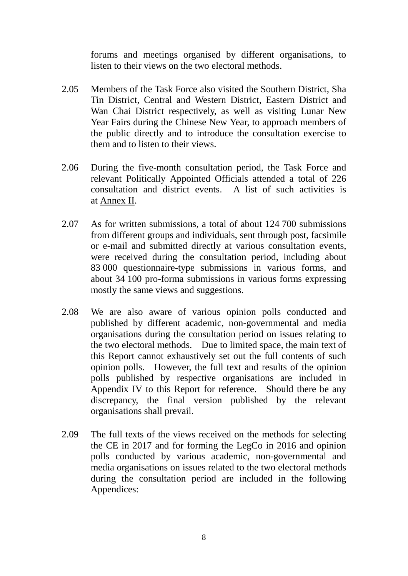forums and meetings organised by different organisations, to listen to their views on the two electoral methods.

- 2.05 Members of the Task Force also visited the Southern District, Sha Tin District, Central and Western District, Eastern District and Wan Chai District respectively, as well as visiting Lunar New Year Fairs during the Chinese New Year, to approach members of the public directly and to introduce the consultation exercise to them and to listen to their views.
- 2.06 During the five-month consultation period, the Task Force and relevant Politically Appointed Officials attended a total of 226 consultation and district events. A list of such activities is at Annex II.
- 2.07 As for written submissions, a total of about 124 700 submissions from different groups and individuals, sent through post, facsimile or e-mail and submitted directly at various consultation events, were received during the consultation period, including about 83 000 questionnaire-type submissions in various forms, and about 34 100 pro-forma submissions in various forms expressing mostly the same views and suggestions.
- 2.08 We are also aware of various opinion polls conducted and published by different academic, non-governmental and media organisations during the consultation period on issues relating to the two electoral methods. Due to limited space, the main text of this Report cannot exhaustively set out the full contents of such opinion polls. However, the full text and results of the opinion polls published by respective organisations are included in Appendix IV to this Report for reference. Should there be any discrepancy, the final version published by the relevant organisations shall prevail.
- 2.09 The full texts of the views received on the methods for selecting the CE in 2017 and for forming the LegCo in 2016 and opinion polls conducted by various academic, non-governmental and media organisations on issues related to the two electoral methods during the consultation period are included in the following Appendices: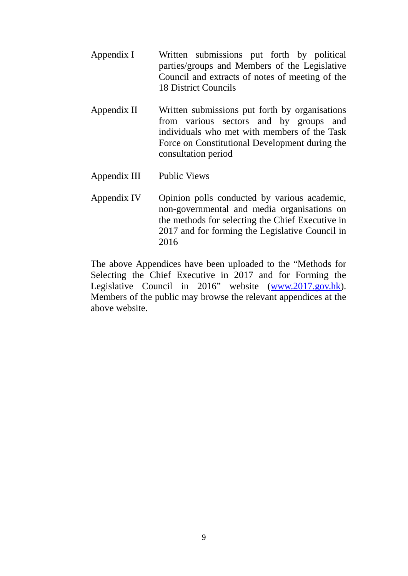- Appendix I Written submissions put forth by political parties/groups and Members of the Legislative Council and extracts of notes of meeting of the 18 District Councils
- Appendix II Written submissions put forth by organisations from various sectors and by groups and individuals who met with members of the Task Force on Constitutional Development during the consultation period
- Appendix III Public Views
- Appendix IV Opinion polls conducted by various academic, non-governmental and media organisations on the methods for selecting the Chief Executive in 2017 and for forming the Legislative Council in 2016

The above Appendices have been uploaded to the "Methods for Selecting the Chief Executive in 2017 and for Forming the Legislative Council in 2016" website [\(www.2017.gov.hk\)](http://www.2017.gov.hk/). Members of the public may browse the relevant appendices at the above website.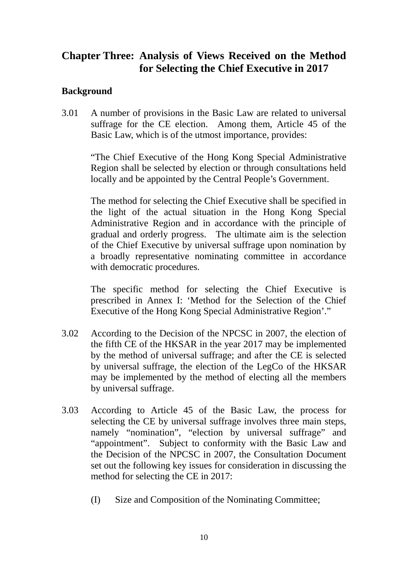# <span id="page-12-0"></span>**Chapter Three: Analysis of Views Received on the Method for Selecting the Chief Executive in 2017**

# **Background**

3.01 A number of provisions in the Basic Law are related to universal suffrage for the CE election. Among them, Article 45 of the Basic Law, which is of the utmost importance, provides:

"The Chief Executive of the Hong Kong Special Administrative Region shall be selected by election or through consultations held locally and be appointed by the Central People's Government.

The method for selecting the Chief Executive shall be specified in the light of the actual situation in the Hong Kong Special Administrative Region and in accordance with the principle of gradual and orderly progress. The ultimate aim is the selection of the Chief Executive by universal suffrage upon nomination by a broadly representative nominating committee in accordance with democratic procedures.

The specific method for selecting the Chief Executive is prescribed in Annex I: 'Method for the Selection of the Chief Executive of the Hong Kong Special Administrative Region'."

- 3.02 According to the Decision of the NPCSC in 2007, the election of the fifth CE of the HKSAR in the year 2017 may be implemented by the method of universal suffrage; and after the CE is selected by universal suffrage, the election of the LegCo of the HKSAR may be implemented by the method of electing all the members by universal suffrage.
- 3.03 According to Article 45 of the Basic Law, the process for selecting the CE by universal suffrage involves three main steps, namely "nomination", "election by universal suffrage" and "appointment". Subject to conformity with the Basic Law and the Decision of the NPCSC in 2007, the Consultation Document set out the following key issues for consideration in discussing the method for selecting the CE in 2017:
	- (I) Size and Composition of the Nominating Committee;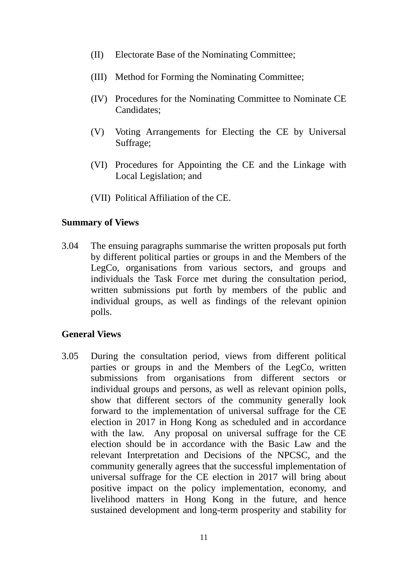- (II) Electorate Base of the Nominating Committee;
- (III) Method for Forming the Nominating Committee;
- (IV) Procedures for the Nominating Committee to Nominate CE Candidates;
- (V) Voting Arrangements for Electing the CE by Universal Suffrage;
- (VI) Procedures for Appointing the CE and the Linkage with Local Legislation; and
- (VII) Political Affiliation of the CE.

## **Summary of Views**

3.04 The ensuing paragraphs summarise the written proposals put forth by different political parties or groups in and the Members of the LegCo, organisations from various sectors, and groups and individuals the Task Force met during the consultation period, written submissions put forth by members of the public and individual groups, as well as findings of the relevant opinion polls.

# **General Views**

3.05 During the consultation period, views from different political parties or groups in and the Members of the LegCo, written submissions from organisations from different sectors or individual groups and persons, as well as relevant opinion polls, show that different sectors of the community generally look forward to the implementation of universal suffrage for the CE election in 2017 in Hong Kong as scheduled and in accordance with the law. Any proposal on universal suffrage for the CE election should be in accordance with the Basic Law and the relevant Interpretation and Decisions of the NPCSC, and the community generally agrees that the successful implementation of universal suffrage for the CE election in 2017 will bring about positive impact on the policy implementation, economy, and livelihood matters in Hong Kong in the future, and hence sustained development and long-term prosperity and stability for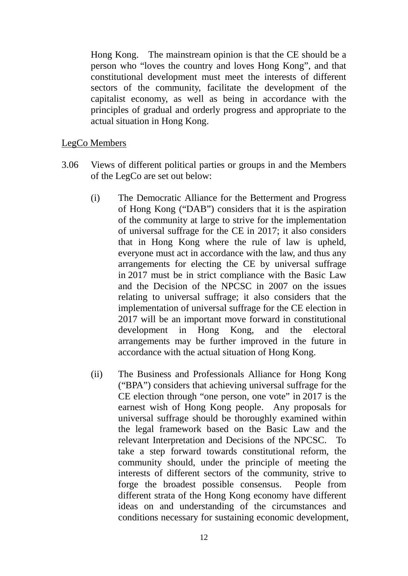Hong Kong. The mainstream opinion is that the CE should be a person who "loves the country and loves Hong Kong", and that constitutional development must meet the interests of different sectors of the community, facilitate the development of the capitalist economy, as well as being in accordance with the principles of gradual and orderly progress and appropriate to the actual situation in Hong Kong.

## LegCo Members

- 3.06 Views of different political parties or groups in and the Members of the LegCo are set out below:
	- (i) The Democratic Alliance for the Betterment and Progress of Hong Kong ("DAB") considers that it is the aspiration of the community at large to strive for the implementation of universal suffrage for the CE in 2017; it also considers that in Hong Kong where the rule of law is upheld, everyone must act in accordance with the law, and thus any arrangements for electing the CE by universal suffrage in 2017 must be in strict compliance with the Basic Law and the Decision of the NPCSC in 2007 on the issues relating to universal suffrage; it also considers that the implementation of universal suffrage for the CE election in 2017 will be an important move forward in constitutional development in Hong Kong, and the electoral arrangements may be further improved in the future in accordance with the actual situation of Hong Kong.
	- (ii) The Business and Professionals Alliance for Hong Kong ("BPA") considers that achieving universal suffrage for the CE election through "one person, one vote" in 2017 is the earnest wish of Hong Kong people. Any proposals for universal suffrage should be thoroughly examined within the legal framework based on the Basic Law and the relevant Interpretation and Decisions of the NPCSC. To take a step forward towards constitutional reform, the community should, under the principle of meeting the interests of different sectors of the community, strive to forge the broadest possible consensus. People from different strata of the Hong Kong economy have different ideas on and understanding of the circumstances and conditions necessary for sustaining economic development,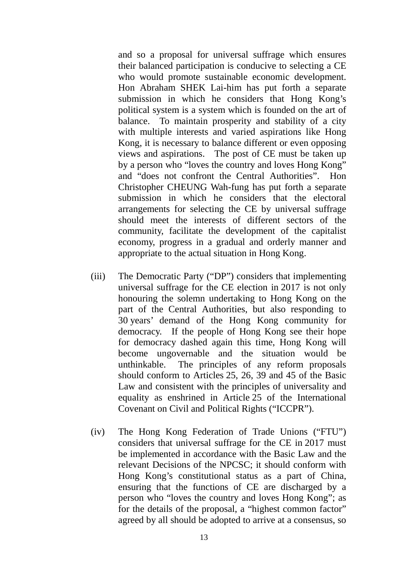and so a proposal for universal suffrage which ensures their balanced participation is conducive to selecting a CE who would promote sustainable economic development. Hon Abraham SHEK Lai-him has put forth a separate submission in which he considers that Hong Kong's political system is a system which is founded on the art of balance. To maintain prosperity and stability of a city with multiple interests and varied aspirations like Hong Kong, it is necessary to balance different or even opposing views and aspirations. The post of CE must be taken up by a person who "loves the country and loves Hong Kong" and "does not confront the Central Authorities". Hon Christopher CHEUNG Wah-fung has put forth a separate submission in which he considers that the electoral arrangements for selecting the CE by universal suffrage should meet the interests of different sectors of the community, facilitate the development of the capitalist economy, progress in a gradual and orderly manner and appropriate to the actual situation in Hong Kong.

- (iii) The Democratic Party ("DP") considers that implementing universal suffrage for the CE election in 2017 is not only honouring the solemn undertaking to Hong Kong on the part of the Central Authorities, but also responding to 30 years' demand of the Hong Kong community for democracy. If the people of Hong Kong see their hope for democracy dashed again this time, Hong Kong will become ungovernable and the situation would be unthinkable. The principles of any reform proposals should conform to Articles 25, 26, 39 and 45 of the Basic Law and consistent with the principles of universality and equality as enshrined in Article 25 of the International Covenant on Civil and Political Rights ("ICCPR").
- (iv) The Hong Kong Federation of Trade Unions ("FTU") considers that universal suffrage for the CE in 2017 must be implemented in accordance with the Basic Law and the relevant Decisions of the NPCSC; it should conform with Hong Kong's constitutional status as a part of China, ensuring that the functions of CE are discharged by a person who "loves the country and loves Hong Kong"; as for the details of the proposal, a "highest common factor" agreed by all should be adopted to arrive at a consensus, so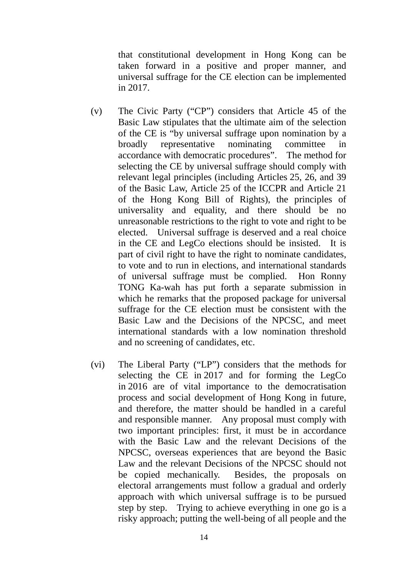that constitutional development in Hong Kong can be taken forward in a positive and proper manner, and universal suffrage for the CE election can be implemented in 2017.

- (v) The Civic Party ("CP") considers that Article 45 of the Basic Law stipulates that the ultimate aim of the selection of the CE is "by universal suffrage upon nomination by a broadly representative nominating committee in accordance with democratic procedures". The method for selecting the CE by universal suffrage should comply with relevant legal principles (including Articles 25, 26, and 39 of the Basic Law, Article 25 of the ICCPR and Article 21 of the Hong Kong Bill of Rights), the principles of universality and equality, and there should be no unreasonable restrictions to the right to vote and right to be elected. Universal suffrage is deserved and a real choice in the CE and LegCo elections should be insisted. It is part of civil right to have the right to nominate candidates, to vote and to run in elections, and international standards of universal suffrage must be complied. Hon Ronny TONG Ka-wah has put forth a separate submission in which he remarks that the proposed package for universal suffrage for the CE election must be consistent with the Basic Law and the Decisions of the NPCSC, and meet international standards with a low nomination threshold and no screening of candidates, etc.
- (vi) The Liberal Party ("LP") considers that the methods for selecting the CE in 2017 and for forming the LegCo in 2016 are of vital importance to the democratisation process and social development of Hong Kong in future, and therefore, the matter should be handled in a careful and responsible manner. Any proposal must comply with two important principles: first, it must be in accordance with the Basic Law and the relevant Decisions of the NPCSC, overseas experiences that are beyond the Basic Law and the relevant Decisions of the NPCSC should not be copied mechanically. Besides, the proposals on electoral arrangements must follow a gradual and orderly approach with which universal suffrage is to be pursued step by step. Trying to achieve everything in one go is a risky approach; putting the well-being of all people and the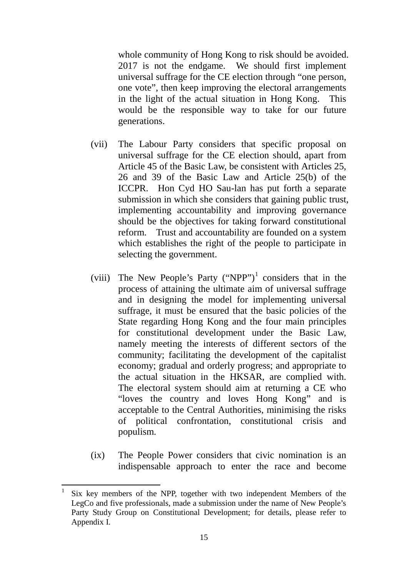whole community of Hong Kong to risk should be avoided. 2017 is not the endgame. We should first implement universal suffrage for the CE election through "one person, one vote", then keep improving the electoral arrangements in the light of the actual situation in Hong Kong. This would be the responsible way to take for our future generations.

- (vii) The Labour Party considers that specific proposal on universal suffrage for the CE election should, apart from Article 45 of the Basic Law, be consistent with Articles 25, 26 and 39 of the Basic Law and Article 25(b) of the ICCPR. Hon Cyd HO Sau-lan has put forth a separate submission in which she considers that gaining public trust, implementing accountability and improving governance should be the objectives for taking forward constitutional reform. Trust and accountability are founded on a system which establishes the right of the people to participate in selecting the government.
- (viii) The New People's Party ("NPP")<sup>[1](#page-17-0)</sup> considers that in the process of attaining the ultimate aim of universal suffrage and in designing the model for implementing universal suffrage, it must be ensured that the basic policies of the State regarding Hong Kong and the four main principles for constitutional development under the Basic Law, namely meeting the interests of different sectors of the community; facilitating the development of the capitalist economy; gradual and orderly progress; and appropriate to the actual situation in the HKSAR, are complied with. The electoral system should aim at returning a CE who "loves the country and loves Hong Kong" and is acceptable to the Central Authorities, minimising the risks of political confrontation, constitutional crisis and populism.
- (ix) The People Power considers that civic nomination is an indispensable approach to enter the race and become

<span id="page-17-0"></span>1

Six key members of the NPP, together with two independent Members of the LegCo and five professionals, made a submission under the name of New People's Party Study Group on Constitutional Development; for details, please refer to Appendix I.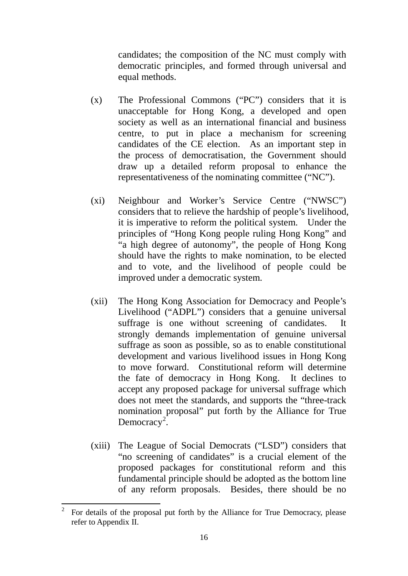candidates; the composition of the NC must comply with democratic principles, and formed through universal and equal methods.

- (x) The Professional Commons ("PC") considers that it is unacceptable for Hong Kong, a developed and open society as well as an international financial and business centre, to put in place a mechanism for screening candidates of the CE election. As an important step in the process of democratisation, the Government should draw up a detailed reform proposal to enhance the representativeness of the nominating committee ("NC").
- (xi) Neighbour and Worker's Service Centre ("NWSC") considers that to relieve the hardship of people's livelihood, it is imperative to reform the political system. Under the principles of "Hong Kong people ruling Hong Kong" and "a high degree of autonomy", the people of Hong Kong should have the rights to make nomination, to be elected and to vote, and the livelihood of people could be improved under a democratic system.
- (xii) The Hong Kong Association for Democracy and People's Livelihood ("ADPL") considers that a genuine universal suffrage is one without screening of candidates. It strongly demands implementation of genuine universal suffrage as soon as possible, so as to enable constitutional development and various livelihood issues in Hong Kong to move forward. Constitutional reform will determine the fate of democracy in Hong Kong. It declines to accept any proposed package for universal suffrage which does not meet the standards, and supports the "three-track nomination proposal" put forth by the Alliance for True Democracy<sup>[2](#page-18-0)</sup>.
- (xiii) The League of Social Democrats ("LSD") considers that "no screening of candidates" is a crucial element of the proposed packages for constitutional reform and this fundamental principle should be adopted as the bottom line of any reform proposals. Besides, there should be no

<span id="page-18-0"></span><sup>2</sup> For details of the proposal put forth by the Alliance for True Democracy, please refer to Appendix II.  $\overline{c}$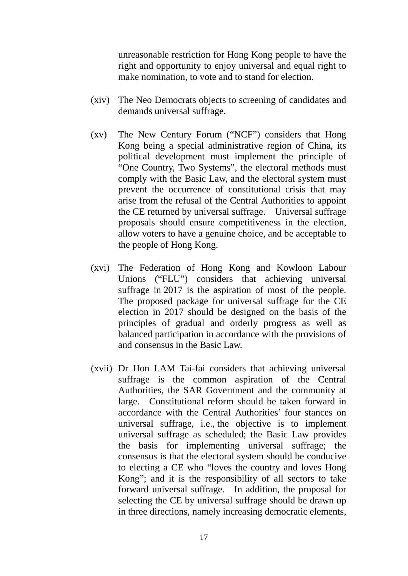unreasonable restriction for Hong Kong people to have the right and opportunity to enjoy universal and equal right to make nomination, to vote and to stand for election.

- (xiv) The Neo Democrats objects to screening of candidates and demands universal suffrage.
- (xv) The New Century Forum ("NCF") considers that Hong Kong being a special administrative region of China, its political development must implement the principle of "One Country, Two Systems", the electoral methods must comply with the Basic Law, and the electoral system must prevent the occurrence of constitutional crisis that may arise from the refusal of the Central Authorities to appoint the CE returned by universal suffrage. Universal suffrage proposals should ensure competitiveness in the election, allow voters to have a genuine choice, and be acceptable to the people of Hong Kong.
- (xvi) The Federation of Hong Kong and Kowloon Labour Unions ("FLU") considers that achieving universal suffrage in 2017 is the aspiration of most of the people. The proposed package for universal suffrage for the CE election in 2017 should be designed on the basis of the principles of gradual and orderly progress as well as balanced participation in accordance with the provisions of and consensus in the Basic Law.
- (xvii) Dr Hon LAM Tai-fai considers that achieving universal suffrage is the common aspiration of the Central Authorities, the SAR Government and the community at large. Constitutional reform should be taken forward in accordance with the Central Authorities' four stances on universal suffrage, i.e., the objective is to implement universal suffrage as scheduled; the Basic Law provides the basis for implementing universal suffrage; the consensus is that the electoral system should be conducive to electing a CE who "loves the country and loves Hong Kong"; and it is the responsibility of all sectors to take forward universal suffrage. In addition, the proposal for selecting the CE by universal suffrage should be drawn up in three directions, namely increasing democratic elements,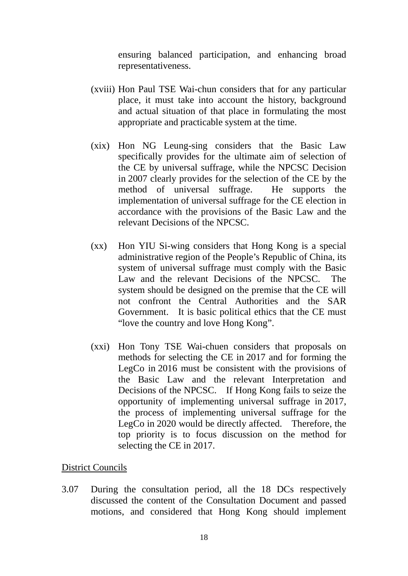ensuring balanced participation, and enhancing broad representativeness.

- (xviii) Hon Paul TSE Wai-chun considers that for any particular place, it must take into account the history, background and actual situation of that place in formulating the most appropriate and practicable system at the time.
- (xix) Hon NG Leung-sing considers that the Basic Law specifically provides for the ultimate aim of selection of the CE by universal suffrage, while the NPCSC Decision in 2007 clearly provides for the selection of the CE by the method of universal suffrage. He supports the implementation of universal suffrage for the CE election in accordance with the provisions of the Basic Law and the relevant Decisions of the NPCSC.
- (xx) Hon YIU Si-wing considers that Hong Kong is a special administrative region of the People's Republic of China, its system of universal suffrage must comply with the Basic Law and the relevant Decisions of the NPCSC. The system should be designed on the premise that the CE will not confront the Central Authorities and the SAR Government. It is basic political ethics that the CE must "love the country and love Hong Kong".
- (xxi) Hon Tony TSE Wai-chuen considers that proposals on methods for selecting the CE in 2017 and for forming the LegCo in 2016 must be consistent with the provisions of the Basic Law and the relevant Interpretation and Decisions of the NPCSC. If Hong Kong fails to seize the opportunity of implementing universal suffrage in 2017, the process of implementing universal suffrage for the LegCo in 2020 would be directly affected. Therefore, the top priority is to focus discussion on the method for selecting the CE in 2017.

#### District Councils

3.07 During the consultation period, all the 18 DCs respectively discussed the content of the Consultation Document and passed motions, and considered that Hong Kong should implement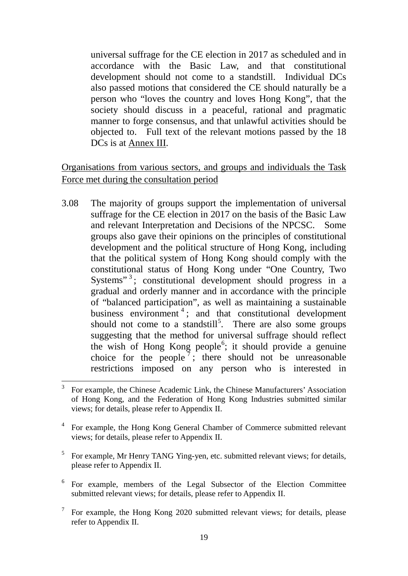universal suffrage for the CE election in 2017 as scheduled and in accordance with the Basic Law, and that constitutional development should not come to a standstill. Individual DCs also passed motions that considered the CE should naturally be a person who "loves the country and loves Hong Kong", that the society should discuss in a peaceful, rational and pragmatic manner to forge consensus, and that unlawful activities should be objected to. Full text of the relevant motions passed by the 18 DCs is at Annex III.

# Organisations from various sectors, and groups and individuals the Task Force met during the consultation period

3.08 The majority of groups support the implementation of universal suffrage for the CE election in 2017 on the basis of the Basic Law and relevant Interpretation and Decisions of the NPCSC. Some groups also gave their opinions on the principles of constitutional development and the political structure of Hong Kong, including that the political system of Hong Kong should comply with the constitutional status of Hong Kong under "One Country, Two Systems"<sup>[3](#page-21-0)</sup>; constitutional development should progress in a gradual and orderly manner and in accordance with the principle of "balanced participation", as well as maintaining a sustainable business environment<sup>[4](#page-21-1)</sup>; and that constitutional development should not come to a standstill<sup>[5](#page-21-2)</sup>. There are also some groups suggesting that the method for universal suffrage should reflect the wish of Hong Kong people<sup>[6](#page-21-3)</sup>; it should provide a genuine choice for the people<sup>[7](#page-22-0)</sup>; there should not be unreasonable restrictions imposed on any person who is interested in

<sup>3</sup> For example, the Chinese Academic Link, the Chinese Manufacturers' Association of Hong Kong, and the Federation of Hong Kong Industries submitted similar views; for details, please refer to Appendix II.  $\overline{3}$ 

<span id="page-21-0"></span><sup>&</sup>lt;sup>4</sup> For example, the Hong Kong General Chamber of Commerce submitted relevant views; for details, please refer to Appendix II.

<span id="page-21-1"></span><sup>&</sup>lt;sup>5</sup> For example, Mr Henry TANG Ying-yen, etc. submitted relevant views; for details, please refer to Appendix II.

<span id="page-21-2"></span><sup>6</sup> For example, members of the Legal Subsector of the Election Committee submitted relevant views; for details, please refer to Appendix II.

<span id="page-21-3"></span> $\frac{7}{1}$  For example, the Hong Kong 2020 submitted relevant views; for details, please refer to Appendix II.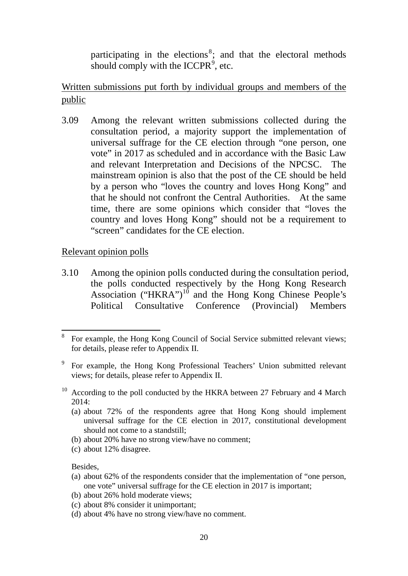participating in the elections<sup>[8](#page-22-1)</sup>; and that the electoral methods should comply with the ICCPR $<sup>9</sup>$  $<sup>9</sup>$  $<sup>9</sup>$ , etc.</sup>

Written submissions put forth by individual groups and members of the public

3.09 Among the relevant written submissions collected during the consultation period, a majority support the implementation of universal suffrage for the CE election through "one person, one vote" in 2017 as scheduled and in accordance with the Basic Law and relevant Interpretation and Decisions of the NPCSC. The mainstream opinion is also that the post of the CE should be held by a person who "loves the country and loves Hong Kong" and that he should not confront the Central Authorities. At the same time, there are some opinions which consider that "loves the country and loves Hong Kong" should not be a requirement to "screen" candidates for the CE election.

### Relevant opinion polls

3.10 Among the opinion polls conducted during the consultation period, the polls conducted respectively by the Hong Kong Research Association ("HKRA")<sup>[10](#page-22-3)</sup> and the Hong Kong Chinese People's Political Consultative Conference (Provincial) Members

- (a) about 72% of the respondents agree that Hong Kong should implement universal suffrage for the CE election in 2017, constitutional development should not come to a standstill;
- (b) about 20% have no strong view/have no comment;
- (c) about 12% disagree.

Besides,

1

- (a) about 62% of the respondents consider that the implementation of "one person, one vote" universal suffrage for the CE election in 2017 is important;
- (b) about 26% hold moderate views;
- (c) about 8% consider it unimportant;
- (d) about 4% have no strong view/have no comment.

<span id="page-22-0"></span><sup>&</sup>lt;sup>8</sup> For example, the Hong Kong Council of Social Service submitted relevant views; for details, please refer to Appendix II.

<span id="page-22-1"></span><sup>9</sup> For example, the Hong Kong Professional Teachers' Union submitted relevant views; for details, please refer to Appendix II.

<span id="page-22-3"></span><span id="page-22-2"></span> $10$  According to the poll conducted by the HKRA between 27 February and 4 March 2014: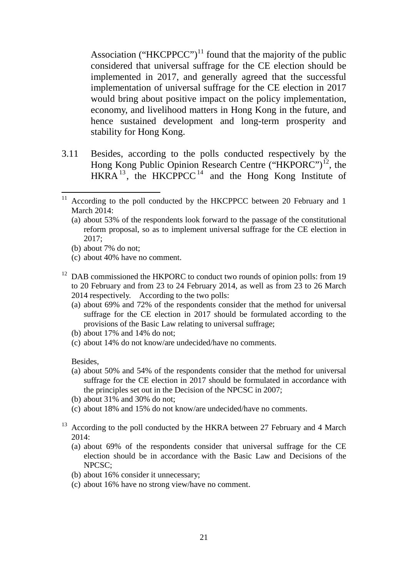Association ("HKCPPCC")<sup>[11](#page-23-0)</sup> found that the majority of the public considered that universal suffrage for the CE election should be implemented in 2017, and generally agreed that the successful implementation of universal suffrage for the CE election in 2017 would bring about positive impact on the policy implementation, economy, and livelihood matters in Hong Kong in the future, and hence sustained development and long-term prosperity and stability for Hong Kong.

<span id="page-23-3"></span>3.11 Besides, according to the polls conducted respectively by the Hong Kong Public Opinion Research Centre ("HKPORC")<sup>[12](#page-23-1)</sup>, the HKRA<sup>[13](#page-23-2)</sup>, the HKCPPCC<sup>[14](#page-23-3)</sup> and the Hong Kong Institute of

- <span id="page-23-0"></span>(a) about 53% of the respondents look forward to the passage of the constitutional reform proposal, so as to implement universal suffrage for the CE election in 2017;
- (b) about 7% do not;
- (c) about 40% have no comment.
- <span id="page-23-1"></span><sup>12</sup> DAB commissioned the HKPORC to conduct two rounds of opinion polls: from 19 to 20 February and from 23 to 24 February 2014, as well as from 23 to 26 March 2014 respectively. According to the two polls:
	- (a) about 69% and 72% of the respondents consider that the method for universal suffrage for the CE election in 2017 should be formulated according to the provisions of the Basic Law relating to universal suffrage;
	- (b) about 17% and 14% do not;
	- (c) about 14% do not know/are undecided/have no comments.

Besides,

- (a) about 50% and 54% of the respondents consider that the method for universal suffrage for the CE election in 2017 should be formulated in accordance with the principles set out in the Decision of the NPCSC in 2007;
- (b) about 31% and 30% do not;
- (c) about 18% and 15% do not know/are undecided/have no comments.
- <span id="page-23-2"></span> $13$  According to the poll conducted by the HKRA between 27 February and 4 March 2014:
	- (a) about 69% of the respondents consider that universal suffrage for the CE election should be in accordance with the Basic Law and Decisions of the NPCSC;
	- (b) about 16% consider it unnecessary;
	- (c) about 16% have no strong view/have no comment.

<sup>&</sup>lt;sup>11</sup> According to the poll conducted by the HKCPPCC between 20 February and 1 March 2014: <u>.</u>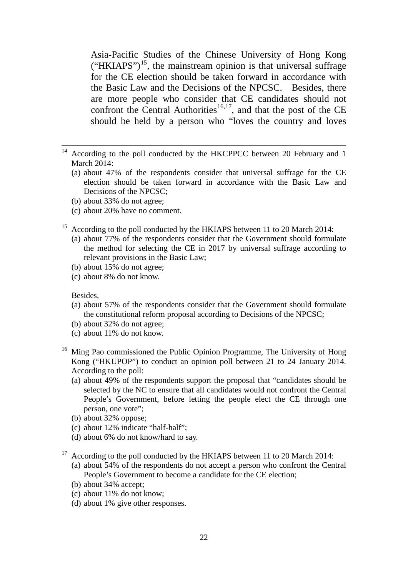Asia-Pacific Studies of the Chinese University of Hong Kong  $("HKIAPS")<sup>15</sup>$ , the mainstream opinion is that universal suffrage for the CE election should be taken forward in accordance with the Basic Law and the Decisions of the NPCSC. Besides, there are more people who consider that CE candidates should not confront the Central Authorities<sup>[16](#page-24-1),[17](#page-24-2)</sup>, and that the post of the CE should be held by a person who "loves the country and loves

- <sup>14</sup> According to the poll conducted by the HKCPPCC between 20 February and 1 March 2014:
	- (a) about 47% of the respondents consider that universal suffrage for the CE election should be taken forward in accordance with the Basic Law and Decisions of the NPCSC;
	- (b) about 33% do not agree;
	- (c) about 20% have no comment.
- <span id="page-24-0"></span><sup>15</sup> According to the poll conducted by the HKIAPS between 11 to 20 March 2014:
	- (a) about 77% of the respondents consider that the Government should formulate the method for selecting the CE in 2017 by universal suffrage according to relevant provisions in the Basic Law;
	- (b) about 15% do not agree;
	- (c) about 8% do not know.

#### Besides,

<u>.</u>

- (a) about 57% of the respondents consider that the Government should formulate the constitutional reform proposal according to Decisions of the NPCSC;
- (b) about 32% do not agree;
- (c) about 11% do not know.
- <span id="page-24-1"></span><sup>16</sup> Ming Pao commissioned the Public Opinion Programme, The University of Hong Kong ("HKUPOP") to conduct an opinion poll between 21 to 24 January 2014. According to the poll:
	- (a) about 49% of the respondents support the proposal that "candidates should be selected by the NC to ensure that all candidates would not confront the Central People's Government, before letting the people elect the CE through one person, one vote";
	- (b) about 32% oppose;
	- (c) about 12% indicate "half-half";
	- (d) about 6% do not know/hard to say.
- <span id="page-24-2"></span> $17$  According to the poll conducted by the HKIAPS between 11 to 20 March 2014:
	- (a) about 54% of the respondents do not accept a person who confront the Central People's Government to become a candidate for the CE election;
	- (b) about 34% accept;
	- (c) about 11% do not know;
	- (d) about 1% give other responses.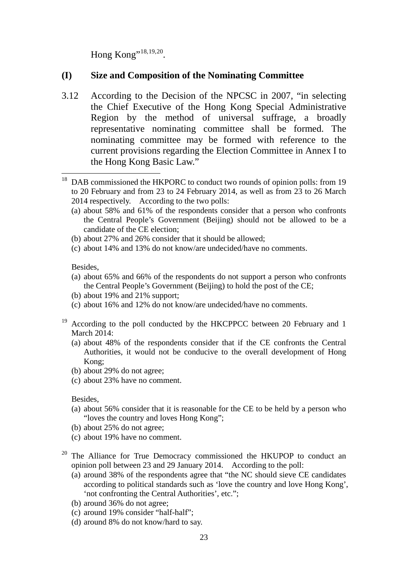Hong Kong"<sup>[18](#page-25-0),[19](#page-25-1),20</sup>.

# **(I) Size and Composition of the Nominating Committee**

3.12 According to the Decision of the NPCSC in 2007, "in selecting the Chief Executive of the Hong Kong Special Administrative Region by the method of universal suffrage, a broadly representative nominating committee shall be formed. The nominating committee may be formed with reference to the current provisions regarding the Election Committee in Annex I to the Hong Kong Basic Law."

- (a) about 58% and 61% of the respondents consider that a person who confronts the Central People's Government (Beijing) should not be allowed to be a candidate of the CE election;
- (b) about 27% and 26% consider that it should be allowed;
- (c) about 14% and 13% do not know/are undecided/have no comments.

Besides,

- (a) about 65% and 66% of the respondents do not support a person who confronts the Central People's Government (Beijing) to hold the post of the CE;
- (b) about 19% and 21% support;
- (c) about 16% and 12% do not know/are undecided/have no comments.
- <span id="page-25-1"></span><sup>19</sup> According to the poll conducted by the HKCPPCC between 20 February and 1 March 2014:
	- (a) about 48% of the respondents consider that if the CE confronts the Central Authorities, it would not be conducive to the overall development of Hong Kong;
	- (b) about 29% do not agree;
	- (c) about 23% have no comment.

Besides,

- (a) about 56% consider that it is reasonable for the CE to be held by a person who "loves the country and loves Hong Kong";
- (b) about 25% do not agree;
- (c) about 19% have no comment.
- <span id="page-25-2"></span><sup>20</sup> The Alliance for True Democracy commissioned the HKUPOP to conduct an opinion poll between 23 and 29 January 2014. According to the poll:
	- (a) around 38% of the respondents agree that "the NC should sieve CE candidates according to political standards such as 'love the country and love Hong Kong', 'not confronting the Central Authorities', etc.";
	- (b) around 36% do not agree;
	- (c) around 19% consider "half-half";
	- (d) around 8% do not know/hard to say.

<span id="page-25-0"></span><sup>&</sup>lt;sup>18</sup> DAB commissioned the HKPORC to conduct two rounds of opinion polls: from 19 to 20 February and from 23 to 24 February 2014, as well as from 23 to 26 March 2014 respectively. According to the two polls: <u>.</u>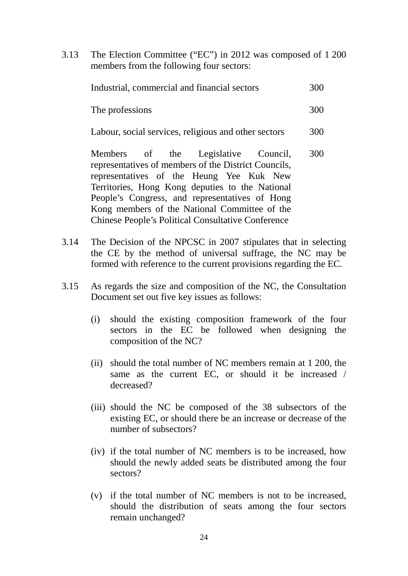3.13 The Election Committee ("EC") in 2012 was composed of 1 200 members from the following four sectors:

| Industrial, commercial and financial sectors | 300 |
|----------------------------------------------|-----|
| The professions                              | 300 |

Labour, social services, religious and other sectors 300

Members of the Legislative Council, representatives of members of the District Councils, representatives of the Heung Yee Kuk New Territories, Hong Kong deputies to the National People's Congress, and representatives of Hong Kong members of the National Committee of the Chinese People's Political Consultative Conference 300

- 3.14 The Decision of the NPCSC in 2007 stipulates that in selecting the CE by the method of universal suffrage, the NC may be formed with reference to the current provisions regarding the EC.
- 3.15 As regards the size and composition of the NC, the Consultation Document set out five key issues as follows:
	- (i) should the existing composition framework of the four sectors in the EC be followed when designing the composition of the NC?
	- (ii) should the total number of NC members remain at 1 200, the same as the current EC, or should it be increased / decreased?
	- (iii) should the NC be composed of the 38 subsectors of the existing EC, or should there be an increase or decrease of the number of subsectors?
	- (iv) if the total number of NC members is to be increased, how should the newly added seats be distributed among the four sectors?
	- (v) if the total number of NC members is not to be increased, should the distribution of seats among the four sectors remain unchanged?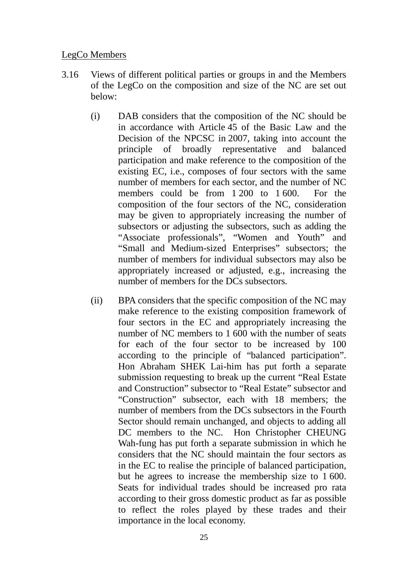# LegCo Members

- 3.16 Views of different political parties or groups in and the Members of the LegCo on the composition and size of the NC are set out below:
	- (i) DAB considers that the composition of the NC should be in accordance with Article 45 of the Basic Law and the Decision of the NPCSC in 2007, taking into account the principle of broadly representative and balanced participation and make reference to the composition of the existing EC, i.e., composes of four sectors with the same number of members for each sector, and the number of NC members could be from 1 200 to 1 600. For the composition of the four sectors of the NC, consideration may be given to appropriately increasing the number of subsectors or adjusting the subsectors, such as adding the "Associate professionals", "Women and Youth" and "Small and Medium-sized Enterprises" subsectors; the number of members for individual subsectors may also be appropriately increased or adjusted, e.g., increasing the number of members for the DCs subsectors.
	- (ii) BPA considers that the specific composition of the NC may make reference to the existing composition framework of four sectors in the EC and appropriately increasing the number of NC members to 1 600 with the number of seats for each of the four sector to be increased by 100 according to the principle of "balanced participation". Hon Abraham SHEK Lai-him has put forth a separate submission requesting to break up the current "Real Estate and Construction" subsector to "Real Estate" subsector and "Construction" subsector, each with 18 members; the number of members from the DCs subsectors in the Fourth Sector should remain unchanged, and objects to adding all DC members to the NC. Hon Christopher CHEUNG Wah-fung has put forth a separate submission in which he considers that the NC should maintain the four sectors as in the EC to realise the principle of balanced participation, but he agrees to increase the membership size to 1 600. Seats for individual trades should be increased pro rata according to their gross domestic product as far as possible to reflect the roles played by these trades and their importance in the local economy.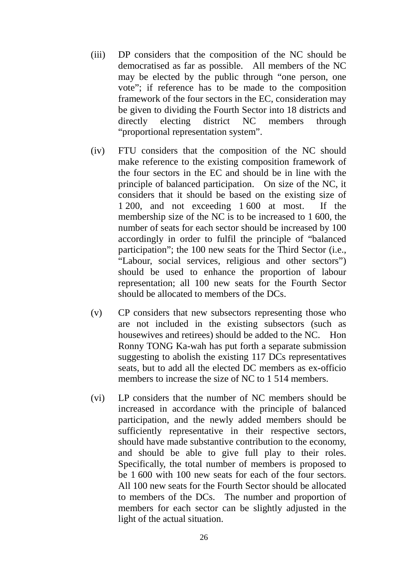- (iii) DP considers that the composition of the NC should be democratised as far as possible. All members of the NC may be elected by the public through "one person, one vote"; if reference has to be made to the composition framework of the four sectors in the EC, consideration may be given to dividing the Fourth Sector into 18 districts and directly electing district NC members through "proportional representation system".
- (iv) FTU considers that the composition of the NC should make reference to the existing composition framework of the four sectors in the EC and should be in line with the principle of balanced participation. On size of the NC, it considers that it should be based on the existing size of 1 200, and not exceeding 1 600 at most. If the membership size of the NC is to be increased to 1 600, the number of seats for each sector should be increased by 100 accordingly in order to fulfil the principle of "balanced participation"; the 100 new seats for the Third Sector (i.e., "Labour, social services, religious and other sectors") should be used to enhance the proportion of labour representation; all 100 new seats for the Fourth Sector should be allocated to members of the DCs.
- (v) CP considers that new subsectors representing those who are not included in the existing subsectors (such as housewives and retirees) should be added to the NC. Hon Ronny TONG Ka-wah has put forth a separate submission suggesting to abolish the existing 117 DCs representatives seats, but to add all the elected DC members as ex-officio members to increase the size of NC to 1 514 members.
- (vi) LP considers that the number of NC members should be increased in accordance with the principle of balanced participation, and the newly added members should be sufficiently representative in their respective sectors, should have made substantive contribution to the economy, and should be able to give full play to their roles. Specifically, the total number of members is proposed to be 1 600 with 100 new seats for each of the four sectors. All 100 new seats for the Fourth Sector should be allocated to members of the DCs. The number and proportion of members for each sector can be slightly adjusted in the light of the actual situation.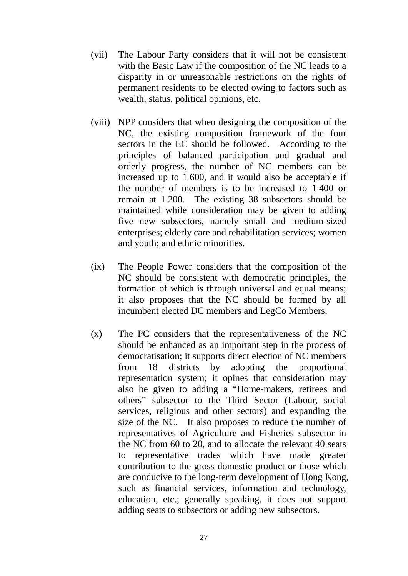- (vii) The Labour Party considers that it will not be consistent with the Basic Law if the composition of the NC leads to a disparity in or unreasonable restrictions on the rights of permanent residents to be elected owing to factors such as wealth, status, political opinions, etc.
- (viii) NPP considers that when designing the composition of the NC, the existing composition framework of the four sectors in the EC should be followed. According to the principles of balanced participation and gradual and orderly progress, the number of NC members can be increased up to 1 600, and it would also be acceptable if the number of members is to be increased to 1 400 or remain at 1 200. The existing 38 subsectors should be maintained while consideration may be given to adding five new subsectors, namely small and medium-sized enterprises; elderly care and rehabilitation services; women and youth; and ethnic minorities.
- (ix) The People Power considers that the composition of the NC should be consistent with democratic principles, the formation of which is through universal and equal means; it also proposes that the NC should be formed by all incumbent elected DC members and LegCo Members.
- (x) The PC considers that the representativeness of the NC should be enhanced as an important step in the process of democratisation; it supports direct election of NC members from 18 districts by adopting the proportional representation system; it opines that consideration may also be given to adding a "Home-makers, retirees and others" subsector to the Third Sector (Labour, social services, religious and other sectors) and expanding the size of the NC. It also proposes to reduce the number of representatives of Agriculture and Fisheries subsector in the NC from 60 to 20, and to allocate the relevant 40 seats to representative trades which have made greater contribution to the gross domestic product or those which are conducive to the long-term development of Hong Kong, such as financial services, information and technology, education, etc.; generally speaking, it does not support adding seats to subsectors or adding new subsectors.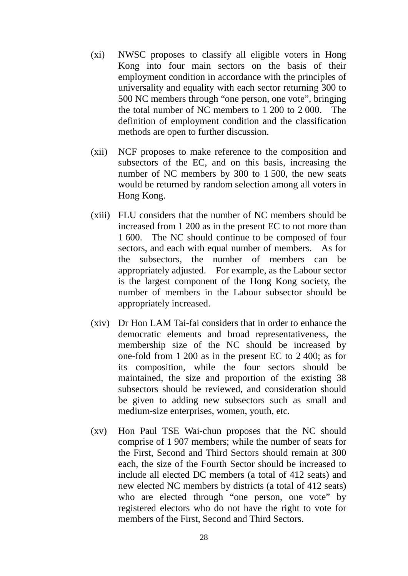- (xi) NWSC proposes to classify all eligible voters in Hong Kong into four main sectors on the basis of their employment condition in accordance with the principles of universality and equality with each sector returning 300 to 500 NC members through "one person, one vote", bringing the total number of NC members to 1 200 to 2 000. The definition of employment condition and the classification methods are open to further discussion.
- (xii) NCF proposes to make reference to the composition and subsectors of the EC, and on this basis, increasing the number of NC members by 300 to 1 500, the new seats would be returned by random selection among all voters in Hong Kong.
- (xiii) FLU considers that the number of NC members should be increased from 1 200 as in the present EC to not more than 1 600. The NC should continue to be composed of four sectors, and each with equal number of members. As for the subsectors, the number of members can be appropriately adjusted. For example, as the Labour sector is the largest component of the Hong Kong society, the number of members in the Labour subsector should be appropriately increased.
- (xiv) Dr Hon LAM Tai-fai considers that in order to enhance the democratic elements and broad representativeness, the membership size of the NC should be increased by one-fold from 1 200 as in the present EC to 2 400; as for its composition, while the four sectors should be maintained, the size and proportion of the existing 38 subsectors should be reviewed, and consideration should be given to adding new subsectors such as small and medium-size enterprises, women, youth, etc.
- (xv) Hon Paul TSE Wai-chun proposes that the NC should comprise of 1 907 members; while the number of seats for the First, Second and Third Sectors should remain at 300 each, the size of the Fourth Sector should be increased to include all elected DC members (a total of 412 seats) and new elected NC members by districts (a total of 412 seats) who are elected through "one person, one vote" by registered electors who do not have the right to vote for members of the First, Second and Third Sectors.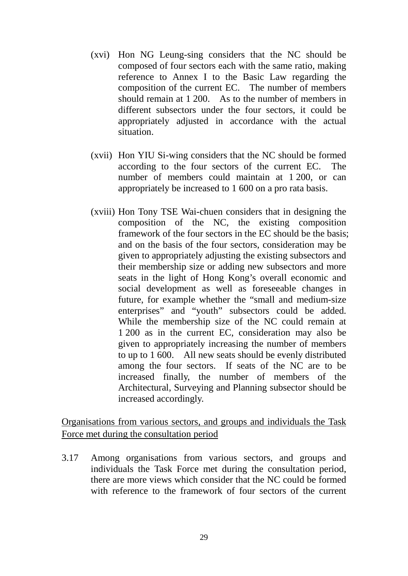- (xvi) Hon NG Leung-sing considers that the NC should be composed of four sectors each with the same ratio, making reference to Annex I to the Basic Law regarding the composition of the current EC. The number of members should remain at 1 200. As to the number of members in different subsectors under the four sectors, it could be appropriately adjusted in accordance with the actual situation.
- (xvii) Hon YIU Si-wing considers that the NC should be formed according to the four sectors of the current EC. The number of members could maintain at 1 200, or can appropriately be increased to 1 600 on a pro rata basis.
- (xviii) Hon Tony TSE Wai-chuen considers that in designing the composition of the NC, the existing composition framework of the four sectors in the EC should be the basis; and on the basis of the four sectors, consideration may be given to appropriately adjusting the existing subsectors and their membership size or adding new subsectors and more seats in the light of Hong Kong's overall economic and social development as well as foreseeable changes in future, for example whether the "small and medium-size enterprises" and "youth" subsectors could be added. While the membership size of the NC could remain at 1 200 as in the current EC, consideration may also be given to appropriately increasing the number of members to up to 1 600. All new seats should be evenly distributed among the four sectors. If seats of the NC are to be increased finally, the number of members of the Architectural, Surveying and Planning subsector should be increased accordingly.

Organisations from various sectors, and groups and individuals the Task Force met during the consultation period

3.17 Among organisations from various sectors, and groups and individuals the Task Force met during the consultation period, there are more views which consider that the NC could be formed with reference to the framework of four sectors of the current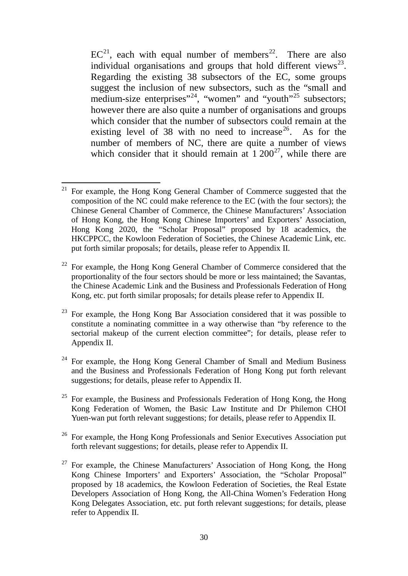$EC^{21}$  $EC^{21}$  $EC^{21}$ , each with equal number of members<sup>22</sup>. There are also individual organisations and groups that hold different views<sup>23</sup>. Regarding the existing 38 subsectors of the EC, some groups suggest the inclusion of new subsectors, such as the "small and medium-size enterprises"<sup>24</sup>, "women" and "youth"<sup>[25](#page-32-4)</sup> subsectors; however there are also quite a number of organisations and groups which consider that the number of subsectors could remain at the existing level of 38 with no need to increase<sup>[26](#page-32-5)</sup>. As for the number of members of NC, there are quite a number of views which consider that it should remain at  $1\ 200^{27}$  $1\ 200^{27}$  $1\ 200^{27}$ , while there are

<span id="page-32-1"></span> $22$  For example, the Hong Kong General Chamber of Commerce considered that the proportionality of the four sectors should be more or less maintained; the Savantas, the Chinese Academic Link and the Business and Professionals Federation of Hong Kong, etc. put forth similar proposals; for details please refer to Appendix II.

<span id="page-32-0"></span><sup>21</sup> For example, the Hong Kong General Chamber of Commerce suggested that the composition of the NC could make reference to the EC (with the four sectors); the Chinese General Chamber of Commerce, the Chinese Manufacturers' Association of Hong Kong, the Hong Kong Chinese Importers' and Exporters' Association, Hong Kong 2020, the "Scholar Proposal" proposed by 18 academics, the HKCPPCC, the Kowloon Federation of Societies, the Chinese Academic Link, etc. put forth similar proposals; for details, please refer to Appendix II. 21

<span id="page-32-2"></span> $23$  For example, the Hong Kong Bar Association considered that it was possible to constitute a nominating committee in a way otherwise than "by reference to the sectorial makeup of the current election committee"; for details, please refer to Appendix II.

<span id="page-32-3"></span><sup>&</sup>lt;sup>24</sup> For example, the Hong Kong General Chamber of Small and Medium Business and the Business and Professionals Federation of Hong Kong put forth relevant suggestions; for details, please refer to Appendix II.

<span id="page-32-4"></span><sup>&</sup>lt;sup>25</sup> For example, the Business and Professionals Federation of Hong Kong, the Hong Kong Federation of Women, the Basic Law Institute and Dr Philemon CHOI Yuen-wan put forth relevant suggestions; for details, please refer to Appendix II.

<span id="page-32-5"></span> $26$  For example, the Hong Kong Professionals and Senior Executives Association put forth relevant suggestions; for details, please refer to Appendix II.

<span id="page-32-6"></span><sup>&</sup>lt;sup>27</sup> For example, the Chinese Manufacturers' Association of Hong Kong, the Hong Kong Chinese Importers' and Exporters' Association, the "Scholar Proposal" proposed by 18 academics, the Kowloon Federation of Societies, the Real Estate Developers Association of Hong Kong, the All-China Women's Federation Hong Kong Delegates Association, etc. put forth relevant suggestions; for details, please refer to Appendix II.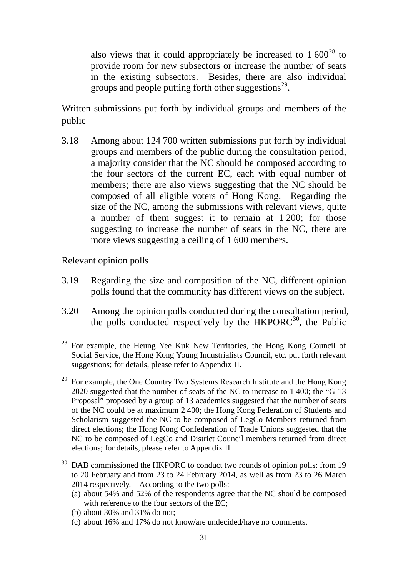also views that it could appropriately be increased to  $1\,600^{28}$  $1\,600^{28}$  $1\,600^{28}$  to provide room for new subsectors or increase the number of seats in the existing subsectors. Besides, there are also individual groups and people putting forth other suggestions<sup>29</sup>.

Written submissions put forth by individual groups and members of the public

3.18 Among about 124 700 written submissions put forth by individual groups and members of the public during the consultation period, a majority consider that the NC should be composed according to the four sectors of the current EC, each with equal number of members; there are also views suggesting that the NC should be composed of all eligible voters of Hong Kong. Regarding the size of the NC, among the submissions with relevant views, quite a number of them suggest it to remain at 1 200; for those suggesting to increase the number of seats in the NC, there are more views suggesting a ceiling of 1 600 members.

## Relevant opinion polls

- 3.19 Regarding the size and composition of the NC, different opinion polls found that the community has different views on the subject.
- 3.20 Among the opinion polls conducted during the consultation period, the polls conducted respectively by the  $HKPORC<sup>30</sup>$ , the Public

- (a) about 54% and 52% of the respondents agree that the NC should be composed with reference to the four sectors of the EC;
- (b) about 30% and 31% do not;
- (c) about 16% and 17% do not know/are undecided/have no comments.

<span id="page-33-0"></span> $28$  For example, the Heung Yee Kuk New Territories, the Hong Kong Council of Social Service, the Hong Kong Young Industrialists Council, etc. put forth relevant suggestions; for details, please refer to Appendix II. 1

<span id="page-33-1"></span><sup>&</sup>lt;sup>29</sup> For example, the One Country Two Systems Research Institute and the Hong Kong 2020 suggested that the number of seats of the NC to increase to 1 400; the "G-13 Proposal" proposed by a group of 13 academics suggested that the number of seats of the NC could be at maximum 2 400; the Hong Kong Federation of Students and Scholarism suggested the NC to be composed of LegCo Members returned from direct elections; the Hong Kong Confederation of Trade Unions suggested that the NC to be composed of LegCo and District Council members returned from direct elections; for details, please refer to Appendix II.

<span id="page-33-2"></span>DAB commissioned the HKPORC to conduct two rounds of opinion polls: from 19 to 20 February and from 23 to 24 February 2014, as well as from 23 to 26 March 2014 respectively. According to the two polls: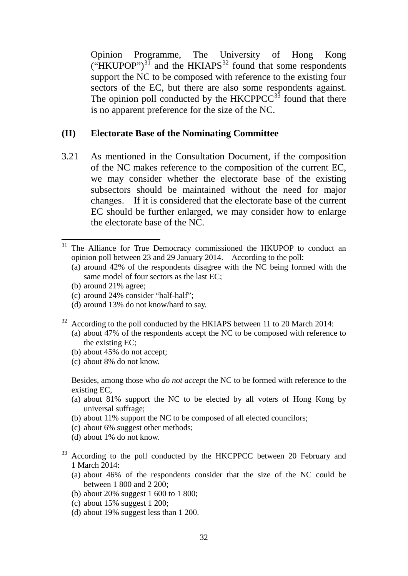Opinion Programme, The University of Hong Kong  $("HKUPOP")^{31}$  $("HKUPOP")^{31}$  $("HKUPOP")^{31}$  and the HKIAPS<sup>[32](#page-34-1)</sup> found that some respondents support the NC to be composed with reference to the existing four sectors of the EC, but there are also some respondents against. The opinion poll conducted by the  $HKCPPCC<sup>33</sup>$  $HKCPPCC<sup>33</sup>$  $HKCPPCC<sup>33</sup>$  found that there is no apparent preference for the size of the NC.

## **(II) Electorate Base of the Nominating Committee**

3.21 As mentioned in the Consultation Document, if the composition of the NC makes reference to the composition of the current EC, we may consider whether the electorate base of the existing subsectors should be maintained without the need for major changes. If it is considered that the electorate base of the current EC should be further enlarged, we may consider how to enlarge the electorate base of the NC.

<u>.</u>

- <span id="page-34-1"></span> $32$  According to the poll conducted by the HKIAPS between 11 to 20 March 2014:
	- (a) about 47% of the respondents accept the NC to be composed with reference to the existing EC;
	- (b) about 45% do not accept;
	- (c) about 8% do not know.

Besides, among those who *do not accept* the NC to be formed with reference to the existing EC,

- (a) about 81% support the NC to be elected by all voters of Hong Kong by universal suffrage;
- (b) about 11% support the NC to be composed of all elected councilors;
- (c) about 6% suggest other methods;
- (d) about 1% do not know.
- <span id="page-34-2"></span><sup>33</sup> According to the poll conducted by the HKCPPCC between 20 February and 1 March 2014:
	- (a) about 46% of the respondents consider that the size of the NC could be between 1 800 and 2 200;
	- (b) about 20% suggest 1 600 to 1 800;
	- (c) about 15% suggest 1 200;
	- (d) about 19% suggest less than 1 200.

<span id="page-34-0"></span><sup>&</sup>lt;sup>31</sup> The Alliance for True Democracy commissioned the HKUPOP to conduct an opinion poll between 23 and 29 January 2014. According to the poll:

<sup>(</sup>a) around 42% of the respondents disagree with the NC being formed with the same model of four sectors as the last EC;

<sup>(</sup>b) around 21% agree;

<sup>(</sup>c) around 24% consider "half-half";

<sup>(</sup>d) around 13% do not know/hard to say.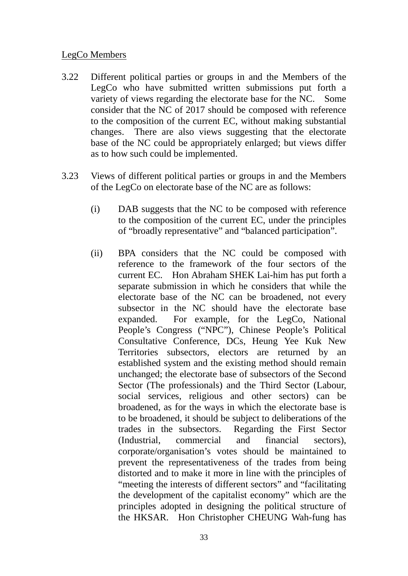# LegCo Members

- 3.22 Different political parties or groups in and the Members of the LegCo who have submitted written submissions put forth a variety of views regarding the electorate base for the NC. Some consider that the NC of 2017 should be composed with reference to the composition of the current EC, without making substantial changes. There are also views suggesting that the electorate base of the NC could be appropriately enlarged; but views differ as to how such could be implemented.
- 3.23 Views of different political parties or groups in and the Members of the LegCo on electorate base of the NC are as follows:
	- (i) DAB suggests that the NC to be composed with reference to the composition of the current EC, under the principles of "broadly representative" and "balanced participation".
	- (ii) BPA considers that the NC could be composed with reference to the framework of the four sectors of the current EC. Hon Abraham SHEK Lai-him has put forth a separate submission in which he considers that while the electorate base of the NC can be broadened, not every subsector in the NC should have the electorate base expanded. For example, for the LegCo, National People's Congress ("NPC"), Chinese People's Political Consultative Conference, DCs, Heung Yee Kuk New Territories subsectors, electors are returned by an established system and the existing method should remain unchanged; the electorate base of subsectors of the Second Sector (The professionals) and the Third Sector (Labour, social services, religious and other sectors) can be broadened, as for the ways in which the electorate base is to be broadened, it should be subject to deliberations of the trades in the subsectors. Regarding the First Sector (Industrial, commercial and financial sectors), corporate/organisation's votes should be maintained to prevent the representativeness of the trades from being distorted and to make it more in line with the principles of "meeting the interests of different sectors" and "facilitating the development of the capitalist economy" which are the principles adopted in designing the political structure of the HKSAR. Hon Christopher CHEUNG Wah-fung has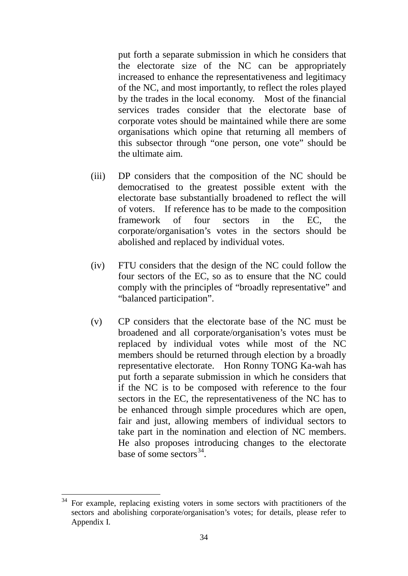put forth a separate submission in which he considers that the electorate size of the NC can be appropriately increased to enhance the representativeness and legitimacy of the NC, and most importantly, to reflect the roles played by the trades in the local economy. Most of the financial services trades consider that the electorate base of corporate votes should be maintained while there are some organisations which opine that returning all members of this subsector through "one person, one vote" should be the ultimate aim.

- (iii) DP considers that the composition of the NC should be democratised to the greatest possible extent with the electorate base substantially broadened to reflect the will of voters. If reference has to be made to the composition framework of four sectors in the EC, the corporate/organisation's votes in the sectors should be abolished and replaced by individual votes.
- (iv) FTU considers that the design of the NC could follow the four sectors of the EC, so as to ensure that the NC could comply with the principles of "broadly representative" and "balanced participation".
- (v) CP considers that the electorate base of the NC must be broadened and all corporate/organisation's votes must be replaced by individual votes while most of the NC members should be returned through election by a broadly representative electorate. Hon Ronny TONG Ka-wah has put forth a separate submission in which he considers that if the NC is to be composed with reference to the four sectors in the EC, the representativeness of the NC has to be enhanced through simple procedures which are open, fair and just, allowing members of individual sectors to take part in the nomination and election of NC members. He also proposes introducing changes to the electorate base of some sectors  $34$ .

<span id="page-36-0"></span><sup>&</sup>lt;sup>34</sup> For example, replacing existing voters in some sectors with practitioners of the sectors and abolishing corporate/organisation's votes; for details, please refer to Appendix I. -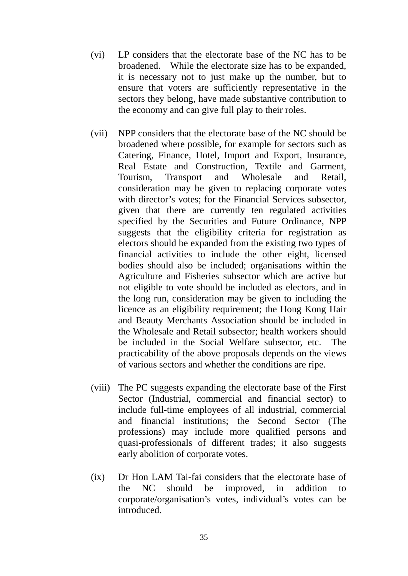- (vi) LP considers that the electorate base of the NC has to be broadened. While the electorate size has to be expanded, it is necessary not to just make up the number, but to ensure that voters are sufficiently representative in the sectors they belong, have made substantive contribution to the economy and can give full play to their roles.
- (vii) NPP considers that the electorate base of the NC should be broadened where possible, for example for sectors such as Catering, Finance, Hotel, Import and Export, Insurance, Real Estate and Construction, Textile and Garment, Tourism, Transport and Wholesale and Retail, consideration may be given to replacing corporate votes with director's votes; for the Financial Services subsector, given that there are currently ten regulated activities specified by the Securities and Future Ordinance, NPP suggests that the eligibility criteria for registration as electors should be expanded from the existing two types of financial activities to include the other eight, licensed bodies should also be included; organisations within the Agriculture and Fisheries subsector which are active but not eligible to vote should be included as electors, and in the long run, consideration may be given to including the licence as an eligibility requirement; the Hong Kong Hair and Beauty Merchants Association should be included in the Wholesale and Retail subsector; health workers should be included in the Social Welfare subsector, etc. The practicability of the above proposals depends on the views of various sectors and whether the conditions are ripe.
- (viii) The PC suggests expanding the electorate base of the First Sector (Industrial, commercial and financial sector) to include full-time employees of all industrial, commercial and financial institutions; the Second Sector (The professions) may include more qualified persons and quasi-professionals of different trades; it also suggests early abolition of corporate votes.
- (ix) Dr Hon LAM Tai-fai considers that the electorate base of the NC should be improved, in addition to corporate/organisation's votes, individual's votes can be introduced.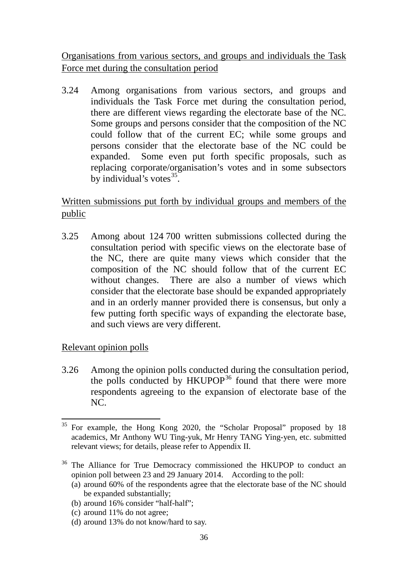Organisations from various sectors, and groups and individuals the Task Force met during the consultation period

3.24 Among organisations from various sectors, and groups and individuals the Task Force met during the consultation period, there are different views regarding the electorate base of the NC. Some groups and persons consider that the composition of the NC could follow that of the current EC; while some groups and persons consider that the electorate base of the NC could be expanded. Some even put forth specific proposals, such as replacing corporate/organisation's votes and in some subsectors by individual's votes $35$ .

Written submissions put forth by individual groups and members of the public

3.25 Among about 124 700 written submissions collected during the consultation period with specific views on the electorate base of the NC, there are quite many views which consider that the composition of the NC should follow that of the current EC without changes. There are also a number of views which consider that the electorate base should be expanded appropriately and in an orderly manner provided there is consensus, but only a few putting forth specific ways of expanding the electorate base, and such views are very different.

Relevant opinion polls

3.26 Among the opinion polls conducted during the consultation period, the polls conducted by HKUPOP<sup>[36](#page-38-1)</sup> found that there were more respondents agreeing to the expansion of electorate base of the NC.

- (a) around 60% of the respondents agree that the electorate base of the NC should be expanded substantially;
- (b) around 16% consider "half-half";
- (c) around 11% do not agree;
- (d) around 13% do not know/hard to say.

<span id="page-38-0"></span><sup>&</sup>lt;sup>35</sup> For example, the Hong Kong 2020, the "Scholar Proposal" proposed by 18 academics, Mr Anthony WU Ting-yuk, Mr Henry TANG Ying-yen, etc. submitted relevant views; for details, please refer to Appendix II. -

<span id="page-38-1"></span><sup>&</sup>lt;sup>36</sup> The Alliance for True Democracy commissioned the HKUPOP to conduct an opinion poll between 23 and 29 January 2014. According to the poll: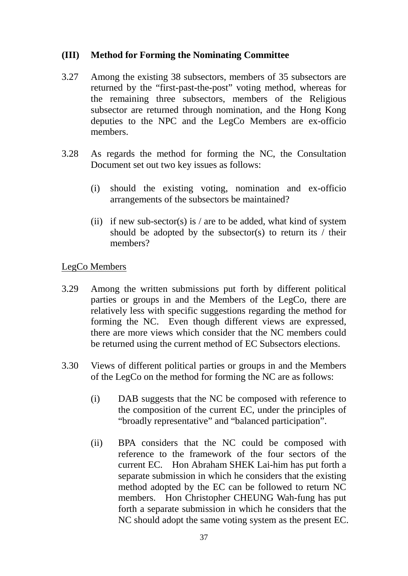## **(III) Method for Forming the Nominating Committee**

- 3.27 Among the existing 38 subsectors, members of 35 subsectors are returned by the "first-past-the-post" voting method, whereas for the remaining three subsectors, members of the Religious subsector are returned through nomination, and the Hong Kong deputies to the NPC and the LegCo Members are ex-officio members.
- 3.28 As regards the method for forming the NC, the Consultation Document set out two key issues as follows:
	- (i) should the existing voting, nomination and ex-officio arrangements of the subsectors be maintained?
	- (ii) if new sub-sector(s) is / are to be added, what kind of system should be adopted by the subsector(s) to return its  $\prime$  their members?

#### LegCo Members

- 3.29 Among the written submissions put forth by different political parties or groups in and the Members of the LegCo, there are relatively less with specific suggestions regarding the method for forming the NC. Even though different views are expressed, there are more views which consider that the NC members could be returned using the current method of EC Subsectors elections.
- 3.30 Views of different political parties or groups in and the Members of the LegCo on the method for forming the NC are as follows:
	- (i) DAB suggests that the NC be composed with reference to the composition of the current EC, under the principles of "broadly representative" and "balanced participation".
	- (ii) BPA considers that the NC could be composed with reference to the framework of the four sectors of the current EC. Hon Abraham SHEK Lai-him has put forth a separate submission in which he considers that the existing method adopted by the EC can be followed to return NC members. Hon Christopher CHEUNG Wah-fung has put forth a separate submission in which he considers that the NC should adopt the same voting system as the present EC.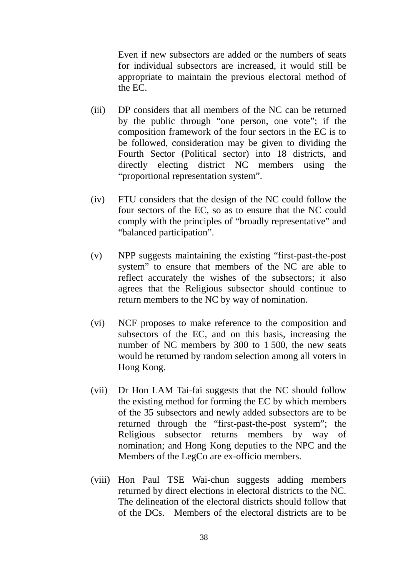Even if new subsectors are added or the numbers of seats for individual subsectors are increased, it would still be appropriate to maintain the previous electoral method of the EC.

- (iii) DP considers that all members of the NC can be returned by the public through "one person, one vote"; if the composition framework of the four sectors in the EC is to be followed, consideration may be given to dividing the Fourth Sector (Political sector) into 18 districts, and directly electing district NC members using the "proportional representation system".
- (iv) FTU considers that the design of the NC could follow the four sectors of the EC, so as to ensure that the NC could comply with the principles of "broadly representative" and "balanced participation".
- (v) NPP suggests maintaining the existing "first-past-the-post system" to ensure that members of the NC are able to reflect accurately the wishes of the subsectors; it also agrees that the Religious subsector should continue to return members to the NC by way of nomination.
- (vi) NCF proposes to make reference to the composition and subsectors of the EC, and on this basis, increasing the number of NC members by 300 to 1 500, the new seats would be returned by random selection among all voters in Hong Kong.
- (vii) Dr Hon LAM Tai-fai suggests that the NC should follow the existing method for forming the EC by which members of the 35 subsectors and newly added subsectors are to be returned through the "first-past-the-post system"; the Religious subsector returns members by way of nomination; and Hong Kong deputies to the NPC and the Members of the LegCo are ex-officio members.
- (viii) Hon Paul TSE Wai-chun suggests adding members returned by direct elections in electoral districts to the NC. The delineation of the electoral districts should follow that of the DCs. Members of the electoral districts are to be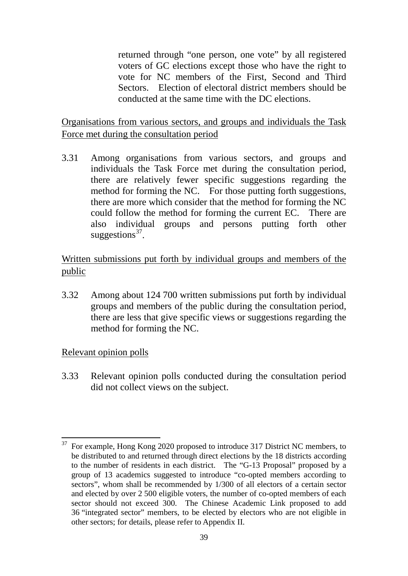returned through "one person, one vote" by all registered voters of GC elections except those who have the right to vote for NC members of the First, Second and Third Sectors. Election of electoral district members should be conducted at the same time with the DC elections.

Organisations from various sectors, and groups and individuals the Task Force met during the consultation period

3.31 Among organisations from various sectors, and groups and individuals the Task Force met during the consultation period, there are relatively fewer specific suggestions regarding the method for forming the NC. For those putting forth suggestions, there are more which consider that the method for forming the NC could follow the method for forming the current EC. There are also individual groups and persons putting forth other suggestions $37$ .

Written submissions put forth by individual groups and members of the public

3.32 Among about 124 700 written submissions put forth by individual groups and members of the public during the consultation period, there are less that give specific views or suggestions regarding the method for forming the NC.

## Relevant opinion polls

3.33 Relevant opinion polls conducted during the consultation period did not collect views on the subject.

<span id="page-41-0"></span><sup>37</sup> For example, Hong Kong 2020 proposed to introduce 317 District NC members, to be distributed to and returned through direct elections by the 18 districts according to the number of residents in each district. The "G-13 Proposal" proposed by a group of 13 academics suggested to introduce "co-opted members according to sectors", whom shall be recommended by 1/300 of all electors of a certain sector and elected by over 2 500 eligible voters, the number of co-opted members of each sector should not exceed 300. The Chinese Academic Link proposed to add 36 "integrated sector" members, to be elected by electors who are not eligible in other sectors; for details, please refer to Appendix II. 37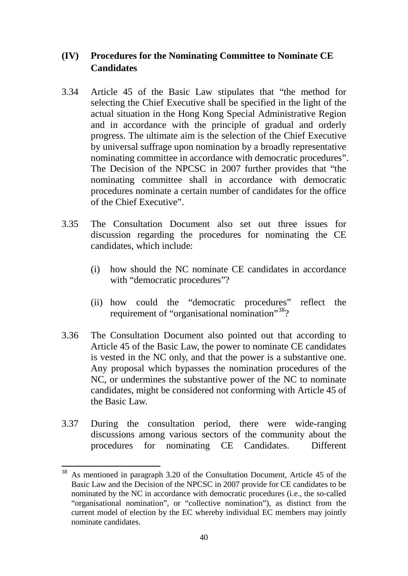## **(IV) Procedures for the Nominating Committee to Nominate CE Candidates**

- 3.34 Article 45 of the Basic Law stipulates that "the method for selecting the Chief Executive shall be specified in the light of the actual situation in the Hong Kong Special Administrative Region and in accordance with the principle of gradual and orderly progress. The ultimate aim is the selection of the Chief Executive by universal suffrage upon nomination by a broadly representative nominating committee in accordance with democratic procedures". The Decision of the NPCSC in 2007 further provides that "the nominating committee shall in accordance with democratic procedures nominate a certain number of candidates for the office of the Chief Executive".
- 3.35 The Consultation Document also set out three issues for discussion regarding the procedures for nominating the CE candidates, which include:
	- (i) how should the NC nominate CE candidates in accordance with "democratic procedures"?
	- (ii) how could the "democratic procedures" reflect the requirement of "organisational nomination"<sup>38</sup>?
- 3.36 The Consultation Document also pointed out that according to Article 45 of the Basic Law, the power to nominate CE candidates is vested in the NC only, and that the power is a substantive one. Any proposal which bypasses the nomination procedures of the NC, or undermines the substantive power of the NC to nominate candidates, might be considered not conforming with Article 45 of the Basic Law.
- 3.37 During the consultation period, there were wide-ranging discussions among various sectors of the community about the procedures for nominating CE Candidates. Different

-

<span id="page-42-0"></span>As mentioned in paragraph 3.20 of the Consultation Document, Article 45 of the Basic Law and the Decision of the NPCSC in 2007 provide for CE candidates to be nominated by the NC in accordance with democratic procedures (i.e., the so-called "organisational nomination", or "collective nomination"), as distinct from the current model of election by the EC whereby individual EC members may jointly nominate candidates.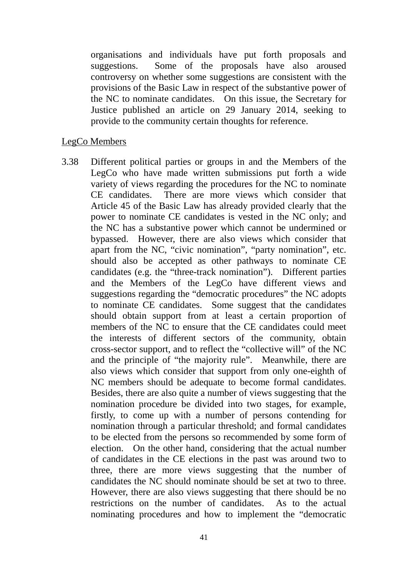organisations and individuals have put forth proposals and suggestions. Some of the proposals have also aroused controversy on whether some suggestions are consistent with the provisions of the Basic Law in respect of the substantive power of the NC to nominate candidates. On this issue, the Secretary for Justice published an article on 29 January 2014, seeking to provide to the community certain thoughts for reference.

#### LegCo Members

3.38 Different political parties or groups in and the Members of the LegCo who have made written submissions put forth a wide variety of views regarding the procedures for the NC to nominate CE candidates. There are more views which consider that Article 45 of the Basic Law has already provided clearly that the power to nominate CE candidates is vested in the NC only; and the NC has a substantive power which cannot be undermined or bypassed. However, there are also views which consider that apart from the NC, "civic nomination", "party nomination", etc. should also be accepted as other pathways to nominate CE candidates (e.g. the "three-track nomination"). Different parties and the Members of the LegCo have different views and suggestions regarding the "democratic procedures" the NC adopts to nominate CE candidates. Some suggest that the candidates should obtain support from at least a certain proportion of members of the NC to ensure that the CE candidates could meet the interests of different sectors of the community, obtain cross-sector support, and to reflect the "collective will" of the NC and the principle of "the majority rule". Meanwhile, there are also views which consider that support from only one-eighth of NC members should be adequate to become formal candidates. Besides, there are also quite a number of views suggesting that the nomination procedure be divided into two stages, for example, firstly, to come up with a number of persons contending for nomination through a particular threshold; and formal candidates to be elected from the persons so recommended by some form of election. On the other hand, considering that the actual number of candidates in the CE elections in the past was around two to three, there are more views suggesting that the number of candidates the NC should nominate should be set at two to three. However, there are also views suggesting that there should be no restrictions on the number of candidates. As to the actual nominating procedures and how to implement the "democratic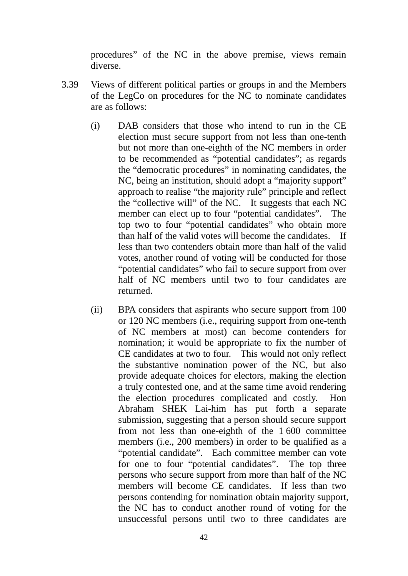procedures" of the NC in the above premise, views remain diverse.

- 3.39 Views of different political parties or groups in and the Members of the LegCo on procedures for the NC to nominate candidates are as follows:
	- (i) DAB considers that those who intend to run in the CE election must secure support from not less than one-tenth but not more than one-eighth of the NC members in order to be recommended as "potential candidates"; as regards the "democratic procedures" in nominating candidates, the NC, being an institution, should adopt a "majority support" approach to realise "the majority rule" principle and reflect the "collective will" of the NC. It suggests that each NC member can elect up to four "potential candidates". The top two to four "potential candidates" who obtain more than half of the valid votes will become the candidates. If less than two contenders obtain more than half of the valid votes, another round of voting will be conducted for those "potential candidates" who fail to secure support from over half of NC members until two to four candidates are returned.
	- (ii) BPA considers that aspirants who secure support from 100 or 120 NC members (i.e., requiring support from one-tenth of NC members at most) can become contenders for nomination; it would be appropriate to fix the number of CE candidates at two to four. This would not only reflect the substantive nomination power of the NC, but also provide adequate choices for electors, making the election a truly contested one, and at the same time avoid rendering the election procedures complicated and costly. Hon Abraham SHEK Lai-him has put forth a separate submission, suggesting that a person should secure support from not less than one-eighth of the 1 600 committee members (i.e., 200 members) in order to be qualified as a "potential candidate". Each committee member can vote for one to four "potential candidates". The top three persons who secure support from more than half of the NC members will become CE candidates. If less than two persons contending for nomination obtain majority support, the NC has to conduct another round of voting for the unsuccessful persons until two to three candidates are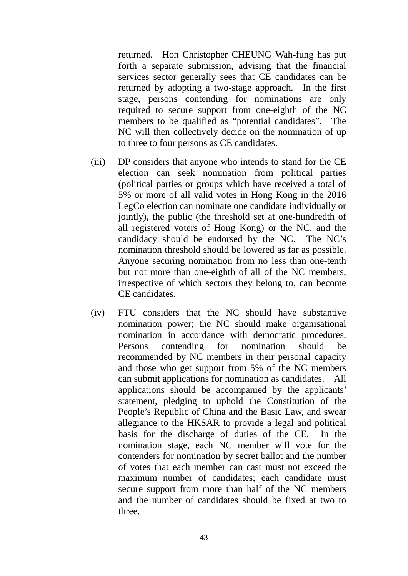returned. Hon Christopher CHEUNG Wah-fung has put forth a separate submission, advising that the financial services sector generally sees that CE candidates can be returned by adopting a two-stage approach. In the first stage, persons contending for nominations are only required to secure support from one-eighth of the NC members to be qualified as "potential candidates". The NC will then collectively decide on the nomination of up to three to four persons as CE candidates.

- (iii) DP considers that anyone who intends to stand for the CE election can seek nomination from political parties (political parties or groups which have received a total of 5% or more of all valid votes in Hong Kong in the 2016 LegCo election can nominate one candidate individually or jointly), the public (the threshold set at one-hundredth of all registered voters of Hong Kong) or the NC, and the candidacy should be endorsed by the NC. The NC's nomination threshold should be lowered as far as possible. Anyone securing nomination from no less than one-tenth but not more than one-eighth of all of the NC members, irrespective of which sectors they belong to, can become CE candidates.
- (iv) FTU considers that the NC should have substantive nomination power; the NC should make organisational nomination in accordance with democratic procedures. Persons contending for nomination should be recommended by NC members in their personal capacity and those who get support from 5% of the NC members can submit applications for nomination as candidates. All applications should be accompanied by the applicants' statement, pledging to uphold the Constitution of the People's Republic of China and the Basic Law, and swear allegiance to the HKSAR to provide a legal and political basis for the discharge of duties of the CE. In the nomination stage, each NC member will vote for the contenders for nomination by secret ballot and the number of votes that each member can cast must not exceed the maximum number of candidates; each candidate must secure support from more than half of the NC members and the number of candidates should be fixed at two to three.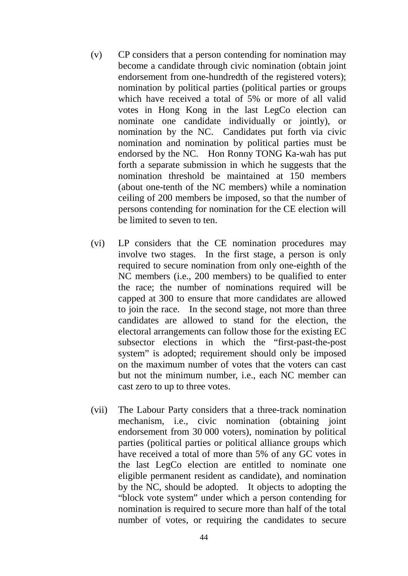- (v) CP considers that a person contending for nomination may become a candidate through civic nomination (obtain joint endorsement from one-hundredth of the registered voters); nomination by political parties (political parties or groups which have received a total of 5% or more of all valid votes in Hong Kong in the last LegCo election can nominate one candidate individually or jointly), or nomination by the NC. Candidates put forth via civic nomination and nomination by political parties must be endorsed by the NC. Hon Ronny TONG Ka-wah has put forth a separate submission in which he suggests that the nomination threshold be maintained at 150 members (about one-tenth of the NC members) while a nomination ceiling of 200 members be imposed, so that the number of persons contending for nomination for the CE election will be limited to seven to ten.
- (vi) LP considers that the CE nomination procedures may involve two stages. In the first stage, a person is only required to secure nomination from only one-eighth of the NC members (i.e., 200 members) to be qualified to enter the race; the number of nominations required will be capped at 300 to ensure that more candidates are allowed to join the race. In the second stage, not more than three candidates are allowed to stand for the election, the electoral arrangements can follow those for the existing EC subsector elections in which the "first-past-the-post system" is adopted; requirement should only be imposed on the maximum number of votes that the voters can cast but not the minimum number, i.e., each NC member can cast zero to up to three votes.
- (vii) The Labour Party considers that a three-track nomination mechanism, i.e., civic nomination (obtaining joint endorsement from 30 000 voters), nomination by political parties (political parties or political alliance groups which have received a total of more than 5% of any GC votes in the last LegCo election are entitled to nominate one eligible permanent resident as candidate), and nomination by the NC, should be adopted. It objects to adopting the "block vote system" under which a person contending for nomination is required to secure more than half of the total number of votes, or requiring the candidates to secure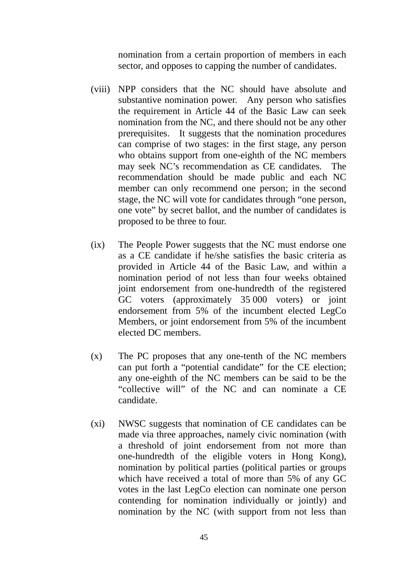nomination from a certain proportion of members in each sector, and opposes to capping the number of candidates.

- (viii) NPP considers that the NC should have absolute and substantive nomination power. Any person who satisfies the requirement in Article 44 of the Basic Law can seek nomination from the NC, and there should not be any other prerequisites. It suggests that the nomination procedures can comprise of two stages: in the first stage, any person who obtains support from one-eighth of the NC members may seek NC's recommendation as CE candidates. The recommendation should be made public and each NC member can only recommend one person; in the second stage, the NC will vote for candidates through "one person, one vote" by secret ballot, and the number of candidates is proposed to be three to four.
- (ix) The People Power suggests that the NC must endorse one as a CE candidate if he/she satisfies the basic criteria as provided in Article 44 of the Basic Law, and within a nomination period of not less than four weeks obtained joint endorsement from one-hundredth of the registered GC voters (approximately 35 000 voters) or joint endorsement from 5% of the incumbent elected LegCo Members, or joint endorsement from 5% of the incumbent elected DC members.
- (x) The PC proposes that any one-tenth of the NC members can put forth a "potential candidate" for the CE election; any one-eighth of the NC members can be said to be the "collective will" of the NC and can nominate a CE candidate.
- (xi) NWSC suggests that nomination of CE candidates can be made via three approaches, namely civic nomination (with a threshold of joint endorsement from not more than one-hundredth of the eligible voters in Hong Kong), nomination by political parties (political parties or groups which have received a total of more than 5% of any GC votes in the last LegCo election can nominate one person contending for nomination individually or jointly) and nomination by the NC (with support from not less than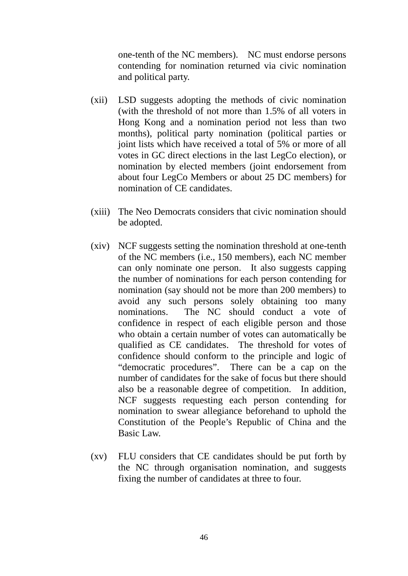one-tenth of the NC members). NC must endorse persons contending for nomination returned via civic nomination and political party.

- (xii) LSD suggests adopting the methods of civic nomination (with the threshold of not more than 1.5% of all voters in Hong Kong and a nomination period not less than two months), political party nomination (political parties or joint lists which have received a total of 5% or more of all votes in GC direct elections in the last LegCo election), or nomination by elected members (joint endorsement from about four LegCo Members or about 25 DC members) for nomination of CE candidates.
- (xiii) The Neo Democrats considers that civic nomination should be adopted.
- (xiv) NCF suggests setting the nomination threshold at one-tenth of the NC members (i.e., 150 members), each NC member can only nominate one person. It also suggests capping the number of nominations for each person contending for nomination (say should not be more than 200 members) to avoid any such persons solely obtaining too many nominations. The NC should conduct a vote of confidence in respect of each eligible person and those who obtain a certain number of votes can automatically be qualified as CE candidates. The threshold for votes of confidence should conform to the principle and logic of "democratic procedures". There can be a cap on the number of candidates for the sake of focus but there should also be a reasonable degree of competition. In addition, NCF suggests requesting each person contending for nomination to swear allegiance beforehand to uphold the Constitution of the People's Republic of China and the Basic Law.
- (xv) FLU considers that CE candidates should be put forth by the NC through organisation nomination, and suggests fixing the number of candidates at three to four.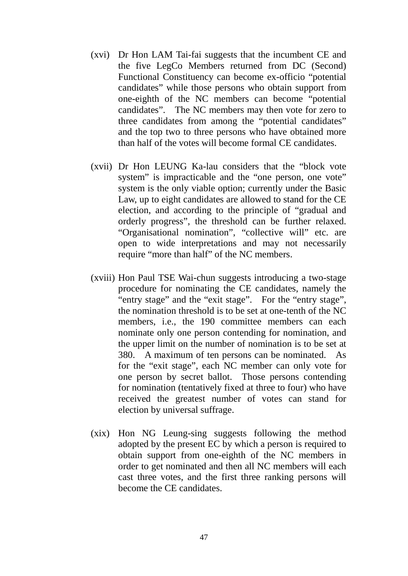- (xvi) Dr Hon LAM Tai-fai suggests that the incumbent CE and the five LegCo Members returned from DC (Second) Functional Constituency can become ex-officio "potential candidates" while those persons who obtain support from one-eighth of the NC members can become "potential candidates". The NC members may then vote for zero to three candidates from among the "potential candidates" and the top two to three persons who have obtained more than half of the votes will become formal CE candidates.
- (xvii) Dr Hon LEUNG Ka-lau considers that the "block vote system" is impracticable and the "one person, one vote" system is the only viable option; currently under the Basic Law, up to eight candidates are allowed to stand for the CE election, and according to the principle of "gradual and orderly progress", the threshold can be further relaxed. "Organisational nomination", "collective will" etc. are open to wide interpretations and may not necessarily require "more than half" of the NC members.
- (xviii) Hon Paul TSE Wai-chun suggests introducing a two-stage procedure for nominating the CE candidates, namely the "entry stage" and the "exit stage". For the "entry stage", the nomination threshold is to be set at one-tenth of the NC members, i.e., the 190 committee members can each nominate only one person contending for nomination, and the upper limit on the number of nomination is to be set at 380. A maximum of ten persons can be nominated. As for the "exit stage", each NC member can only vote for one person by secret ballot. Those persons contending for nomination (tentatively fixed at three to four) who have received the greatest number of votes can stand for election by universal suffrage.
- (xix) Hon NG Leung-sing suggests following the method adopted by the present EC by which a person is required to obtain support from one-eighth of the NC members in order to get nominated and then all NC members will each cast three votes, and the first three ranking persons will become the CE candidates.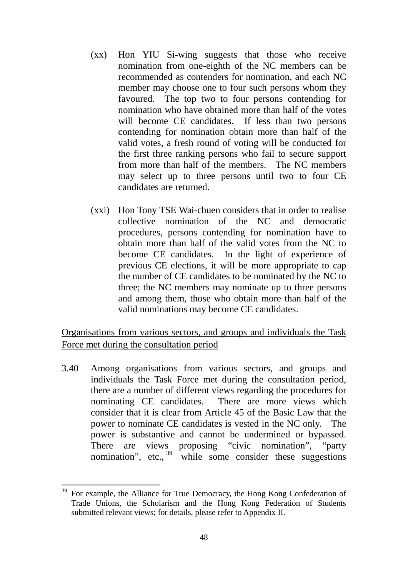- (xx) Hon YIU Si-wing suggests that those who receive nomination from one-eighth of the NC members can be recommended as contenders for nomination, and each NC member may choose one to four such persons whom they favoured. The top two to four persons contending for nomination who have obtained more than half of the votes will become CE candidates. If less than two persons contending for nomination obtain more than half of the valid votes, a fresh round of voting will be conducted for the first three ranking persons who fail to secure support from more than half of the members. The NC members may select up to three persons until two to four CE candidates are returned.
- (xxi) Hon Tony TSE Wai-chuen considers that in order to realise collective nomination of the NC and democratic procedures, persons contending for nomination have to obtain more than half of the valid votes from the NC to become CE candidates. In the light of experience of previous CE elections, it will be more appropriate to cap the number of CE candidates to be nominated by the NC to three; the NC members may nominate up to three persons and among them, those who obtain more than half of the valid nominations may become CE candidates.

Organisations from various sectors, and groups and individuals the Task Force met during the consultation period

3.40 Among organisations from various sectors, and groups and individuals the Task Force met during the consultation period, there are a number of different views regarding the procedures for nominating CE candidates. There are more views which consider that it is clear from Article 45 of the Basic Law that the power to nominate CE candidates is vested in the NC only. The power is substantive and cannot be undermined or bypassed. There are views proposing "civic nomination", "party nomination", etc.,  $39$  while some consider these suggestions

<span id="page-50-0"></span><sup>39</sup> For example, the Alliance for True Democracy, the Hong Kong Confederation of Trade Unions, the Scholarism and the Hong Kong Federation of Students submitted relevant views; for details, please refer to Appendix II. 1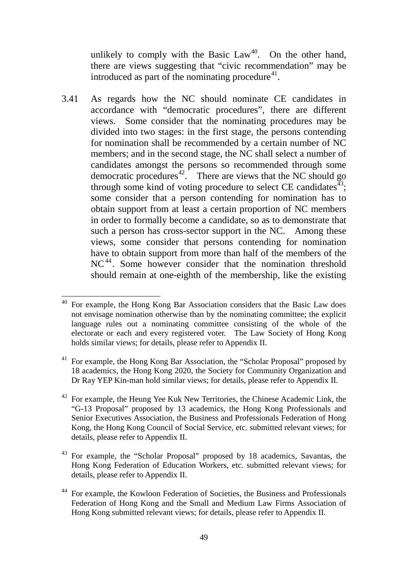unlikely to comply with the Basic  $Law<sup>40</sup>$ . On the other hand, there are views suggesting that "civic recommendation" may be introduced as part of the nominating procedure $41$ .

3.41 As regards how the NC should nominate CE candidates in accordance with "democratic procedures", there are different views. Some consider that the nominating procedures may be divided into two stages: in the first stage, the persons contending for nomination shall be recommended by a certain number of NC members; and in the second stage, the NC shall select a number of candidates amongst the persons so recommended through some democratic procedures<sup>42</sup>. There are views that the NC should go through some kind of voting procedure to select CE candidates $43$ ; some consider that a person contending for nomination has to obtain support from at least a certain proportion of NC members in order to formally become a candidate, so as to demonstrate that such a person has cross-sector support in the NC. Among these views, some consider that persons contending for nomination have to obtain support from more than half of the members of the NC<sup>[44](#page-51-4)</sup>. Some however consider that the nomination threshold should remain at one-eighth of the membership, like the existing

<span id="page-51-0"></span><sup>40</sup> For example, the Hong Kong Bar Association considers that the Basic Law does not envisage nomination otherwise than by the nominating committee; the explicit language rules out a nominating committee consisting of the whole of the electorate or each and every registered voter. The Law Society of Hong Kong holds similar views; for details, please refer to Appendix II. -

<span id="page-51-1"></span> $41$  For example, the Hong Kong Bar Association, the "Scholar Proposal" proposed by 18 academics, the Hong Kong 2020, the Society for Community Organization and Dr Ray YEP Kin-man hold similar views; for details, please refer to Appendix II.

<span id="page-51-2"></span> $42$  For example, the Heung Yee Kuk New Territories, the Chinese Academic Link, the "G-13 Proposal" proposed by 13 academics, the Hong Kong Professionals and Senior Executives Association, the Business and Professionals Federation of Hong Kong, the Hong Kong Council of Social Service, etc. submitted relevant views; for details, please refer to Appendix II.

<span id="page-51-3"></span><sup>43</sup> For example, the "Scholar Proposal" proposed by 18 academics, Savantas, the Hong Kong Federation of Education Workers, etc. submitted relevant views; for details, please refer to Appendix II.

<span id="page-51-4"></span><sup>44</sup> For example, the Kowloon Federation of Societies, the Business and Professionals Federation of Hong Kong and the Small and Medium Law Firms Association of Hong Kong submitted relevant views; for details, please refer to Appendix II.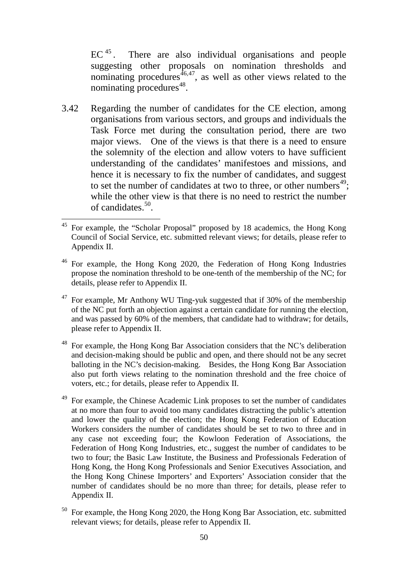EC<sup>[45](#page-52-0)</sup>. There are also individual organisations and people suggesting other proposals on nomination thresholds and nominating procedures $46,47$  $46,47$ , as well as other views related to the nominating procedures $48$ .

3.42 Regarding the number of candidates for the CE election, among organisations from various sectors, and groups and individuals the Task Force met during the consultation period, there are two major views. One of the views is that there is a need to ensure the solemnity of the election and allow voters to have sufficient understanding of the candidates' manifestoes and missions, and hence it is necessary to fix the number of candidates, and suggest to set the number of candidates at two to three, or other numbers<sup>[49](#page-52-4)</sup>; while the other view is that there is no need to restrict the number of candidates.[50.](#page-52-5)

<span id="page-52-0"></span><sup>&</sup>lt;sup>45</sup> For example, the "Scholar Proposal" proposed by 18 academics, the Hong Kong Council of Social Service, etc. submitted relevant views; for details, please refer to Appendix II. .

<span id="page-52-1"></span><sup>46</sup> For example, the Hong Kong 2020, the Federation of Hong Kong Industries propose the nomination threshold to be one-tenth of the membership of the NC; for details, please refer to Appendix II.

<span id="page-52-2"></span><sup>&</sup>lt;sup>47</sup> For example, Mr Anthony WU Ting-yuk suggested that if 30% of the membership of the NC put forth an objection against a certain candidate for running the election, and was passed by 60% of the members, that candidate had to withdraw; for details, please refer to Appendix II.

<span id="page-52-3"></span><sup>48</sup> For example, the Hong Kong Bar Association considers that the NC's deliberation and decision-making should be public and open, and there should not be any secret balloting in the NC's decision-making. Besides, the Hong Kong Bar Association also put forth views relating to the nomination threshold and the free choice of voters, etc.; for details, please refer to Appendix II.

<span id="page-52-4"></span><sup>&</sup>lt;sup>49</sup> For example, the Chinese Academic Link proposes to set the number of candidates at no more than four to avoid too many candidates distracting the public's attention and lower the quality of the election; the Hong Kong Federation of Education Workers considers the number of candidates should be set to two to three and in any case not exceeding four; the Kowloon Federation of Associations, the Federation of Hong Kong Industries, etc., suggest the number of candidates to be two to four; the Basic Law Institute, the Business and Professionals Federation of Hong Kong, the Hong Kong Professionals and Senior Executives Association, and the Hong Kong Chinese Importers' and Exporters' Association consider that the number of candidates should be no more than three; for details, please refer to Appendix II.

<span id="page-52-5"></span><sup>50</sup> For example, the Hong Kong 2020, the Hong Kong Bar Association, etc. submitted relevant views; for details, please refer to Appendix II.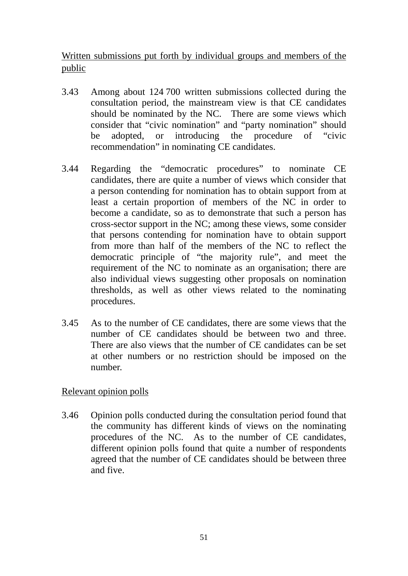Written submissions put forth by individual groups and members of the public

- 3.43 Among about 124 700 written submissions collected during the consultation period, the mainstream view is that CE candidates should be nominated by the NC. There are some views which consider that "civic nomination" and "party nomination" should be adopted, or introducing the procedure of "civic recommendation" in nominating CE candidates.
- 3.44 Regarding the "democratic procedures" to nominate CE candidates, there are quite a number of views which consider that a person contending for nomination has to obtain support from at least a certain proportion of members of the NC in order to become a candidate, so as to demonstrate that such a person has cross-sector support in the NC; among these views, some consider that persons contending for nomination have to obtain support from more than half of the members of the NC to reflect the democratic principle of "the majority rule", and meet the requirement of the NC to nominate as an organisation; there are also individual views suggesting other proposals on nomination thresholds, as well as other views related to the nominating procedures.
- 3.45 As to the number of CE candidates, there are some views that the number of CE candidates should be between two and three. There are also views that the number of CE candidates can be set at other numbers or no restriction should be imposed on the number.

## Relevant opinion polls

3.46 Opinion polls conducted during the consultation period found that the community has different kinds of views on the nominating procedures of the NC. As to the number of CE candidates, different opinion polls found that quite a number of respondents agreed that the number of CE candidates should be between three and five.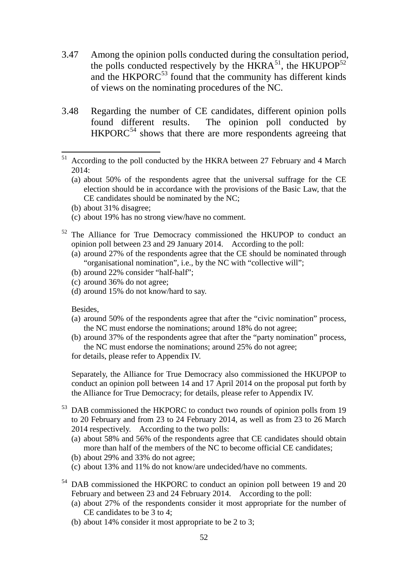- 3.47 Among the opinion polls conducted during the consultation period, the polls conducted respectively by the  $HKRA^{51}$  $HKRA^{51}$  $HKRA^{51}$ , the  $HKUPOP^{52}$  $HKUPOP^{52}$  $HKUPOP^{52}$ and the HKPORC $^{53}$  $^{53}$  $^{53}$  found that the community has different kinds of views on the nominating procedures of the NC.
- 3.48 Regarding the number of CE candidates, different opinion polls found different results. The opinion poll conducted by  $HKPORC<sup>54</sup>$  $HKPORC<sup>54</sup>$  $HKPORC<sup>54</sup>$  shows that there are more respondents agreeing that

- (a) about 50% of the respondents agree that the universal suffrage for the CE election should be in accordance with the provisions of the Basic Law, that the CE candidates should be nominated by the NC;
- (b) about 31% disagree;
- (c) about 19% has no strong view/have no comment.
- <span id="page-54-1"></span><sup>52</sup> The Alliance for True Democracy commissioned the HKUPOP to conduct an opinion poll between 23 and 29 January 2014. According to the poll:
	- (a) around 27% of the respondents agree that the CE should be nominated through "organisational nomination", i.e., by the NC with "collective will";
	- (b) around 22% consider "half-half";
	- (c) around 36% do not agree;
	- (d) around 15% do not know/hard to say.

Besides,

- (a) around 50% of the respondents agree that after the "civic nomination" process, the NC must endorse the nominations; around 18% do not agree;
- (b) around 37% of the respondents agree that after the "party nomination" process, the NC must endorse the nominations; around 25% do not agree;

for details, please refer to Appendix IV.

Separately, the Alliance for True Democracy also commissioned the HKUPOP to conduct an opinion poll between 14 and 17 April 2014 on the proposal put forth by the Alliance for True Democracy; for details, please refer to Appendix IV.

- <span id="page-54-2"></span><sup>53</sup> DAB commissioned the HKPORC to conduct two rounds of opinion polls from 19 to 20 February and from 23 to 24 February 2014, as well as from 23 to 26 March 2014 respectively. According to the two polls:
	- (a) about 58% and 56% of the respondents agree that CE candidates should obtain more than half of the members of the NC to become official CE candidates;
	- (b) about 29% and 33% do not agree;
	- (c) about 13% and 11% do not know/are undecided/have no comments.
- <span id="page-54-3"></span><sup>54</sup> DAB commissioned the HKPORC to conduct an opinion poll between 19 and 20 February and between 23 and 24 February 2014. According to the poll:
	- (a) about 27% of the respondents consider it most appropriate for the number of CE candidates to be 3 to 4;
	- (b) about 14% consider it most appropriate to be 2 to 3;

<span id="page-54-0"></span><sup>51</sup> According to the poll conducted by the HKRA between 27 February and 4 March 2014: 51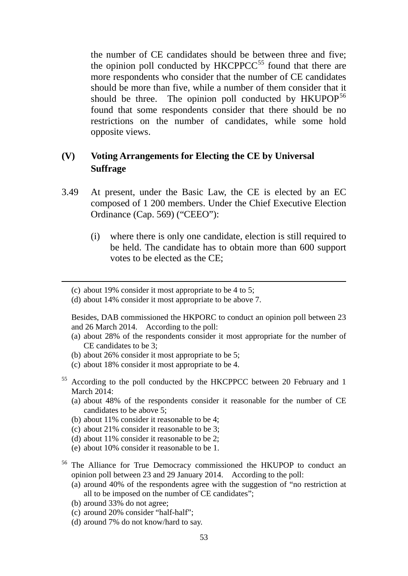the number of CE candidates should be between three and five; the opinion poll conducted by  $HKCPPCC<sup>55</sup>$  $HKCPPCC<sup>55</sup>$  $HKCPPCC<sup>55</sup>$  found that there are more respondents who consider that the number of CE candidates should be more than five, while a number of them consider that it should be three. The opinion poll conducted by  $HKUPOP<sup>56</sup>$  $HKUPOP<sup>56</sup>$  $HKUPOP<sup>56</sup>$ found that some respondents consider that there should be no restrictions on the number of candidates, while some hold opposite views.

## **(V) Voting Arrangements for Electing the CE by Universal Suffrage**

- 3.49 At present, under the Basic Law, the CE is elected by an EC composed of 1 200 members. Under the Chief Executive Election Ordinance (Cap. 569) ("CEEO"):
	- (i) where there is only one candidate, election is still required to be held. The candidate has to obtain more than 600 support votes to be elected as the CE;

(d) about 14% consider it most appropriate to be above 7.

Besides, DAB commissioned the HKPORC to conduct an opinion poll between 23 and 26 March 2014. According to the poll:

- (a) about 28% of the respondents consider it most appropriate for the number of CE candidates to be 3;
- (b) about 26% consider it most appropriate to be 5;
- (c) about 18% consider it most appropriate to be 4.
- <span id="page-55-0"></span><sup>55</sup> According to the poll conducted by the HKCPPCC between 20 February and 1 March 2014:
	- (a) about 48% of the respondents consider it reasonable for the number of CE candidates to be above 5;
	- (b) about 11% consider it reasonable to be 4;
	- (c) about 21% consider it reasonable to be 3;
	- (d) about 11% consider it reasonable to be 2;
	- (e) about 10% consider it reasonable to be 1.
- <span id="page-55-1"></span><sup>56</sup> The Alliance for True Democracy commissioned the HKUPOP to conduct an opinion poll between 23 and 29 January 2014. According to the poll:
	- (a) around 40% of the respondents agree with the suggestion of "no restriction at all to be imposed on the number of CE candidates";
	- (b) around 33% do not agree;

-

- (c) around 20% consider "half-half";
- (d) around 7% do not know/hard to say.

<sup>(</sup>c) about 19% consider it most appropriate to be 4 to 5;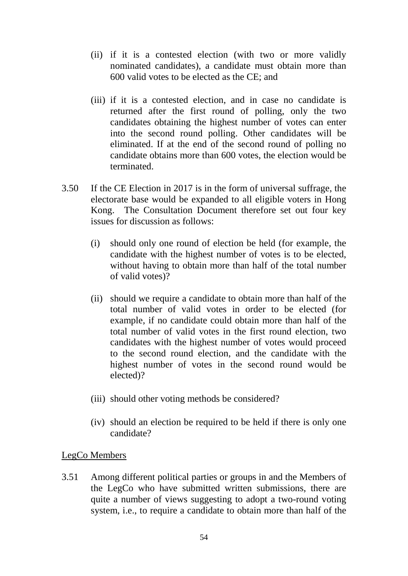- (ii) if it is a contested election (with two or more validly nominated candidates), a candidate must obtain more than 600 valid votes to be elected as the CE; and
- (iii) if it is a contested election, and in case no candidate is returned after the first round of polling, only the two candidates obtaining the highest number of votes can enter into the second round polling. Other candidates will be eliminated. If at the end of the second round of polling no candidate obtains more than 600 votes, the election would be terminated.
- 3.50 If the CE Election in 2017 is in the form of universal suffrage, the electorate base would be expanded to all eligible voters in Hong Kong. The Consultation Document therefore set out four key issues for discussion as follows:
	- (i) should only one round of election be held (for example, the candidate with the highest number of votes is to be elected, without having to obtain more than half of the total number of valid votes)?
	- (ii) should we require a candidate to obtain more than half of the total number of valid votes in order to be elected (for example, if no candidate could obtain more than half of the total number of valid votes in the first round election, two candidates with the highest number of votes would proceed to the second round election, and the candidate with the highest number of votes in the second round would be elected)?
	- (iii) should other voting methods be considered?
	- (iv) should an election be required to be held if there is only one candidate?

#### LegCo Members

3.51 Among different political parties or groups in and the Members of the LegCo who have submitted written submissions, there are quite a number of views suggesting to adopt a two-round voting system, i.e., to require a candidate to obtain more than half of the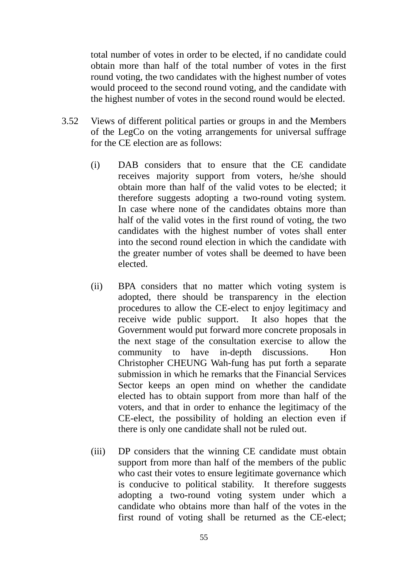total number of votes in order to be elected, if no candidate could obtain more than half of the total number of votes in the first round voting, the two candidates with the highest number of votes would proceed to the second round voting, and the candidate with the highest number of votes in the second round would be elected.

- 3.52 Views of different political parties or groups in and the Members of the LegCo on the voting arrangements for universal suffrage for the CE election are as follows:
	- (i) DAB considers that to ensure that the CE candidate receives majority support from voters, he/she should obtain more than half of the valid votes to be elected; it therefore suggests adopting a two-round voting system. In case where none of the candidates obtains more than half of the valid votes in the first round of voting, the two candidates with the highest number of votes shall enter into the second round election in which the candidate with the greater number of votes shall be deemed to have been elected.
	- (ii) BPA considers that no matter which voting system is adopted, there should be transparency in the election procedures to allow the CE-elect to enjoy legitimacy and receive wide public support. It also hopes that the Government would put forward more concrete proposals in the next stage of the consultation exercise to allow the community to have in-depth discussions. Hon Christopher CHEUNG Wah-fung has put forth a separate submission in which he remarks that the Financial Services Sector keeps an open mind on whether the candidate elected has to obtain support from more than half of the voters, and that in order to enhance the legitimacy of the CE-elect, the possibility of holding an election even if there is only one candidate shall not be ruled out.
	- (iii) DP considers that the winning CE candidate must obtain support from more than half of the members of the public who cast their votes to ensure legitimate governance which is conducive to political stability. It therefore suggests adopting a two-round voting system under which a candidate who obtains more than half of the votes in the first round of voting shall be returned as the CE-elect;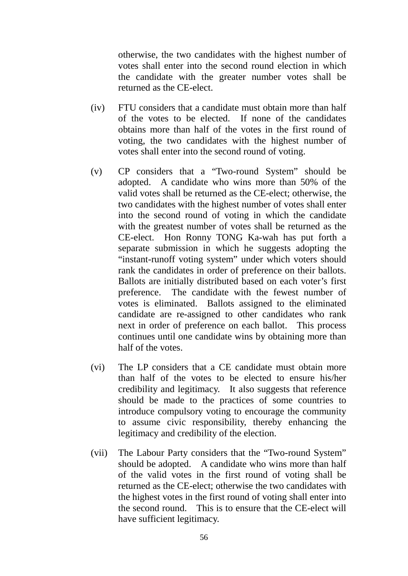otherwise, the two candidates with the highest number of votes shall enter into the second round election in which the candidate with the greater number votes shall be returned as the CE-elect.

- (iv) FTU considers that a candidate must obtain more than half of the votes to be elected. If none of the candidates obtains more than half of the votes in the first round of voting, the two candidates with the highest number of votes shall enter into the second round of voting.
- (v) CP considers that a "Two-round System" should be adopted. A candidate who wins more than 50% of the valid votes shall be returned as the CE-elect; otherwise, the two candidates with the highest number of votes shall enter into the second round of voting in which the candidate with the greatest number of votes shall be returned as the CE-elect. Hon Ronny TONG Ka-wah has put forth a separate submission in which he suggests adopting the "instant-runoff voting system" under which voters should rank the candidates in order of preference on their ballots. Ballots are initially distributed based on each voter's first preference. The candidate with the fewest number of votes is eliminated. Ballots assigned to the eliminated candidate are re-assigned to other candidates who rank next in order of preference on each ballot. This process continues until one candidate wins by obtaining more than half of the votes.
- (vi) The LP considers that a CE candidate must obtain more than half of the votes to be elected to ensure his/her credibility and legitimacy. It also suggests that reference should be made to the practices of some countries to introduce compulsory voting to encourage the community to assume civic responsibility, thereby enhancing the legitimacy and credibility of the election.
- (vii) The Labour Party considers that the "Two-round System" should be adopted. A candidate who wins more than half of the valid votes in the first round of voting shall be returned as the CE-elect; otherwise the two candidates with the highest votes in the first round of voting shall enter into the second round. This is to ensure that the CE-elect will have sufficient legitimacy.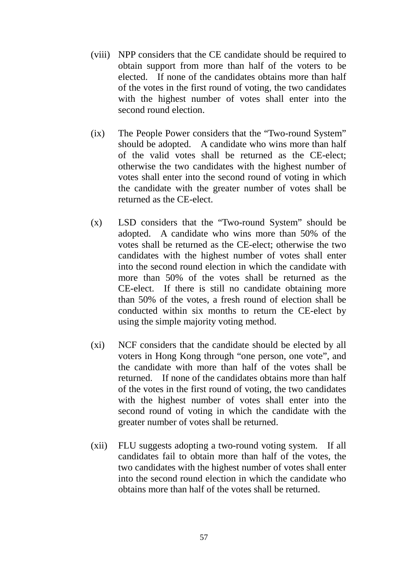- (viii) NPP considers that the CE candidate should be required to obtain support from more than half of the voters to be elected. If none of the candidates obtains more than half of the votes in the first round of voting, the two candidates with the highest number of votes shall enter into the second round election.
- (ix) The People Power considers that the "Two-round System" should be adopted. A candidate who wins more than half of the valid votes shall be returned as the CE-elect; otherwise the two candidates with the highest number of votes shall enter into the second round of voting in which the candidate with the greater number of votes shall be returned as the CE-elect.
- (x) LSD considers that the "Two-round System" should be adopted. A candidate who wins more than 50% of the votes shall be returned as the CE-elect; otherwise the two candidates with the highest number of votes shall enter into the second round election in which the candidate with more than 50% of the votes shall be returned as the CE-elect. If there is still no candidate obtaining more than 50% of the votes, a fresh round of election shall be conducted within six months to return the CE-elect by using the simple majority voting method.
- (xi) NCF considers that the candidate should be elected by all voters in Hong Kong through "one person, one vote", and the candidate with more than half of the votes shall be returned. If none of the candidates obtains more than half of the votes in the first round of voting, the two candidates with the highest number of votes shall enter into the second round of voting in which the candidate with the greater number of votes shall be returned.
- (xii) FLU suggests adopting a two-round voting system. If all candidates fail to obtain more than half of the votes, the two candidates with the highest number of votes shall enter into the second round election in which the candidate who obtains more than half of the votes shall be returned.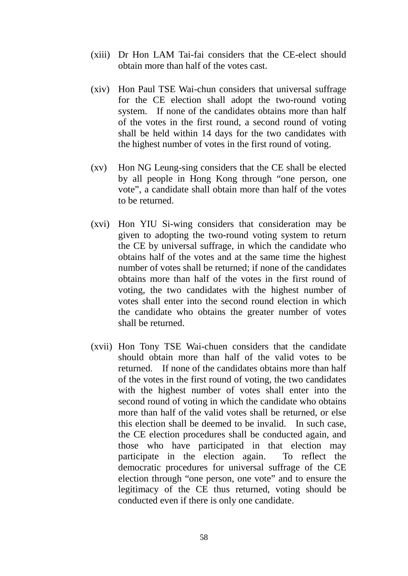- (xiii) Dr Hon LAM Tai-fai considers that the CE-elect should obtain more than half of the votes cast.
- (xiv) Hon Paul TSE Wai-chun considers that universal suffrage for the CE election shall adopt the two-round voting system. If none of the candidates obtains more than half of the votes in the first round, a second round of voting shall be held within 14 days for the two candidates with the highest number of votes in the first round of voting.
- (xv) Hon NG Leung-sing considers that the CE shall be elected by all people in Hong Kong through "one person, one vote", a candidate shall obtain more than half of the votes to be returned.
- (xvi) Hon YIU Si-wing considers that consideration may be given to adopting the two-round voting system to return the CE by universal suffrage, in which the candidate who obtains half of the votes and at the same time the highest number of votes shall be returned; if none of the candidates obtains more than half of the votes in the first round of voting, the two candidates with the highest number of votes shall enter into the second round election in which the candidate who obtains the greater number of votes shall be returned.
- (xvii) Hon Tony TSE Wai-chuen considers that the candidate should obtain more than half of the valid votes to be returned. If none of the candidates obtains more than half of the votes in the first round of voting, the two candidates with the highest number of votes shall enter into the second round of voting in which the candidate who obtains more than half of the valid votes shall be returned, or else this election shall be deemed to be invalid. In such case, the CE election procedures shall be conducted again, and those who have participated in that election may participate in the election again. To reflect the democratic procedures for universal suffrage of the CE election through "one person, one vote" and to ensure the legitimacy of the CE thus returned, voting should be conducted even if there is only one candidate.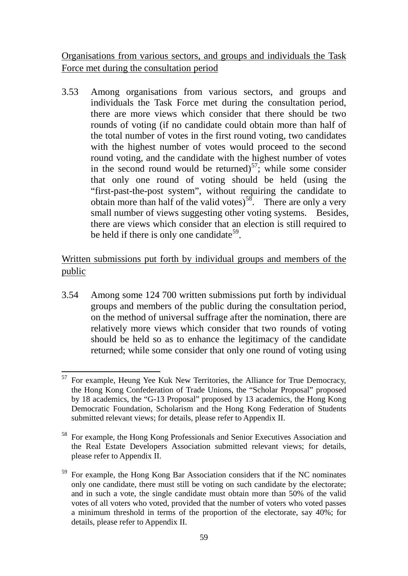Organisations from various sectors, and groups and individuals the Task Force met during the consultation period

3.53 Among organisations from various sectors, and groups and individuals the Task Force met during the consultation period, there are more views which consider that there should be two rounds of voting (if no candidate could obtain more than half of the total number of votes in the first round voting, two candidates with the highest number of votes would proceed to the second round voting, and the candidate with the highest number of votes in the second round would be returned)<sup>[57](#page-61-0)</sup>; while some consider that only one round of voting should be held (using the "first-past-the-post system", without requiring the candidate to obtain more than half of the valid votes)<sup>58</sup>. There are only a very small number of views suggesting other voting systems. Besides, there are views which consider that an election is still required to be held if there is only one candidate<sup>59</sup>.

# Written submissions put forth by individual groups and members of the public

3.54 Among some 124 700 written submissions put forth by individual groups and members of the public during the consultation period, on the method of universal suffrage after the nomination, there are relatively more views which consider that two rounds of voting should be held so as to enhance the legitimacy of the candidate returned; while some consider that only one round of voting using

<span id="page-61-0"></span> $57$  For example, Heung Yee Kuk New Territories, the Alliance for True Democracy, the Hong Kong Confederation of Trade Unions, the "Scholar Proposal" proposed by 18 academics, the "G-13 Proposal" proposed by 13 academics, the Hong Kong Democratic Foundation, Scholarism and the Hong Kong Federation of Students submitted relevant views; for details, please refer to Appendix II. -

<span id="page-61-1"></span><sup>58</sup> For example, the Hong Kong Professionals and Senior Executives Association and the Real Estate Developers Association submitted relevant views; for details, please refer to Appendix II.

<span id="page-61-2"></span><sup>59</sup> For example, the Hong Kong Bar Association considers that if the NC nominates only one candidate, there must still be voting on such candidate by the electorate; and in such a vote, the single candidate must obtain more than 50% of the valid votes of all voters who voted, provided that the number of voters who voted passes a minimum threshold in terms of the proportion of the electorate, say 40%; for details, please refer to Appendix II.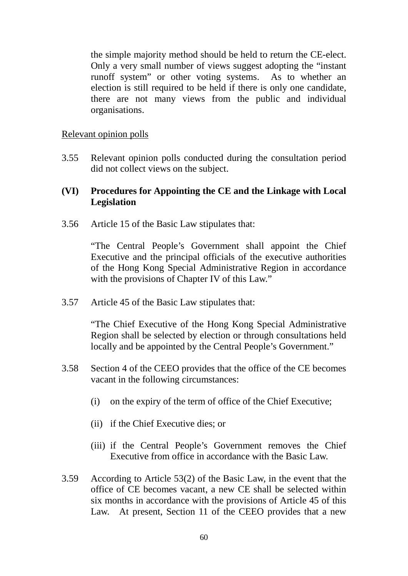the simple majority method should be held to return the CE-elect. Only a very small number of views suggest adopting the "instant runoff system" or other voting systems. As to whether an election is still required to be held if there is only one candidate, there are not many views from the public and individual organisations.

#### Relevant opinion polls

3.55 Relevant opinion polls conducted during the consultation period did not collect views on the subject.

## **(VI) Procedures for Appointing the CE and the Linkage with Local Legislation**

3.56 Article 15 of the Basic Law stipulates that:

"The Central People's Government shall appoint the Chief Executive and the principal officials of the executive authorities of the Hong Kong Special Administrative Region in accordance with the provisions of Chapter IV of this Law."

3.57 Article 45 of the Basic Law stipulates that:

"The Chief Executive of the Hong Kong Special Administrative Region shall be selected by election or through consultations held locally and be appointed by the Central People's Government."

- 3.58 Section 4 of the CEEO provides that the office of the CE becomes vacant in the following circumstances:
	- (i) on the expiry of the term of office of the Chief Executive;
	- (ii) if the Chief Executive dies; or
	- (iii) if the Central People's Government removes the Chief Executive from office in accordance with the Basic Law.
- 3.59 According to Article 53(2) of the Basic Law, in the event that the office of CE becomes vacant, a new CE shall be selected within six months in accordance with the provisions of Article 45 of this Law. At present, Section 11 of the CEEO provides that a new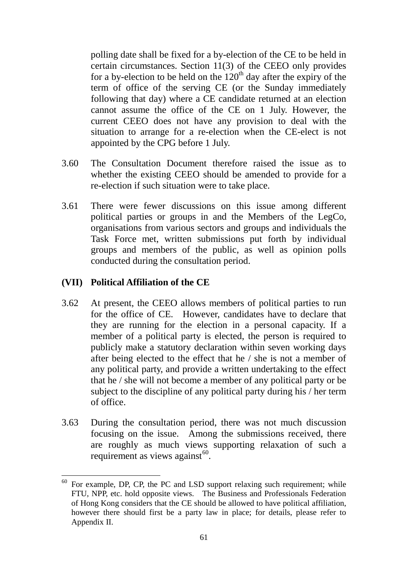polling date shall be fixed for a by-election of the CE to be held in certain circumstances. Section 11(3) of the CEEO only provides for a by-election to be held on the  $120<sup>th</sup>$  day after the expiry of the term of office of the serving CE (or the Sunday immediately following that day) where a CE candidate returned at an election cannot assume the office of the CE on 1 July. However, the current CEEO does not have any provision to deal with the situation to arrange for a re-election when the CE-elect is not appointed by the CPG before 1 July.

- 3.60 The Consultation Document therefore raised the issue as to whether the existing CEEO should be amended to provide for a re-election if such situation were to take place.
- 3.61 There were fewer discussions on this issue among different political parties or groups in and the Members of the LegCo, organisations from various sectors and groups and individuals the Task Force met, written submissions put forth by individual groups and members of the public, as well as opinion polls conducted during the consultation period.

## **(VII) Political Affiliation of the CE**

- 3.62 At present, the CEEO allows members of political parties to run for the office of CE. However, candidates have to declare that they are running for the election in a personal capacity. If a member of a political party is elected, the person is required to publicly make a statutory declaration within seven working days after being elected to the effect that he / she is not a member of any political party, and provide a written undertaking to the effect that he / she will not become a member of any political party or be subject to the discipline of any political party during his / her term of office.
- 3.63 During the consultation period, there was not much discussion focusing on the issue. Among the submissions received, there are roughly as much views supporting relaxation of such a requirement as views against $60$ .

<span id="page-63-0"></span> $60$  For example, DP, CP, the PC and LSD support relaxing such requirement; while FTU, NPP, etc. hold opposite views. The Business and Professionals Federation of Hong Kong considers that the CE should be allowed to have political affiliation, however there should first be a party law in place; for details, please refer to Appendix II. 1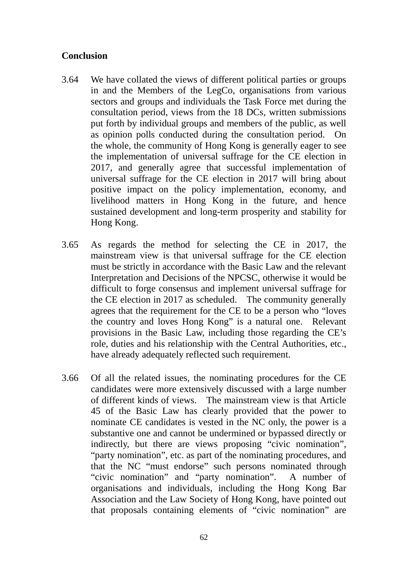## **Conclusion**

- 3.64 We have collated the views of different political parties or groups in and the Members of the LegCo, organisations from various sectors and groups and individuals the Task Force met during the consultation period, views from the 18 DCs, written submissions put forth by individual groups and members of the public, as well as opinion polls conducted during the consultation period. On the whole, the community of Hong Kong is generally eager to see the implementation of universal suffrage for the CE election in 2017, and generally agree that successful implementation of universal suffrage for the CE election in 2017 will bring about positive impact on the policy implementation, economy, and livelihood matters in Hong Kong in the future, and hence sustained development and long-term prosperity and stability for Hong Kong.
- 3.65 As regards the method for selecting the CE in 2017, the mainstream view is that universal suffrage for the CE election must be strictly in accordance with the Basic Law and the relevant Interpretation and Decisions of the NPCSC, otherwise it would be difficult to forge consensus and implement universal suffrage for the CE election in 2017 as scheduled. The community generally agrees that the requirement for the CE to be a person who "loves the country and loves Hong Kong" is a natural one. Relevant provisions in the Basic Law, including those regarding the CE's role, duties and his relationship with the Central Authorities, etc., have already adequately reflected such requirement.
- 3.66 Of all the related issues, the nominating procedures for the CE candidates were more extensively discussed with a large number of different kinds of views. The mainstream view is that Article 45 of the Basic Law has clearly provided that the power to nominate CE candidates is vested in the NC only, the power is a substantive one and cannot be undermined or bypassed directly or indirectly, but there are views proposing "civic nomination", "party nomination", etc. as part of the nominating procedures, and that the NC "must endorse" such persons nominated through "civic nomination" and "party nomination". A number of organisations and individuals, including the Hong Kong Bar Association and the Law Society of Hong Kong, have pointed out that proposals containing elements of "civic nomination" are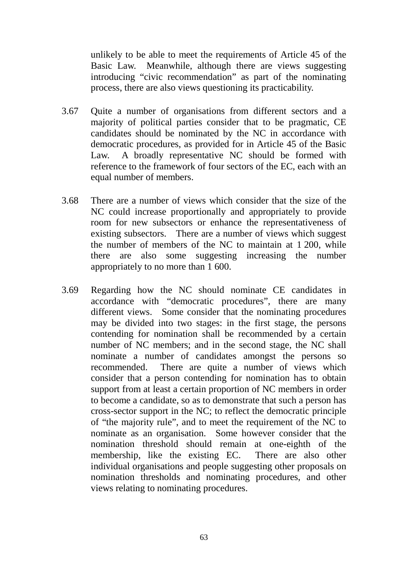unlikely to be able to meet the requirements of Article 45 of the Basic Law. Meanwhile, although there are views suggesting introducing "civic recommendation" as part of the nominating process, there are also views questioning its practicability.

- 3.67 Quite a number of organisations from different sectors and a majority of political parties consider that to be pragmatic, CE candidates should be nominated by the NC in accordance with democratic procedures, as provided for in Article 45 of the Basic Law. A broadly representative NC should be formed with reference to the framework of four sectors of the EC, each with an equal number of members.
- 3.68 There are a number of views which consider that the size of the NC could increase proportionally and appropriately to provide room for new subsectors or enhance the representativeness of existing subsectors. There are a number of views which suggest the number of members of the NC to maintain at 1 200, while there are also some suggesting increasing the number appropriately to no more than 1 600.
- 3.69 Regarding how the NC should nominate CE candidates in accordance with "democratic procedures", there are many different views. Some consider that the nominating procedures may be divided into two stages: in the first stage, the persons contending for nomination shall be recommended by a certain number of NC members; and in the second stage, the NC shall nominate a number of candidates amongst the persons so recommended. There are quite a number of views which consider that a person contending for nomination has to obtain support from at least a certain proportion of NC members in order to become a candidate, so as to demonstrate that such a person has cross-sector support in the NC; to reflect the democratic principle of "the majority rule", and to meet the requirement of the NC to nominate as an organisation. Some however consider that the nomination threshold should remain at one-eighth of the membership, like the existing EC. There are also other individual organisations and people suggesting other proposals on nomination thresholds and nominating procedures, and other views relating to nominating procedures.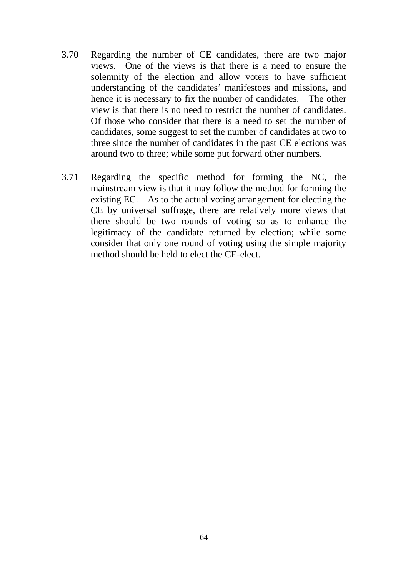- 3.70 Regarding the number of CE candidates, there are two major views. One of the views is that there is a need to ensure the solemnity of the election and allow voters to have sufficient understanding of the candidates' manifestoes and missions, and hence it is necessary to fix the number of candidates. The other view is that there is no need to restrict the number of candidates. Of those who consider that there is a need to set the number of candidates, some suggest to set the number of candidates at two to three since the number of candidates in the past CE elections was around two to three; while some put forward other numbers.
- 3.71 Regarding the specific method for forming the NC, the mainstream view is that it may follow the method for forming the existing EC. As to the actual voting arrangement for electing the CE by universal suffrage, there are relatively more views that there should be two rounds of voting so as to enhance the legitimacy of the candidate returned by election; while some consider that only one round of voting using the simple majority method should be held to elect the CE-elect.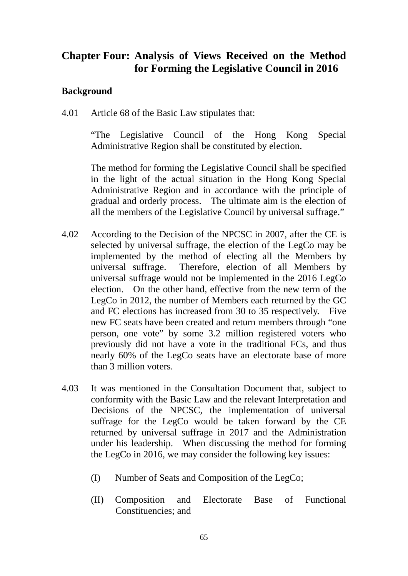# **Chapter Four: Analysis of Views Received on the Method for Forming the Legislative Council in 2016**

## **Background**

4.01 Article 68 of the Basic Law stipulates that:

"The Legislative Council of the Hong Kong Special Administrative Region shall be constituted by election.

The method for forming the Legislative Council shall be specified in the light of the actual situation in the Hong Kong Special Administrative Region and in accordance with the principle of gradual and orderly process. The ultimate aim is the election of all the members of the Legislative Council by universal suffrage."

- 4.02 According to the Decision of the NPCSC in 2007, after the CE is selected by universal suffrage, the election of the LegCo may be implemented by the method of electing all the Members by universal suffrage. Therefore, election of all Members by universal suffrage would not be implemented in the 2016 LegCo election. On the other hand, effective from the new term of the LegCo in 2012, the number of Members each returned by the GC and FC elections has increased from 30 to 35 respectively. Five new FC seats have been created and return members through "one person, one vote" by some 3.2 million registered voters who previously did not have a vote in the traditional FCs, and thus nearly 60% of the LegCo seats have an electorate base of more than 3 million voters.
- 4.03 It was mentioned in the Consultation Document that, subject to conformity with the Basic Law and the relevant Interpretation and Decisions of the NPCSC, the implementation of universal suffrage for the LegCo would be taken forward by the CE returned by universal suffrage in 2017 and the Administration under his leadership. When discussing the method for forming the LegCo in 2016, we may consider the following key issues:
	- (I) Number of Seats and Composition of the LegCo;
	- (II) Composition and Electorate Base of Functional Constituencies; and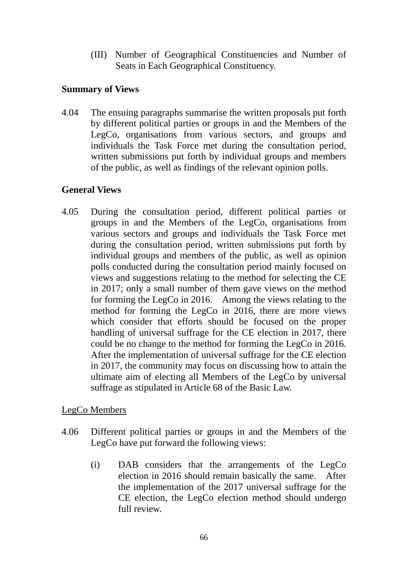(III) Number of Geographical Constituencies and Number of Seats in Each Geographical Constituency.

#### **Summary of Views**

4.04 The ensuing paragraphs summarise the written proposals put forth by different political parties or groups in and the Members of the LegCo, organisations from various sectors, and groups and individuals the Task Force met during the consultation period, written submissions put forth by individual groups and members of the public, as well as findings of the relevant opinion polls.

## **General Views**

4.05 During the consultation period, different political parties or groups in and the Members of the LegCo, organisations from various sectors and groups and individuals the Task Force met during the consultation period, written submissions put forth by individual groups and members of the public, as well as opinion polls conducted during the consultation period mainly focused on views and suggestions relating to the method for selecting the CE in 2017; only a small number of them gave views on the method for forming the LegCo in 2016. Among the views relating to the method for forming the LegCo in 2016, there are more views which consider that efforts should be focused on the proper handling of universal suffrage for the CE election in 2017, there could be no change to the method for forming the LegCo in 2016. After the implementation of universal suffrage for the CE election in 2017, the community may focus on discussing how to attain the ultimate aim of electing all Members of the LegCo by universal suffrage as stipulated in Article 68 of the Basic Law.

## LegCo Members

- 4.06 Different political parties or groups in and the Members of the LegCo have put forward the following views:
	- (i) DAB considers that the arrangements of the LegCo election in 2016 should remain basically the same. After the implementation of the 2017 universal suffrage for the CE election, the LegCo election method should undergo full review.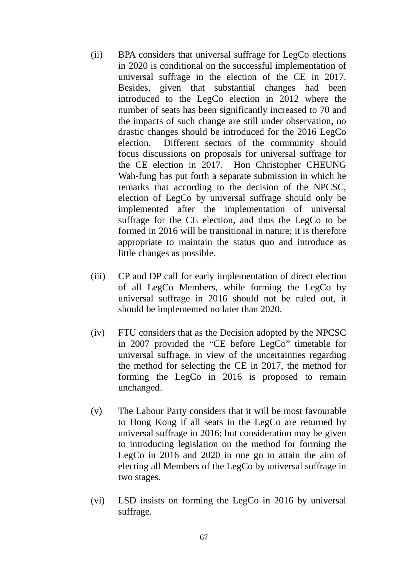- (ii) BPA considers that universal suffrage for LegCo elections in 2020 is conditional on the successful implementation of universal suffrage in the election of the CE in 2017. Besides, given that substantial changes had been introduced to the LegCo election in 2012 where the number of seats has been significantly increased to 70 and the impacts of such change are still under observation, no drastic changes should be introduced for the 2016 LegCo election. Different sectors of the community should focus discussions on proposals for universal suffrage for the CE election in 2017. Hon Christopher CHEUNG Wah-fung has put forth a separate submission in which he remarks that according to the decision of the NPCSC, election of LegCo by universal suffrage should only be implemented after the implementation of universal suffrage for the CE election, and thus the LegCo to be formed in 2016 will be transitional in nature; it is therefore appropriate to maintain the status quo and introduce as little changes as possible.
- (iii) CP and DP call for early implementation of direct election of all LegCo Members, while forming the LegCo by universal suffrage in 2016 should not be ruled out, it should be implemented no later than 2020.
- (iv) FTU considers that as the Decision adopted by the NPCSC in 2007 provided the "CE before LegCo" timetable for universal suffrage, in view of the uncertainties regarding the method for selecting the CE in 2017, the method for forming the LegCo in 2016 is proposed to remain unchanged.
- (v) The Labour Party considers that it will be most favourable to Hong Kong if all seats in the LegCo are returned by universal suffrage in 2016; but consideration may be given to introducing legislation on the method for forming the LegCo in 2016 and 2020 in one go to attain the aim of electing all Members of the LegCo by universal suffrage in two stages.
- (vi) LSD insists on forming the LegCo in 2016 by universal suffrage.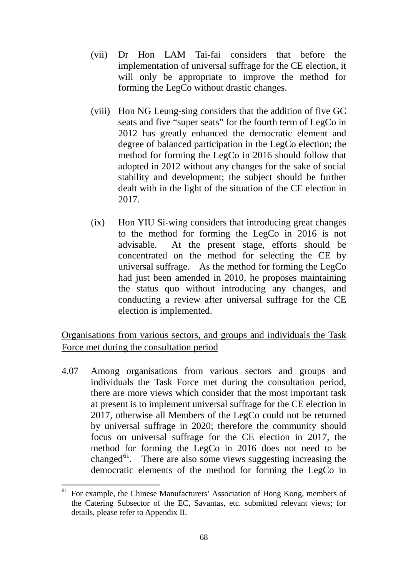- (vii) Dr Hon LAM Tai-fai considers that before the implementation of universal suffrage for the CE election, it will only be appropriate to improve the method for forming the LegCo without drastic changes.
- (viii) Hon NG Leung-sing considers that the addition of five GC seats and five "super seats" for the fourth term of LegCo in 2012 has greatly enhanced the democratic element and degree of balanced participation in the LegCo election; the method for forming the LegCo in 2016 should follow that adopted in 2012 without any changes for the sake of social stability and development; the subject should be further dealt with in the light of the situation of the CE election in 2017.
- (ix) Hon YIU Si-wing considers that introducing great changes to the method for forming the LegCo in 2016 is not advisable. At the present stage, efforts should be concentrated on the method for selecting the CE by universal suffrage. As the method for forming the LegCo had just been amended in 2010, he proposes maintaining the status quo without introducing any changes, and conducting a review after universal suffrage for the CE election is implemented.

Organisations from various sectors, and groups and individuals the Task Force met during the consultation period

4.07 Among organisations from various sectors and groups and individuals the Task Force met during the consultation period, there are more views which consider that the most important task at present is to implement universal suffrage for the CE election in 2017, otherwise all Members of the LegCo could not be returned by universal suffrage in 2020; therefore the community should focus on universal suffrage for the CE election in 2017, the method for forming the LegCo in 2016 does not need to be changed $^{61}$ . There are also some views suggesting increasing the democratic elements of the method for forming the LegCo in

<span id="page-70-0"></span><sup>61</sup> For example, the Chinese Manufacturers' Association of Hong Kong, members of the Catering Subsector of the EC, Savantas, etc. submitted relevant views; for details, please refer to Appendix II. 61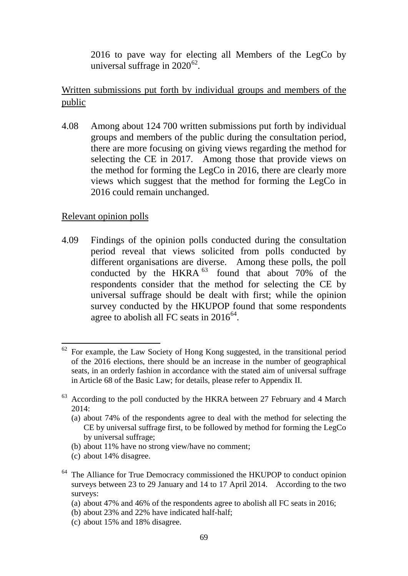2016 to pave way for electing all Members of the LegCo by universal suffrage in  $2020^{62}$ .

# Written submissions put forth by individual groups and members of the public

4.08 Among about 124 700 written submissions put forth by individual groups and members of the public during the consultation period, there are more focusing on giving views regarding the method for selecting the CE in 2017. Among those that provide views on the method for forming the LegCo in 2016, there are clearly more views which suggest that the method for forming the LegCo in 2016 could remain unchanged.

#### Relevant opinion polls

4.09 Findings of the opinion polls conducted during the consultation period reveal that views solicited from polls conducted by different organisations are diverse. Among these polls, the poll conducted by the HKRA  $^{63}$  $^{63}$  $^{63}$  found that about 70% of the respondents consider that the method for selecting the CE by universal suffrage should be dealt with first; while the opinion survey conducted by the HKUPOP found that some respondents agree to abolish all FC seats in  $2016^{64}$ .

- (b) about 11% have no strong view/have no comment;
- (c) about 14% disagree.

- (a) about 47% and 46% of the respondents agree to abolish all FC seats in 2016;
- (b) about 23% and 22% have indicated half-half;
- (c) about 15% and 18% disagree.

<span id="page-71-0"></span><sup>62</sup> For example, the Law Society of Hong Kong suggested, in the transitional period of the 2016 elections, there should be an increase in the number of geographical seats, in an orderly fashion in accordance with the stated aim of universal suffrage in Article 68 of the Basic Law; for details, please refer to Appendix II. 62

<span id="page-71-1"></span> $63$  According to the poll conducted by the HKRA between 27 February and 4 March 2014:

<sup>(</sup>a) about 74% of the respondents agree to deal with the method for selecting the CE by universal suffrage first, to be followed by method for forming the LegCo by universal suffrage;

<span id="page-71-2"></span><sup>&</sup>lt;sup>64</sup> The Alliance for True Democracy commissioned the HKUPOP to conduct opinion surveys between 23 to 29 January and 14 to 17 April 2014. According to the two surveys: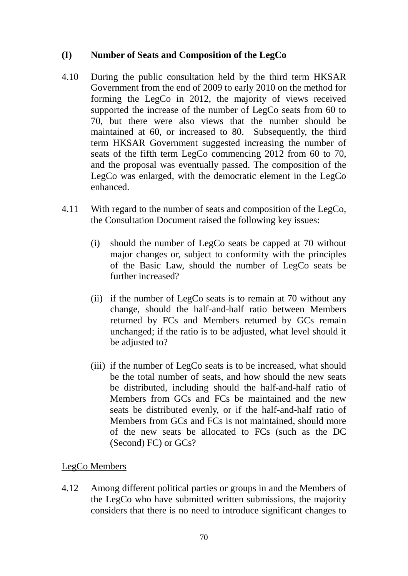# **(I) Number of Seats and Composition of the LegCo**

- 4.10 During the public consultation held by the third term HKSAR Government from the end of 2009 to early 2010 on the method for forming the LegCo in 2012, the majority of views received supported the increase of the number of LegCo seats from 60 to 70, but there were also views that the number should be maintained at 60, or increased to 80. Subsequently, the third term HKSAR Government suggested increasing the number of seats of the fifth term LegCo commencing 2012 from 60 to 70, and the proposal was eventually passed. The composition of the LegCo was enlarged, with the democratic element in the LegCo enhanced.
- 4.11 With regard to the number of seats and composition of the LegCo, the Consultation Document raised the following key issues:
	- (i) should the number of LegCo seats be capped at 70 without major changes or, subject to conformity with the principles of the Basic Law, should the number of LegCo seats be further increased?
	- (ii) if the number of LegCo seats is to remain at 70 without any change, should the half-and-half ratio between Members returned by FCs and Members returned by GCs remain unchanged; if the ratio is to be adjusted, what level should it be adjusted to?
	- (iii) if the number of LegCo seats is to be increased, what should be the total number of seats, and how should the new seats be distributed, including should the half-and-half ratio of Members from GCs and FCs be maintained and the new seats be distributed evenly, or if the half-and-half ratio of Members from GCs and FCs is not maintained, should more of the new seats be allocated to FCs (such as the DC (Second) FC) or GCs?

# LegCo Members

4.12 Among different political parties or groups in and the Members of the LegCo who have submitted written submissions, the majority considers that there is no need to introduce significant changes to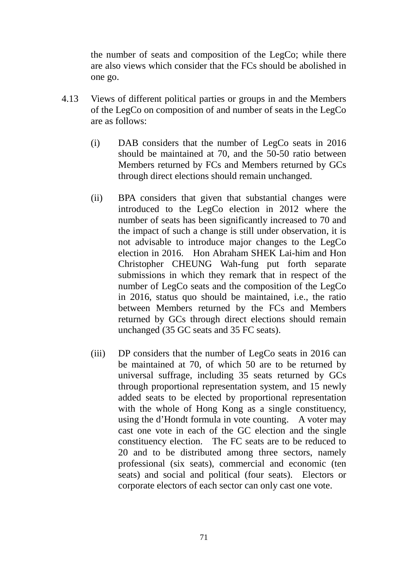the number of seats and composition of the LegCo; while there are also views which consider that the FCs should be abolished in one go.

- 4.13 Views of different political parties or groups in and the Members of the LegCo on composition of and number of seats in the LegCo are as follows:
	- (i) DAB considers that the number of LegCo seats in 2016 should be maintained at 70, and the 50-50 ratio between Members returned by FCs and Members returned by GCs through direct elections should remain unchanged.
	- (ii) BPA considers that given that substantial changes were introduced to the LegCo election in 2012 where the number of seats has been significantly increased to 70 and the impact of such a change is still under observation, it is not advisable to introduce major changes to the LegCo election in 2016. Hon Abraham SHEK Lai-him and Hon Christopher CHEUNG Wah-fung put forth separate submissions in which they remark that in respect of the number of LegCo seats and the composition of the LegCo in 2016, status quo should be maintained, i.e., the ratio between Members returned by the FCs and Members returned by GCs through direct elections should remain unchanged (35 GC seats and 35 FC seats).
	- (iii) DP considers that the number of LegCo seats in 2016 can be maintained at 70, of which 50 are to be returned by universal suffrage, including 35 seats returned by GCs through proportional representation system, and 15 newly added seats to be elected by proportional representation with the whole of Hong Kong as a single constituency, using the d'Hondt formula in vote counting. A voter may cast one vote in each of the GC election and the single constituency election. The FC seats are to be reduced to 20 and to be distributed among three sectors, namely professional (six seats), commercial and economic (ten seats) and social and political (four seats). Electors or corporate electors of each sector can only cast one vote.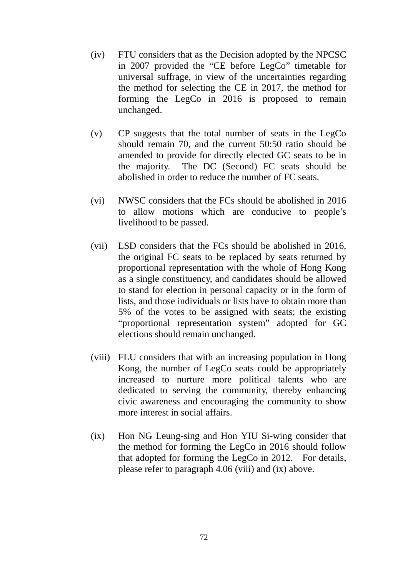- (iv) FTU considers that as the Decision adopted by the NPCSC in 2007 provided the "CE before LegCo" timetable for universal suffrage, in view of the uncertainties regarding the method for selecting the CE in 2017, the method for forming the LegCo in 2016 is proposed to remain unchanged.
- (v) CP suggests that the total number of seats in the LegCo should remain 70, and the current 50:50 ratio should be amended to provide for directly elected GC seats to be in the majority. The DC (Second) FC seats should be abolished in order to reduce the number of FC seats.
- (vi) NWSC considers that the FCs should be abolished in 2016 to allow motions which are conducive to people's livelihood to be passed.
- (vii) LSD considers that the FCs should be abolished in 2016, the original FC seats to be replaced by seats returned by proportional representation with the whole of Hong Kong as a single constituency, and candidates should be allowed to stand for election in personal capacity or in the form of lists, and those individuals or lists have to obtain more than 5% of the votes to be assigned with seats; the existing "proportional representation system" adopted for GC elections should remain unchanged.
- (viii) FLU considers that with an increasing population in Hong Kong, the number of LegCo seats could be appropriately increased to nurture more political talents who are dedicated to serving the community, thereby enhancing civic awareness and encouraging the community to show more interest in social affairs.
- (ix) Hon NG Leung-sing and Hon YIU Si-wing consider that the method for forming the LegCo in 2016 should follow that adopted for forming the LegCo in 2012. For details, please refer to paragraph [4.06](#page-68-0) (viii) and (ix) above.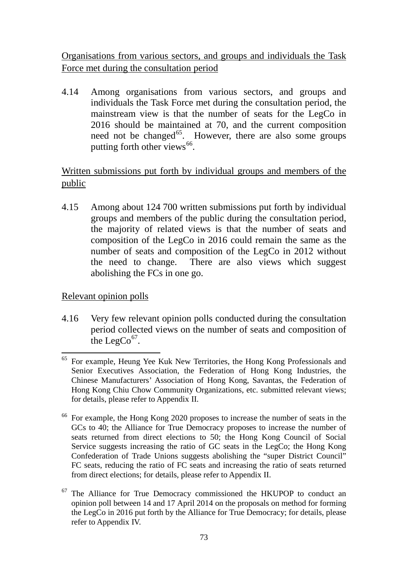Organisations from various sectors, and groups and individuals the Task Force met during the consultation period

4.14 Among organisations from various sectors, and groups and individuals the Task Force met during the consultation period, the mainstream view is that the number of seats for the LegCo in 2016 should be maintained at 70, and the current composition need not be changed<sup> $65$ </sup>. However, there are also some groups putting forth other views  $66$ .

# Written submissions put forth by individual groups and members of the public

4.15 Among about 124 700 written submissions put forth by individual groups and members of the public during the consultation period, the majority of related views is that the number of seats and composition of the LegCo in 2016 could remain the same as the number of seats and composition of the LegCo in 2012 without the need to change. There are also views which suggest abolishing the FCs in one go.

# Relevant opinion polls

4.16 Very few relevant opinion polls conducted during the consultation period collected views on the number of seats and composition of the LegCo $^{67}$  $^{67}$  $^{67}$ .

<span id="page-75-0"></span><sup>&</sup>lt;sup>65</sup> For example, Heung Yee Kuk New Territories, the Hong Kong Professionals and Senior Executives Association, the Federation of Hong Kong Industries, the Chinese Manufacturers' Association of Hong Kong, Savantas, the Federation of Hong Kong Chiu Chow Community Organizations, etc. submitted relevant views; for details, please refer to Appendix II. -

<span id="page-75-1"></span><sup>66</sup> For example, the Hong Kong 2020 proposes to increase the number of seats in the GCs to 40; the Alliance for True Democracy proposes to increase the number of seats returned from direct elections to 50; the Hong Kong Council of Social Service suggests increasing the ratio of GC seats in the LegCo; the Hong Kong Confederation of Trade Unions suggests abolishing the "super District Council" FC seats, reducing the ratio of FC seats and increasing the ratio of seats returned from direct elections; for details, please refer to Appendix II.

<span id="page-75-2"></span>The Alliance for True Democracy commissioned the HKUPOP to conduct an opinion poll between 14 and 17 April 2014 on the proposals on method for forming the LegCo in 2016 put forth by the Alliance for True Democracy; for details, please refer to Appendix IV.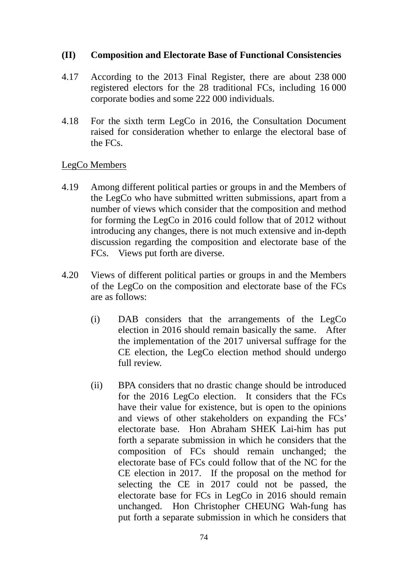#### **(II) Composition and Electorate Base of Functional Consistencies**

- 4.17 According to the 2013 Final Register, there are about 238 000 registered electors for the 28 traditional FCs, including 16 000 corporate bodies and some 222 000 individuals.
- 4.18 For the sixth term LegCo in 2016, the Consultation Document raised for consideration whether to enlarge the electoral base of the FCs.

#### LegCo Members

- 4.19 Among different political parties or groups in and the Members of the LegCo who have submitted written submissions, apart from a number of views which consider that the composition and method for forming the LegCo in 2016 could follow that of 2012 without introducing any changes, there is not much extensive and in-depth discussion regarding the composition and electorate base of the FCs. Views put forth are diverse.
- 4.20 Views of different political parties or groups in and the Members of the LegCo on the composition and electorate base of the FCs are as follows:
	- (i) DAB considers that the arrangements of the LegCo election in 2016 should remain basically the same. After the implementation of the 2017 universal suffrage for the CE election, the LegCo election method should undergo full review.
	- (ii) BPA considers that no drastic change should be introduced for the 2016 LegCo election. It considers that the FCs have their value for existence, but is open to the opinions and views of other stakeholders on expanding the FCs' electorate base. Hon Abraham SHEK Lai-him has put forth a separate submission in which he considers that the composition of FCs should remain unchanged; the electorate base of FCs could follow that of the NC for the CE election in 2017. If the proposal on the method for selecting the CE in 2017 could not be passed, the electorate base for FCs in LegCo in 2016 should remain unchanged. Hon Christopher CHEUNG Wah-fung has put forth a separate submission in which he considers that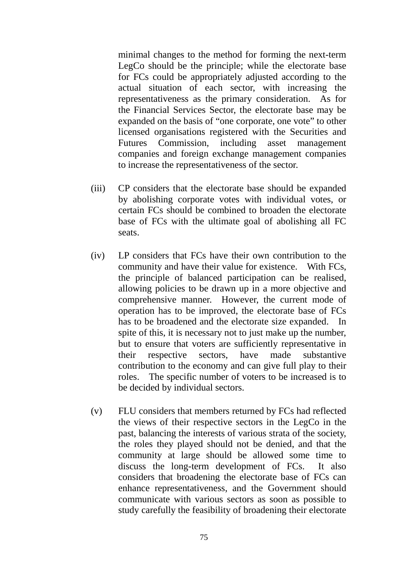minimal changes to the method for forming the next-term LegCo should be the principle; while the electorate base for FCs could be appropriately adjusted according to the actual situation of each sector, with increasing the representativeness as the primary consideration. As for the Financial Services Sector, the electorate base may be expanded on the basis of "one corporate, one vote" to other licensed organisations registered with the Securities and Futures Commission, including asset management companies and foreign exchange management companies to increase the representativeness of the sector.

- (iii) CP considers that the electorate base should be expanded by abolishing corporate votes with individual votes, or certain FCs should be combined to broaden the electorate base of FCs with the ultimate goal of abolishing all FC seats.
- (iv) LP considers that FCs have their own contribution to the community and have their value for existence. With FCs, the principle of balanced participation can be realised, allowing policies to be drawn up in a more objective and comprehensive manner. However, the current mode of operation has to be improved, the electorate base of FCs has to be broadened and the electorate size expanded. In spite of this, it is necessary not to just make up the number, but to ensure that voters are sufficiently representative in their respective sectors, have made substantive contribution to the economy and can give full play to their roles. The specific number of voters to be increased is to be decided by individual sectors.
- (v) FLU considers that members returned by FCs had reflected the views of their respective sectors in the LegCo in the past, balancing the interests of various strata of the society, the roles they played should not be denied, and that the community at large should be allowed some time to discuss the long-term development of FCs. It also considers that broadening the electorate base of FCs can enhance representativeness, and the Government should communicate with various sectors as soon as possible to study carefully the feasibility of broadening their electorate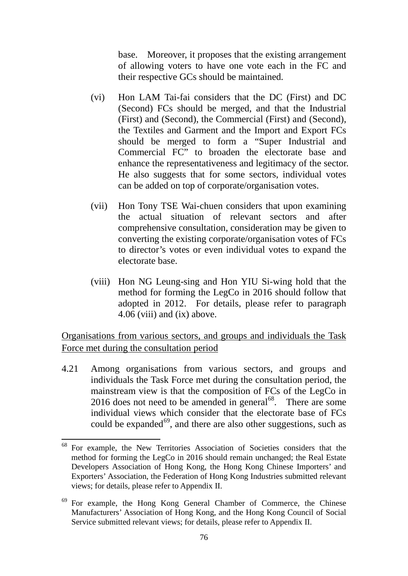base. Moreover, it proposes that the existing arrangement of allowing voters to have one vote each in the FC and their respective GCs should be maintained.

- (vi) Hon LAM Tai-fai considers that the DC (First) and DC (Second) FCs should be merged, and that the Industrial (First) and (Second), the Commercial (First) and (Second), the Textiles and Garment and the Import and Export FCs should be merged to form a "Super Industrial and Commercial FC" to broaden the electorate base and enhance the representativeness and legitimacy of the sector. He also suggests that for some sectors, individual votes can be added on top of corporate/organisation votes.
- (vii) Hon Tony TSE Wai-chuen considers that upon examining the actual situation of relevant sectors and after comprehensive consultation, consideration may be given to converting the existing corporate/organisation votes of FCs to director's votes or even individual votes to expand the electorate base.
- (viii) Hon NG Leung-sing and Hon YIU Si-wing hold that the method for forming the LegCo in 2016 should follow that adopted in 2012. For details, please refer to paragraph [4.06](#page-68-0) (viii) and (ix) above.

Organisations from various sectors, and groups and individuals the Task Force met during the consultation period

4.21 Among organisations from various sectors, and groups and individuals the Task Force met during the consultation period, the mainstream view is that the composition of FCs of the LegCo in 2016 does not need to be amended in general<sup>[68](#page-78-0)</sup>. There are some individual views which consider that the electorate base of FCs could be expanded $^{69}$  $^{69}$  $^{69}$ , and there are also other suggestions, such as

<span id="page-78-0"></span><sup>68</sup> For example, the New Territories Association of Societies considers that the method for forming the LegCo in 2016 should remain unchanged; the Real Estate Developers Association of Hong Kong, the Hong Kong Chinese Importers' and Exporters' Association, the Federation of Hong Kong Industries submitted relevant views; for details, please refer to Appendix II. 1

<span id="page-78-1"></span><sup>&</sup>lt;sup>69</sup> For example, the Hong Kong General Chamber of Commerce, the Chinese Manufacturers' Association of Hong Kong, and the Hong Kong Council of Social Service submitted relevant views; for details, please refer to Appendix II.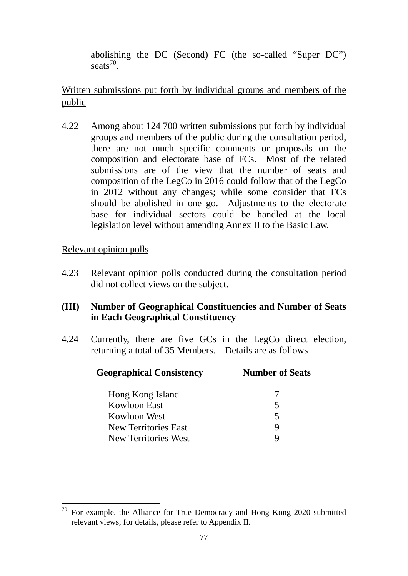abolishing the DC (Second) FC (the so-called "Super DC") seats $^{70}$  $^{70}$  $^{70}$ .

Written submissions put forth by individual groups and members of the public

4.22 Among about 124 700 written submissions put forth by individual groups and members of the public during the consultation period, there are not much specific comments or proposals on the composition and electorate base of FCs. Most of the related submissions are of the view that the number of seats and composition of the LegCo in 2016 could follow that of the LegCo in 2012 without any changes; while some consider that FCs should be abolished in one go. Adjustments to the electorate base for individual sectors could be handled at the local legislation level without amending Annex II to the Basic Law.

# Relevant opinion polls

4.23 Relevant opinion polls conducted during the consultation period did not collect views on the subject.

# **(III) Number of Geographical Constituencies and Number of Seats in Each Geographical Constituency**

4.24 Currently, there are five GCs in the LegCo direct election, returning a total of 35 Members. Details are as follows –

| <b>Number of Seats</b> |
|------------------------|
|                        |
| 5                      |
| 5                      |
| g                      |
|                        |
|                        |

<span id="page-79-0"></span>For example, the Alliance for True Democracy and Hong Kong 2020 submitted relevant views; for details, please refer to Appendix II.  $70\,$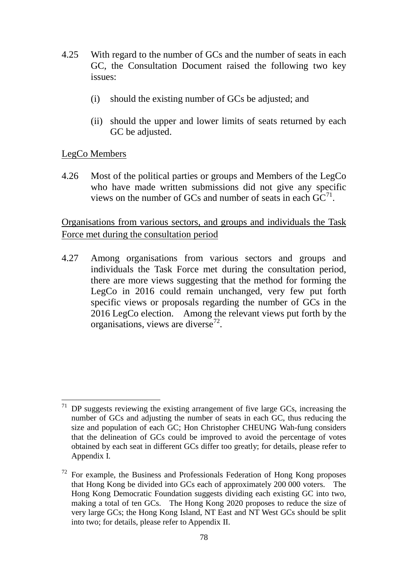- 4.25 With regard to the number of GCs and the number of seats in each GC, the Consultation Document raised the following two key issues:
	- (i) should the existing number of GCs be adjusted; and
	- (ii) should the upper and lower limits of seats returned by each GC be adjusted.

#### LegCo Members

4.26 Most of the political parties or groups and Members of the LegCo who have made written submissions did not give any specific views on the number of GCs and number of seats in each  $GC<sup>71</sup>$  $GC<sup>71</sup>$  $GC<sup>71</sup>$ .

# Organisations from various sectors, and groups and individuals the Task Force met during the consultation period

4.27 Among organisations from various sectors and groups and individuals the Task Force met during the consultation period, there are more views suggesting that the method for forming the LegCo in 2016 could remain unchanged, very few put forth specific views or proposals regarding the number of GCs in the 2016 LegCo election. Among the relevant views put forth by the organisations, views are diverse<sup>72</sup>.

<span id="page-80-0"></span> $71$  DP suggests reviewing the existing arrangement of five large GCs, increasing the number of GCs and adjusting the number of seats in each GC, thus reducing the size and population of each GC; Hon Christopher CHEUNG Wah-fung considers that the delineation of GCs could be improved to avoid the percentage of votes obtained by each seat in different GCs differ too greatly; for details, please refer to Appendix I. -

<span id="page-80-1"></span> $72$  For example, the Business and Professionals Federation of Hong Kong proposes that Hong Kong be divided into GCs each of approximately 200 000 voters. The Hong Kong Democratic Foundation suggests dividing each existing GC into two, making a total of ten GCs. The Hong Kong 2020 proposes to reduce the size of very large GCs; the Hong Kong Island, NT East and NT West GCs should be split into two; for details, please refer to Appendix II.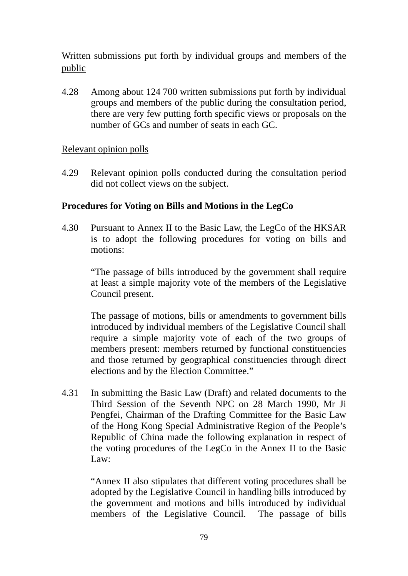# Written submissions put forth by individual groups and members of the public

4.28 Among about 124 700 written submissions put forth by individual groups and members of the public during the consultation period, there are very few putting forth specific views or proposals on the number of GCs and number of seats in each GC.

# Relevant opinion polls

4.29 Relevant opinion polls conducted during the consultation period did not collect views on the subject.

# **Procedures for Voting on Bills and Motions in the LegCo**

4.30 Pursuant to Annex II to the Basic Law, the LegCo of the HKSAR is to adopt the following procedures for voting on bills and motions:

> "The passage of bills introduced by the government shall require at least a simple majority vote of the members of the Legislative Council present.

> The passage of motions, bills or amendments to government bills introduced by individual members of the Legislative Council shall require a simple majority vote of each of the two groups of members present: members returned by functional constituencies and those returned by geographical constituencies through direct elections and by the Election Committee."

4.31 In submitting the Basic Law (Draft) and related documents to the Third Session of the Seventh NPC on 28 March 1990, Mr Ji Pengfei, Chairman of the Drafting Committee for the Basic Law of the Hong Kong Special Administrative Region of the People's Republic of China made the following explanation in respect of the voting procedures of the LegCo in the Annex II to the Basic Law:

> "Annex II also stipulates that different voting procedures shall be adopted by the Legislative Council in handling bills introduced by the government and motions and bills introduced by individual members of the Legislative Council. The passage of bills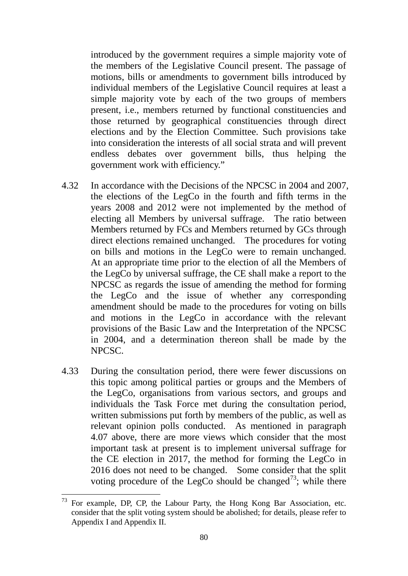introduced by the government requires a simple majority vote of the members of the Legislative Council present. The passage of motions, bills or amendments to government bills introduced by individual members of the Legislative Council requires at least a simple majority vote by each of the two groups of members present, i.e., members returned by functional constituencies and those returned by geographical constituencies through direct elections and by the Election Committee. Such provisions take into consideration the interests of all social strata and will prevent endless debates over government bills, thus helping the government work with efficiency."

- 4.32 In accordance with the Decisions of the NPCSC in 2004 and 2007, the elections of the LegCo in the fourth and fifth terms in the years 2008 and 2012 were not implemented by the method of electing all Members by universal suffrage. The ratio between Members returned by FCs and Members returned by GCs through direct elections remained unchanged. The procedures for voting on bills and motions in the LegCo were to remain unchanged. At an appropriate time prior to the election of all the Members of the LegCo by universal suffrage, the CE shall make a report to the NPCSC as regards the issue of amending the method for forming the LegCo and the issue of whether any corresponding amendment should be made to the procedures for voting on bills and motions in the LegCo in accordance with the relevant provisions of the Basic Law and the Interpretation of the NPCSC in 2004, and a determination thereon shall be made by the NPCSC.
- 4.33 During the consultation period, there were fewer discussions on this topic among political parties or groups and the Members of the LegCo, organisations from various sectors, and groups and individuals the Task Force met during the consultation period, written submissions put forth by members of the public, as well as relevant opinion polls conducted. As mentioned in paragraph [4.07](#page-70-0) above, there are more views which consider that the most important task at present is to implement universal suffrage for the CE election in 2017, the method for forming the LegCo in 2016 does not need to be changed. Some consider that the split voting procedure of the LegCo should be changed<sup>73</sup>; while there

<span id="page-82-0"></span> $73$  For example, DP, CP, the Labour Party, the Hong Kong Bar Association, etc. consider that the split voting system should be abolished; for details, please refer to Appendix I and Appendix II. -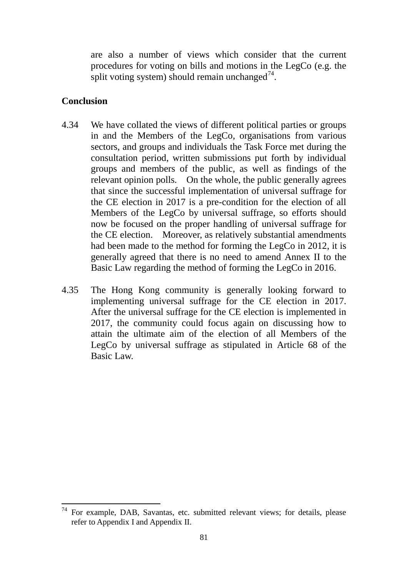are also a number of views which consider that the current procedures for voting on bills and motions in the LegCo (e.g. the split voting system) should remain unchanged<sup>[74](#page-83-0)</sup>.

#### **Conclusion**

-

- 4.34 We have collated the views of different political parties or groups in and the Members of the LegCo, organisations from various sectors, and groups and individuals the Task Force met during the consultation period, written submissions put forth by individual groups and members of the public, as well as findings of the relevant opinion polls. On the whole, the public generally agrees that since the successful implementation of universal suffrage for the CE election in 2017 is a pre-condition for the election of all Members of the LegCo by universal suffrage, so efforts should now be focused on the proper handling of universal suffrage for the CE election. Moreover, as relatively substantial amendments had been made to the method for forming the LegCo in 2012, it is generally agreed that there is no need to amend Annex II to the Basic Law regarding the method of forming the LegCo in 2016.
- 4.35 The Hong Kong community is generally looking forward to implementing universal suffrage for the CE election in 2017. After the universal suffrage for the CE election is implemented in 2017, the community could focus again on discussing how to attain the ultimate aim of the election of all Members of the LegCo by universal suffrage as stipulated in Article 68 of the Basic Law.

<span id="page-83-0"></span>For example, DAB, Savantas, etc. submitted relevant views; for details, please refer to Appendix I and Appendix II.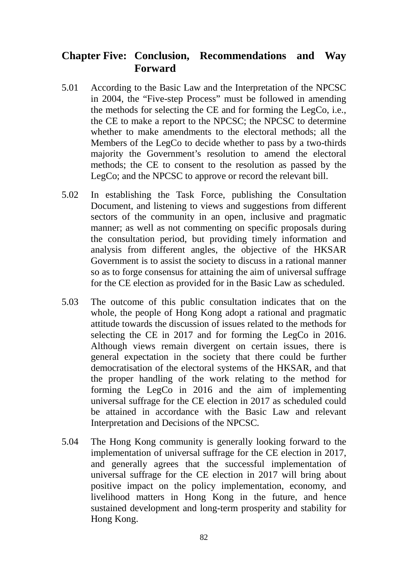# **Chapter Five: Conclusion, Recommendations and Way Forward**

- 5.01 According to the Basic Law and the Interpretation of the NPCSC in 2004, the "Five-step Process" must be followed in amending the methods for selecting the CE and for forming the LegCo, i.e., the CE to make a report to the NPCSC; the NPCSC to determine whether to make amendments to the electoral methods; all the Members of the LegCo to decide whether to pass by a two-thirds majority the Government's resolution to amend the electoral methods; the CE to consent to the resolution as passed by the LegCo; and the NPCSC to approve or record the relevant bill.
- 5.02 In establishing the Task Force, publishing the Consultation Document, and listening to views and suggestions from different sectors of the community in an open, inclusive and pragmatic manner; as well as not commenting on specific proposals during the consultation period, but providing timely information and analysis from different angles, the objective of the HKSAR Government is to assist the society to discuss in a rational manner so as to forge consensus for attaining the aim of universal suffrage for the CE election as provided for in the Basic Law as scheduled.
- 5.03 The outcome of this public consultation indicates that on the whole, the people of Hong Kong adopt a rational and pragmatic attitude towards the discussion of issues related to the methods for selecting the CE in 2017 and for forming the LegCo in 2016. Although views remain divergent on certain issues, there is general expectation in the society that there could be further democratisation of the electoral systems of the HKSAR, and that the proper handling of the work relating to the method for forming the LegCo in 2016 and the aim of implementing universal suffrage for the CE election in 2017 as scheduled could be attained in accordance with the Basic Law and relevant Interpretation and Decisions of the NPCSC.
- 5.04 The Hong Kong community is generally looking forward to the implementation of universal suffrage for the CE election in 2017, and generally agrees that the successful implementation of universal suffrage for the CE election in 2017 will bring about positive impact on the policy implementation, economy, and livelihood matters in Hong Kong in the future, and hence sustained development and long-term prosperity and stability for Hong Kong.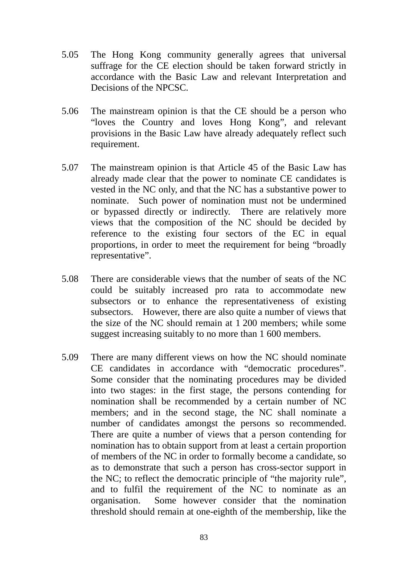- 5.05 The Hong Kong community generally agrees that universal suffrage for the CE election should be taken forward strictly in accordance with the Basic Law and relevant Interpretation and Decisions of the NPCSC.
- 5.06 The mainstream opinion is that the CE should be a person who "loves the Country and loves Hong Kong", and relevant provisions in the Basic Law have already adequately reflect such requirement.
- 5.07 The mainstream opinion is that Article 45 of the Basic Law has already made clear that the power to nominate CE candidates is vested in the NC only, and that the NC has a substantive power to nominate. Such power of nomination must not be undermined or bypassed directly or indirectly. There are relatively more views that the composition of the NC should be decided by reference to the existing four sectors of the EC in equal proportions, in order to meet the requirement for being "broadly representative".
- 5.08 There are considerable views that the number of seats of the NC could be suitably increased pro rata to accommodate new subsectors or to enhance the representativeness of existing subsectors. However, there are also quite a number of views that the size of the NC should remain at 1 200 members; while some suggest increasing suitably to no more than 1 600 members.
- 5.09 There are many different views on how the NC should nominate CE candidates in accordance with "democratic procedures". Some consider that the nominating procedures may be divided into two stages: in the first stage, the persons contending for nomination shall be recommended by a certain number of NC members; and in the second stage, the NC shall nominate a number of candidates amongst the persons so recommended. There are quite a number of views that a person contending for nomination has to obtain support from at least a certain proportion of members of the NC in order to formally become a candidate, so as to demonstrate that such a person has cross-sector support in the NC; to reflect the democratic principle of "the majority rule", and to fulfil the requirement of the NC to nominate as an organisation. Some however consider that the nomination threshold should remain at one-eighth of the membership, like the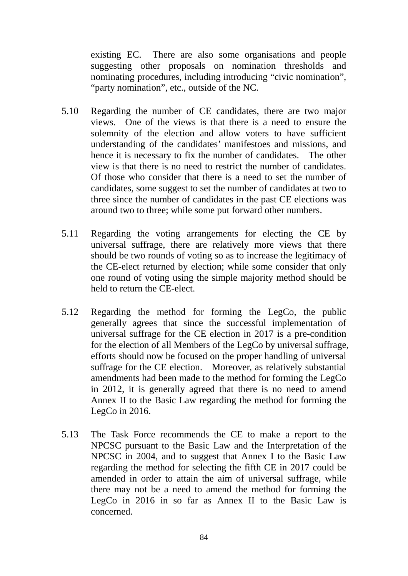existing EC. There are also some organisations and people suggesting other proposals on nomination thresholds and nominating procedures, including introducing "civic nomination", "party nomination", etc., outside of the NC.

- 5.10 Regarding the number of CE candidates, there are two major views. One of the views is that there is a need to ensure the solemnity of the election and allow voters to have sufficient understanding of the candidates' manifestoes and missions, and hence it is necessary to fix the number of candidates. The other view is that there is no need to restrict the number of candidates. Of those who consider that there is a need to set the number of candidates, some suggest to set the number of candidates at two to three since the number of candidates in the past CE elections was around two to three; while some put forward other numbers.
- 5.11 Regarding the voting arrangements for electing the CE by universal suffrage, there are relatively more views that there should be two rounds of voting so as to increase the legitimacy of the CE-elect returned by election; while some consider that only one round of voting using the simple majority method should be held to return the CE-elect.
- 5.12 Regarding the method for forming the LegCo, the public generally agrees that since the successful implementation of universal suffrage for the CE election in 2017 is a pre-condition for the election of all Members of the LegCo by universal suffrage, efforts should now be focused on the proper handling of universal suffrage for the CE election. Moreover, as relatively substantial amendments had been made to the method for forming the LegCo in 2012, it is generally agreed that there is no need to amend Annex II to the Basic Law regarding the method for forming the LegCo in 2016.
- 5.13 The Task Force recommends the CE to make a report to the NPCSC pursuant to the Basic Law and the Interpretation of the NPCSC in 2004, and to suggest that Annex I to the Basic Law regarding the method for selecting the fifth CE in 2017 could be amended in order to attain the aim of universal suffrage, while there may not be a need to amend the method for forming the LegCo in 2016 in so far as Annex II to the Basic Law is concerned.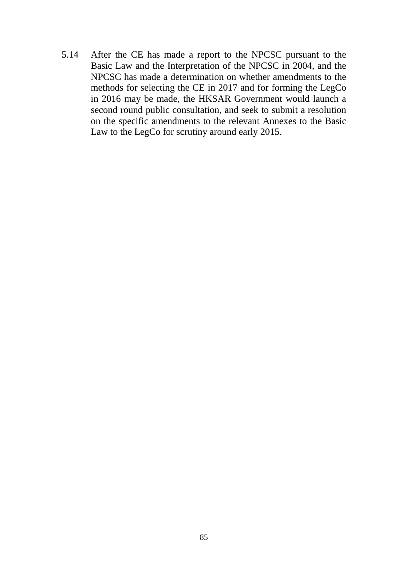5.14 After the CE has made a report to the NPCSC pursuant to the Basic Law and the Interpretation of the NPCSC in 2004, and the NPCSC has made a determination on whether amendments to the methods for selecting the CE in 2017 and for forming the LegCo in 2016 may be made, the HKSAR Government would launch a second round public consultation, and seek to submit a resolution on the specific amendments to the relevant Annexes to the Basic Law to the LegCo for scrutiny around early 2015.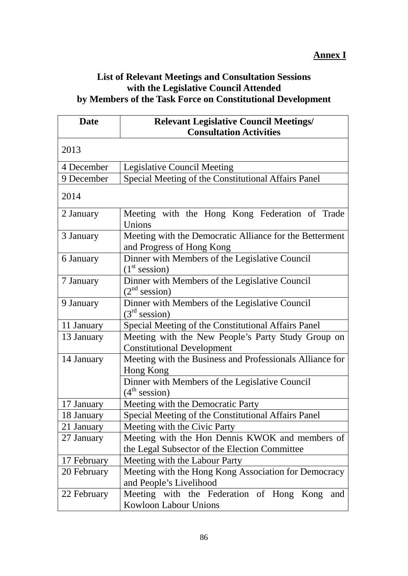# **List of Relevant Meetings and Consultation Sessions with the Legislative Council Attended by Members of the Task Force on Constitutional Development**

| <b>Date</b> | <b>Relevant Legislative Council Meetings/</b>                                                    |
|-------------|--------------------------------------------------------------------------------------------------|
|             | <b>Consultation Activities</b>                                                                   |
| 2013        |                                                                                                  |
| 4 December  | <b>Legislative Council Meeting</b>                                                               |
| 9 December  | Special Meeting of the Constitutional Affairs Panel                                              |
| 2014        |                                                                                                  |
| 2 January   | Meeting with the Hong Kong Federation of Trade<br>Unions                                         |
| 3 January   | Meeting with the Democratic Alliance for the Betterment<br>and Progress of Hong Kong             |
| 6 January   | Dinner with Members of the Legislative Council<br>(1 <sup>st</sup> session)                      |
| 7 January   | Dinner with Members of the Legislative Council<br>(2 <sup>nd</sup> session)                      |
| 9 January   | Dinner with Members of the Legislative Council<br>(3 <sup>rd</sup> session)                      |
| 11 January  | Special Meeting of the Constitutional Affairs Panel                                              |
| 13 January  | Meeting with the New People's Party Study Group on<br><b>Constitutional Development</b>          |
| 14 January  | Meeting with the Business and Professionals Alliance for<br>Hong Kong                            |
|             | Dinner with Members of the Legislative Council<br>(4 <sup>th</sup> session)                      |
| 17 January  | Meeting with the Democratic Party                                                                |
| 18 January  | Special Meeting of the Constitutional Affairs Panel                                              |
| 21 January  | Meeting with the Civic Party                                                                     |
| 27 January  | Meeting with the Hon Dennis KWOK and members of<br>the Legal Subsector of the Election Committee |
| 17 February | Meeting with the Labour Party                                                                    |
| 20 February | Meeting with the Hong Kong Association for Democracy                                             |
|             | and People's Livelihood                                                                          |
| 22 February | Meeting with the Federation of Hong Kong<br>and<br>Kowloon Labour Unions                         |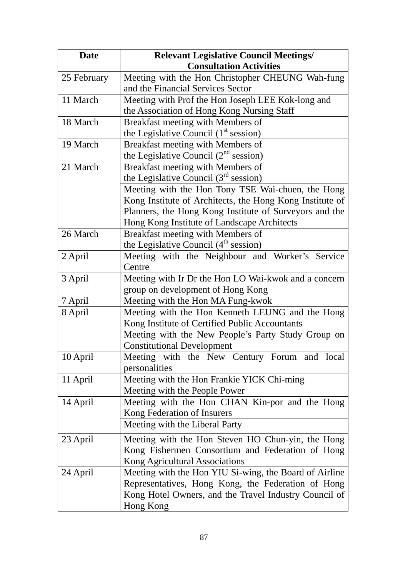| <b>Date</b> | <b>Relevant Legislative Council Meetings/</b>            |
|-------------|----------------------------------------------------------|
|             | <b>Consultation Activities</b>                           |
| 25 February | Meeting with the Hon Christopher CHEUNG Wah-fung         |
|             | and the Financial Services Sector                        |
| 11 March    | Meeting with Prof the Hon Joseph LEE Kok-long and        |
|             | the Association of Hong Kong Nursing Staff               |
| 18 March    | Breakfast meeting with Members of                        |
|             | the Legislative Council $(1st session)$                  |
| 19 March    | Breakfast meeting with Members of                        |
|             | the Legislative Council $(2^{nd}$ session)               |
| 21 March    | Breakfast meeting with Members of                        |
|             | the Legislative Council $(3rd$ session)                  |
|             | Meeting with the Hon Tony TSE Wai-chuen, the Hong        |
|             | Kong Institute of Architects, the Hong Kong Institute of |
|             | Planners, the Hong Kong Institute of Surveyors and the   |
|             | Hong Kong Institute of Landscape Architects              |
| 26 March    | Breakfast meeting with Members of                        |
|             | the Legislative Council (4 <sup>th</sup> session)        |
| 2 April     | Meeting with the Neighbour and Worker's Service          |
|             | Centre                                                   |
| 3 April     | Meeting with Ir Dr the Hon LO Wai-kwok and a concern     |
|             | group on development of Hong Kong                        |
| 7 April     | Meeting with the Hon MA Fung-kwok                        |
| 8 April     | Meeting with the Hon Kenneth LEUNG and the Hong          |
|             | Kong Institute of Certified Public Accountants           |
|             | Meeting with the New People's Party Study Group on       |
|             | <b>Constitutional Development</b>                        |
| 10 April    | Meeting with the New Century Forum and local             |
|             | personalities                                            |
| 11 April    | Meeting with the Hon Frankie YICK Chi-ming               |
|             | Meeting with the People Power                            |
| 14 April    | Meeting with the Hon CHAN Kin-por and the Hong           |
|             | Kong Federation of Insurers                              |
|             | Meeting with the Liberal Party                           |
| 23 April    | Meeting with the Hon Steven HO Chun-yin, the Hong        |
|             | Kong Fishermen Consortium and Federation of Hong         |
|             | Kong Agricultural Associations                           |
| 24 April    | Meeting with the Hon YIU Si-wing, the Board of Airline   |
|             | Representatives, Hong Kong, the Federation of Hong       |
|             | Kong Hotel Owners, and the Travel Industry Council of    |
|             | Hong Kong                                                |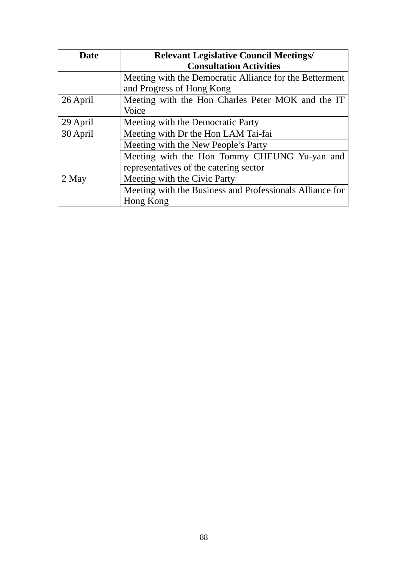| Date     | <b>Relevant Legislative Council Meetings/</b>            |
|----------|----------------------------------------------------------|
|          | <b>Consultation Activities</b>                           |
|          | Meeting with the Democratic Alliance for the Betterment  |
|          | and Progress of Hong Kong                                |
| 26 April | Meeting with the Hon Charles Peter MOK and the IT        |
|          | Voice                                                    |
| 29 April | Meeting with the Democratic Party                        |
| 30 April | Meeting with Dr the Hon LAM Tai-fai                      |
|          | Meeting with the New People's Party                      |
|          | Meeting with the Hon Tommy CHEUNG Yu-yan and             |
|          | representatives of the catering sector                   |
| 2 May    | Meeting with the Civic Party                             |
|          | Meeting with the Business and Professionals Alliance for |
|          | Hong Kong                                                |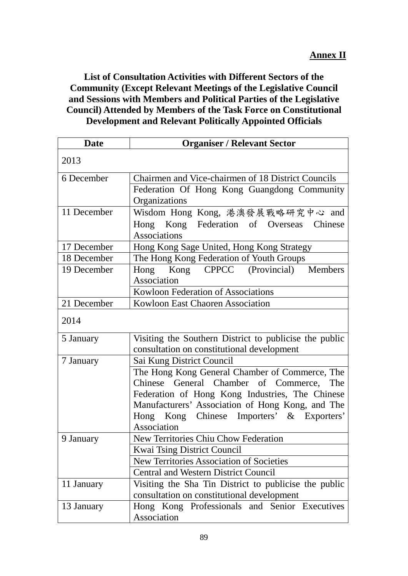**List of Consultation Activities with Different Sectors of the Community (Except Relevant Meetings of the Legislative Council and Sessions with Members and Political Parties of the Legislative Council) Attended by Members of the Task Force on Constitutional Development and Relevant Politically Appointed Officials**

| <b>Date</b> | <b>Organiser / Relevant Sector</b>                     |
|-------------|--------------------------------------------------------|
| 2013        |                                                        |
| 6 December  | Chairmen and Vice-chairmen of 18 District Councils     |
|             | Federation Of Hong Kong Guangdong Community            |
|             | Organizations                                          |
| 11 December | Wisdom Hong Kong, 港澳發展戰略研究中心 and                       |
|             | Hong Kong Federation of Overseas Chinese               |
|             | <b>Associations</b>                                    |
| 17 December | Hong Kong Sage United, Hong Kong Strategy              |
| 18 December | The Hong Kong Federation of Youth Groups               |
| 19 December | CPPCC (Provincial) Members<br>Kong<br>Hong             |
|             | Association                                            |
|             | Kowloon Federation of Associations                     |
| 21 December | <b>Kowloon East Chaoren Association</b>                |
| 2014        |                                                        |
| 5 January   | Visiting the Southern District to publicise the public |
|             | consultation on constitutional development             |
| 7 January   | Sai Kung District Council                              |
|             | The Hong Kong General Chamber of Commerce, The         |
|             | Chinese General Chamber of Commerce, The               |
|             | Federation of Hong Kong Industries, The Chinese        |
|             | Manufacturers' Association of Hong Kong, and The       |
|             | Hong Kong Chinese Importers' & Exporters'              |
|             | Association                                            |
| 9 January   | New Territories Chiu Chow Federation                   |
|             | <b>Kwai Tsing District Council</b>                     |
|             | <b>New Territories Association of Societies</b>        |
|             | <b>Central and Western District Council</b>            |
| 11 January  | Visiting the Sha Tin District to publicise the public  |
|             | consultation on constitutional development             |
| 13 January  | Hong Kong Professionals and Senior Executives          |
|             | Association                                            |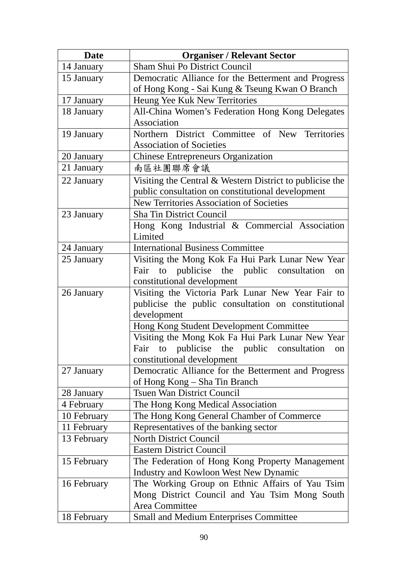| <b>Date</b> | <b>Organiser / Relevant Sector</b>                       |
|-------------|----------------------------------------------------------|
| 14 January  | Sham Shui Po District Council                            |
| 15 January  | Democratic Alliance for the Betterment and Progress      |
|             | of Hong Kong - Sai Kung & Tseung Kwan O Branch           |
| 17 January  | Heung Yee Kuk New Territories                            |
| 18 January  | All-China Women's Federation Hong Kong Delegates         |
|             | Association                                              |
| 19 January  | Northern District Committee of New Territories           |
|             | <b>Association of Societies</b>                          |
| 20 January  | <b>Chinese Entrepreneurs Organization</b>                |
| 21 January  | 南區社團聯席會議                                                 |
| 22 January  | Visiting the Central & Western District to publicise the |
|             | public consultation on constitutional development        |
|             | <b>New Territories Association of Societies</b>          |
| 23 January  | Sha Tin District Council                                 |
|             | Hong Kong Industrial & Commercial Association            |
|             | Limited                                                  |
| 24 January  | <b>International Business Committee</b>                  |
| 25 January  | Visiting the Mong Kok Fa Hui Park Lunar New Year         |
|             | Fair to publicise the public consultation<br>on          |
|             | constitutional development                               |
| 26 January  | Visiting the Victoria Park Lunar New Year Fair to        |
|             | publicise the public consultation on constitutional      |
|             | development                                              |
|             | Hong Kong Student Development Committee                  |
|             | Visiting the Mong Kok Fa Hui Park Lunar New Year         |
|             | Fair to publicise the public consultation<br>on          |
|             | constitutional development                               |
| 27 January  | Democratic Alliance for the Betterment and Progress      |
|             | of Hong Kong – Sha Tin Branch                            |
| 28 January  | <b>Tsuen Wan District Council</b>                        |
| 4 February  | The Hong Kong Medical Association                        |
| 10 February | The Hong Kong General Chamber of Commerce                |
| 11 February | Representatives of the banking sector                    |
| 13 February | <b>North District Council</b>                            |
|             | <b>Eastern District Council</b>                          |
| 15 February | The Federation of Hong Kong Property Management          |
|             | <b>Industry and Kowloon West New Dynamic</b>             |
| 16 February | The Working Group on Ethnic Affairs of Yau Tsim          |
|             | Mong District Council and Yau Tsim Mong South            |
|             | Area Committee                                           |
| 18 February | <b>Small and Medium Enterprises Committee</b>            |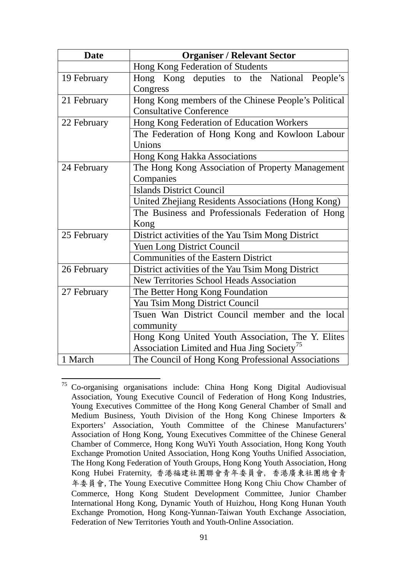| <b>Date</b> | <b>Organiser / Relevant Sector</b>                     |
|-------------|--------------------------------------------------------|
|             | Hong Kong Federation of Students                       |
| 19 February | Hong Kong deputies to the National People's            |
|             | Congress                                               |
| 21 February | Hong Kong members of the Chinese People's Political    |
|             | <b>Consultative Conference</b>                         |
| 22 February | Hong Kong Federation of Education Workers              |
|             | The Federation of Hong Kong and Kowloon Labour         |
|             | Unions                                                 |
|             | Hong Kong Hakka Associations                           |
| 24 February | The Hong Kong Association of Property Management       |
|             | Companies                                              |
|             | <b>Islands District Council</b>                        |
|             | United Zhejiang Residents Associations (Hong Kong)     |
|             | The Business and Professionals Federation of Hong      |
|             | Kong                                                   |
| 25 February | District activities of the Yau Tsim Mong District      |
|             | <b>Yuen Long District Council</b>                      |
|             | <b>Communities of the Eastern District</b>             |
| 26 February | District activities of the Yau Tsim Mong District      |
|             | <b>New Territories School Heads Association</b>        |
| 27 February | The Better Hong Kong Foundation                        |
|             | Yau Tsim Mong District Council                         |
|             | Tsuen Wan District Council member and the local        |
|             | community                                              |
|             | Hong Kong United Youth Association, The Y. Elites      |
|             | Association Limited and Hua Jing Society <sup>75</sup> |
| 1 March     | The Council of Hong Kong Professional Associations     |

<span id="page-93-0"></span><sup>&</sup>lt;sup>75</sup> Co-organising organisations include: China Hong Kong Digital Audiovisual Association, Young Executive Council of Federation of Hong Kong Industries, Young Executives Committee of the Hong Kong General Chamber of Small and Medium Business, Youth Division of the Hong Kong Chinese Importers & Exporters' Association, Youth Committee of the Chinese Manufacturers' Association of Hong Kong, Young Executives Committee of the Chinese General Chamber of Commerce, Hong Kong WuYi Youth Association, Hong Kong Youth Exchange Promotion United Association, Hong Kong Youths Unified Association, The Hong Kong Federation of Youth Groups, Hong Kong Youth Association, Hong Kong Hubei Fraternity, 香港福建社團聯會青年委員會, 香港廣東社團總會青 年委員會, The Young Executive Committee Hong Kong Chiu Chow Chamber of Commerce, Hong Kong Student Development Committee, Junior Chamber International Hong Kong, Dynamic Youth of Huizhou, Hong Kong Hunan Youth Exchange Promotion, Hong Kong-Yunnan-Taiwan Youth Exchange Association, Federation of New Territories Youth and Youth-Online Association.

-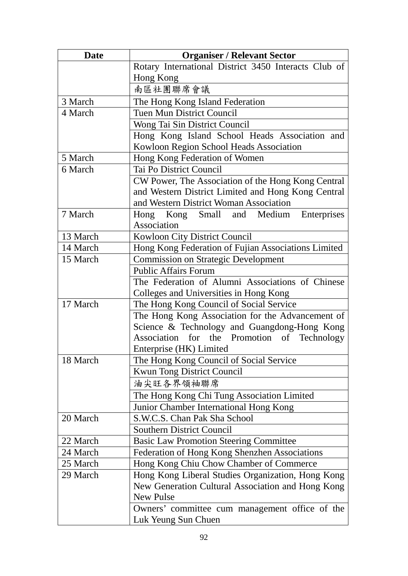| <b>Date</b> | <b>Organiser / Relevant Sector</b>                   |
|-------------|------------------------------------------------------|
|             | Rotary International District 3450 Interacts Club of |
|             | Hong Kong                                            |
|             | 南區社團聯席會議                                             |
| 3 March     | The Hong Kong Island Federation                      |
| 4 March     | <b>Tuen Mun District Council</b>                     |
|             | Wong Tai Sin District Council                        |
|             | Hong Kong Island School Heads Association and        |
|             | Kowloon Region School Heads Association              |
| 5 March     | Hong Kong Federation of Women                        |
| 6 March     | Tai Po District Council                              |
|             | CW Power, The Association of the Hong Kong Central   |
|             | and Western District Limited and Hong Kong Central   |
|             | and Western District Woman Association               |
| 7 March     | Hong Kong Small and Medium Enterprises               |
|             | Association                                          |
| 13 March    | Kowloon City District Council                        |
| 14 March    | Hong Kong Federation of Fujian Associations Limited  |
| 15 March    | <b>Commission on Strategic Development</b>           |
|             | <b>Public Affairs Forum</b>                          |
|             | The Federation of Alumni Associations of Chinese     |
|             | Colleges and Universities in Hong Kong               |
| 17 March    | The Hong Kong Council of Social Service              |
|             | The Hong Kong Association for the Advancement of     |
|             | Science & Technology and Guangdong-Hong Kong         |
|             | Association for the Promotion<br>of Technology       |
|             | Enterprise (HK) Limited                              |
| 18 March    | The Hong Kong Council of Social Service              |
|             | <b>Kwun Tong District Council</b>                    |
|             | 油尖旺各界領袖聯席                                            |
|             | The Hong Kong Chi Tung Association Limited           |
|             | Junior Chamber International Hong Kong               |
| 20 March    | S.W.C.S. Chan Pak Sha School                         |
|             | <b>Southern District Council</b>                     |
| 22 March    | <b>Basic Law Promotion Steering Committee</b>        |
| 24 March    | Federation of Hong Kong Shenzhen Associations        |
| 25 March    | Hong Kong Chiu Chow Chamber of Commerce              |
| 29 March    | Hong Kong Liberal Studies Organization, Hong Kong    |
|             | New Generation Cultural Association and Hong Kong    |
|             | New Pulse                                            |
|             | Owners' committee cum management office of the       |
|             | Luk Yeung Sun Chuen                                  |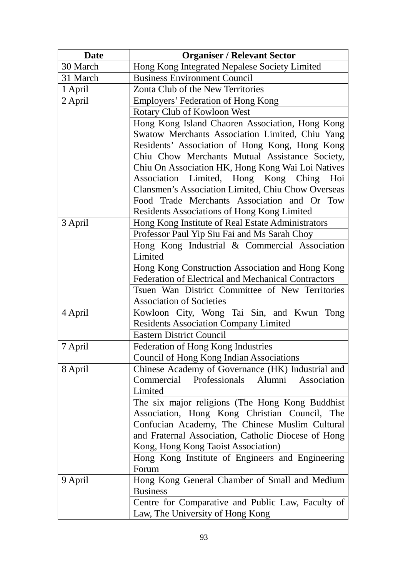| <b>Date</b> | <b>Organiser / Relevant Sector</b>                  |
|-------------|-----------------------------------------------------|
| 30 March    | Hong Kong Integrated Nepalese Society Limited       |
| 31 March    | <b>Business Environment Council</b>                 |
| 1 April     | Zonta Club of the New Territories                   |
| 2 April     | Employers' Federation of Hong Kong                  |
|             | Rotary Club of Kowloon West                         |
|             | Hong Kong Island Chaoren Association, Hong Kong     |
|             | Swatow Merchants Association Limited, Chiu Yang     |
|             | Residents' Association of Hong Kong, Hong Kong      |
|             | Chiu Chow Merchants Mutual Assistance Society,      |
|             | Chiu On Association HK, Hong Kong Wai Loi Natives   |
|             | Association Limited, Hong Kong Ching<br>Hoi         |
|             | Clansmen's Association Limited, Chiu Chow Overseas  |
|             | Food Trade Merchants Association and Or Tow         |
|             | Residents Associations of Hong Kong Limited         |
| 3 April     | Hong Kong Institute of Real Estate Administrators   |
|             | Professor Paul Yip Siu Fai and Ms Sarah Choy        |
|             | Hong Kong Industrial & Commercial Association       |
|             | Limited                                             |
|             | Hong Kong Construction Association and Hong Kong    |
|             | Federation of Electrical and Mechanical Contractors |
|             | Tsuen Wan District Committee of New Territories     |
|             | <b>Association of Societies</b>                     |
| 4 April     | Kowloon City, Wong Tai Sin, and Kwun Tong           |
|             | <b>Residents Association Company Limited</b>        |
|             | <b>Eastern District Council</b>                     |
| 7 April     | Federation of Hong Kong Industries                  |
|             | Council of Hong Kong Indian Associations            |
| 8 April     | Chinese Academy of Governance (HK) Industrial and   |
|             | Commercial Professionals Alumni<br>Association      |
|             | Limited                                             |
|             | The six major religions (The Hong Kong Buddhist)    |
|             | Association, Hong Kong Christian Council, The       |
|             | Confucian Academy, The Chinese Muslim Cultural      |
|             | and Fraternal Association, Catholic Diocese of Hong |
|             | Kong, Hong Kong Taoist Association)                 |
|             | Hong Kong Institute of Engineers and Engineering    |
|             | Forum                                               |
| 9 April     | Hong Kong General Chamber of Small and Medium       |
|             | <b>Business</b>                                     |
|             | Centre for Comparative and Public Law, Faculty of   |
|             | Law, The University of Hong Kong                    |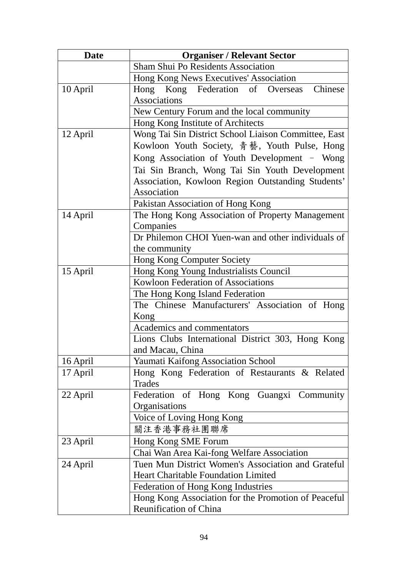| <b>Date</b> | <b>Organiser / Relevant Sector</b>                   |
|-------------|------------------------------------------------------|
|             | Sham Shui Po Residents Association                   |
|             | Hong Kong News Executives' Association               |
| 10 April    | Chinese<br>Hong Kong Federation of Overseas          |
|             | <b>Associations</b>                                  |
|             | New Century Forum and the local community            |
|             | Hong Kong Institute of Architects                    |
| 12 April    | Wong Tai Sin District School Liaison Committee, East |
|             | Kowloon Youth Society, 青藝, Youth Pulse, Hong         |
|             | Kong Association of Youth Development - Wong         |
|             | Tai Sin Branch, Wong Tai Sin Youth Development       |
|             | Association, Kowloon Region Outstanding Students'    |
|             | Association                                          |
|             | Pakistan Association of Hong Kong                    |
| 14 April    | The Hong Kong Association of Property Management     |
|             | Companies                                            |
|             | Dr Philemon CHOI Yuen-wan and other individuals of   |
|             | the community                                        |
|             | <b>Hong Kong Computer Society</b>                    |
| 15 April    | Hong Kong Young Industrialists Council               |
|             | Kowloon Federation of Associations                   |
|             | The Hong Kong Island Federation                      |
|             | The Chinese Manufacturers' Association of Hong       |
|             | Kong                                                 |
|             | Academics and commentators                           |
|             | Lions Clubs International District 303, Hong Kong    |
|             | and Macau, China                                     |
| 16 April    | <b>Yaumati Kaifong Association School</b>            |
| 17 April    | Hong Kong Federation of Restaurants & Related        |
|             | <b>Trades</b>                                        |
| 22 April    | Federation of Hong Kong Guangxi Community            |
|             | Organisations                                        |
|             | Voice of Loving Hong Kong                            |
|             | 關注香港事務社團聯席                                           |
| 23 April    | Hong Kong SME Forum                                  |
|             | Chai Wan Area Kai-fong Welfare Association           |
| 24 April    | Tuen Mun District Women's Association and Grateful   |
|             | <b>Heart Charitable Foundation Limited</b>           |
|             | Federation of Hong Kong Industries                   |
|             | Hong Kong Association for the Promotion of Peaceful  |
|             | Reunification of China                               |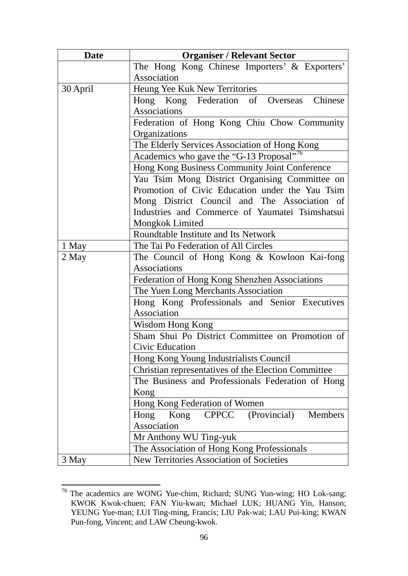| <b>Date</b> | <b>Organiser / Relevant Sector</b>                           |
|-------------|--------------------------------------------------------------|
|             | The Hong Kong Chinese Importers' & Exporters'                |
|             | Association                                                  |
| 30 April    | Heung Yee Kuk New Territories                                |
|             | Hong Kong Federation of Overseas Chinese                     |
|             | Associations                                                 |
|             | Federation of Hong Kong Chiu Chow Community                  |
|             | Organizations                                                |
|             | The Elderly Services Association of Hong Kong                |
|             | Academics who gave the "G-13 Proposal" <sup>76</sup>         |
|             | Hong Kong Business Community Joint Conference                |
|             | Yau Tsim Mong District Organising Committee on               |
|             | Promotion of Civic Education under the Yau Tsim              |
|             | Mong District Council and The Association of                 |
|             | Industries and Commerce of Yaumatei Tsimshatsui              |
|             | Mongkok Limited                                              |
|             | Roundtable Institute and Its Network                         |
| 1 May       | The Tai Po Federation of All Circles                         |
| 2 May       | The Council of Hong Kong & Kowloon Kai-fong                  |
|             | Associations                                                 |
|             | Federation of Hong Kong Shenzhen Associations                |
|             | The Yuen Long Merchants Association                          |
|             | Hong Kong Professionals and Senior Executives<br>Association |
|             | Wisdom Hong Kong                                             |
|             | Sham Shui Po District Committee on Promotion of              |
|             | Civic Education                                              |
|             | Hong Kong Young Industrialists Council                       |
|             | Christian representatives of the Election Committee          |
|             | The Business and Professionals Federation of Hong            |
|             | Kong                                                         |
|             | Hong Kong Federation of Women                                |
|             | (Provincial)<br>Members<br><b>CPPCC</b><br>Hong<br>Kong      |
|             | Association                                                  |
|             | Mr Anthony WU Ting-yuk                                       |
|             | The Association of Hong Kong Professionals                   |
| 3 May       | New Territories Association of Societies                     |

<span id="page-98-0"></span><sup>&</sup>lt;sup>76</sup> The academics are WONG Yue-chim, Richard; SUNG Yun-wing; HO Lok-sang; KWOK Kwok-chuen; FAN Yiu-kwan; Michael LUK; HUANG Yin, Hanson; YEUNG Yue-man; LUI Ting-ming, Francis; LIU Pak-wai; LAU Pui-king; KWAN Pun-fong, Vincent; and LAW Cheung-kwok.

1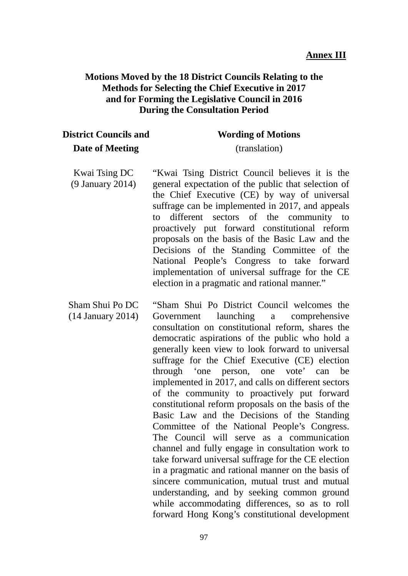#### **Motions Moved by the 18 District Councils Relating to the Methods for Selecting the Chief Executive in 2017 and for Forming the Legislative Council in 2016 During the Consultation Period**

| <b>District Councils and</b> |  |
|------------------------------|--|
| Date of Meeting              |  |

# **Wording of Motions**

(translation)

- Kwai Tsing DC (9 January 2014) "Kwai Tsing District Council believes it is the general expectation of the public that selection of the Chief Executive (CE) by way of universal suffrage can be implemented in 2017, and appeals to different sectors of the community to proactively put forward constitutional reform proposals on the basis of the Basic Law and the Decisions of the Standing Committee of the National People's Congress to take forward implementation of universal suffrage for the CE election in a pragmatic and rational manner."
- Sham Shui Po DC (14 January 2014) "Sham Shui Po District Council welcomes the Government launching a comprehensive consultation on constitutional reform, shares the democratic aspirations of the public who hold a generally keen view to look forward to universal suffrage for the Chief Executive (CE) election through 'one person, one vote' can be implemented in 2017, and calls on different sectors of the community to proactively put forward constitutional reform proposals on the basis of the Basic Law and the Decisions of the Standing Committee of the National People's Congress. The Council will serve as a communication channel and fully engage in consultation work to take forward universal suffrage for the CE election in a pragmatic and rational manner on the basis of sincere communication, mutual trust and mutual understanding, and by seeking common ground while accommodating differences, so as to roll forward Hong Kong's constitutional development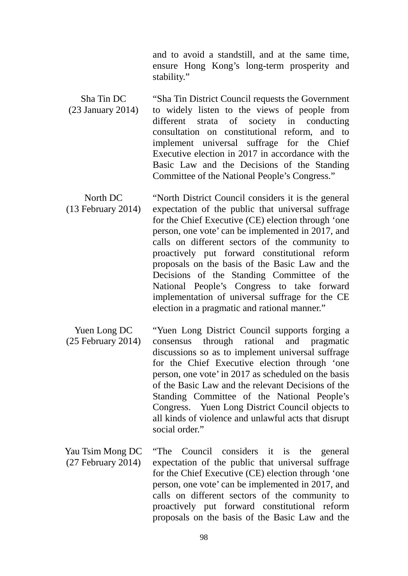and to avoid a standstill, and at the same time, ensure Hong Kong's long-term prosperity and stability."

- Sha Tin DC (23 January 2014) "Sha Tin District Council requests the Government to widely listen to the views of people from different strata of society in conducting consultation on constitutional reform, and to implement universal suffrage for the Chief Executive election in 2017 in accordance with the Basic Law and the Decisions of the Standing Committee of the National People's Congress."
- North DC (13 February 2014) "North District Council considers it is the general expectation of the public that universal suffrage for the Chief Executive (CE) election through 'one person, one vote' can be implemented in 2017, and calls on different sectors of the community to proactively put forward constitutional reform proposals on the basis of the Basic Law and the Decisions of the Standing Committee of the National People's Congress to take forward implementation of universal suffrage for the CE election in a pragmatic and rational manner."
- Yuen Long DC (25 February 2014) "Yuen Long District Council supports forging a consensus through rational and pragmatic discussions so as to implement universal suffrage for the Chief Executive election through 'one person, one vote' in 2017 as scheduled on the basis of the Basic Law and the relevant Decisions of the Standing Committee of the National People's Congress. Yuen Long District Council objects to all kinds of violence and unlawful acts that disrupt social order."
- Yau Tsim Mong DC (27 February 2014) "The Council considers it is the general expectation of the public that universal suffrage for the Chief Executive (CE) election through 'one person, one vote' can be implemented in 2017, and calls on different sectors of the community to proactively put forward constitutional reform proposals on the basis of the Basic Law and the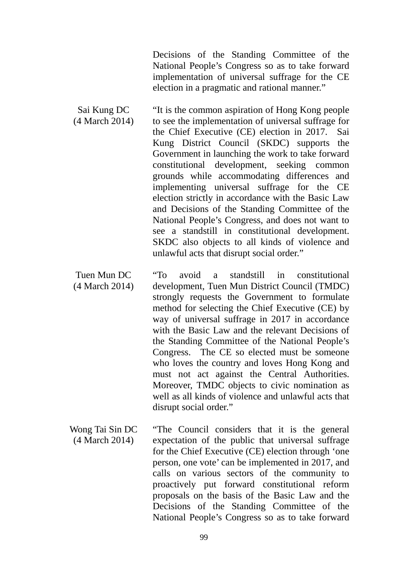Decisions of the Standing Committee of the National People's Congress so as to take forward implementation of universal suffrage for the CE election in a pragmatic and rational manner."

- Sai Kung DC (4 March 2014) "It is the common aspiration of Hong Kong people to see the implementation of universal suffrage for the Chief Executive (CE) election in 2017. Sai Kung District Council (SKDC) supports the Government in launching the work to take forward constitutional development, seeking common grounds while accommodating differences and implementing universal suffrage for the CE election strictly in accordance with the Basic Law and Decisions of the Standing Committee of the National People's Congress, and does not want to see a standstill in constitutional development. SKDC also objects to all kinds of violence and unlawful acts that disrupt social order."
- Tuen Mun DC (4 March 2014) "To avoid a standstill in constitutional development, Tuen Mun District Council (TMDC) strongly requests the Government to formulate method for selecting the Chief Executive (CE) by way of universal suffrage in 2017 in accordance with the Basic Law and the relevant Decisions of the Standing Committee of the National People's Congress. The CE so elected must be someone who loves the country and loves Hong Kong and must not act against the Central Authorities. Moreover, TMDC objects to civic nomination as well as all kinds of violence and unlawful acts that disrupt social order."
- Wong Tai Sin DC (4 March 2014) "The Council considers that it is the general expectation of the public that universal suffrage for the Chief Executive (CE) election through 'one person, one vote' can be implemented in 2017, and calls on various sectors of the community to proactively put forward constitutional reform proposals on the basis of the Basic Law and the Decisions of the Standing Committee of the National People's Congress so as to take forward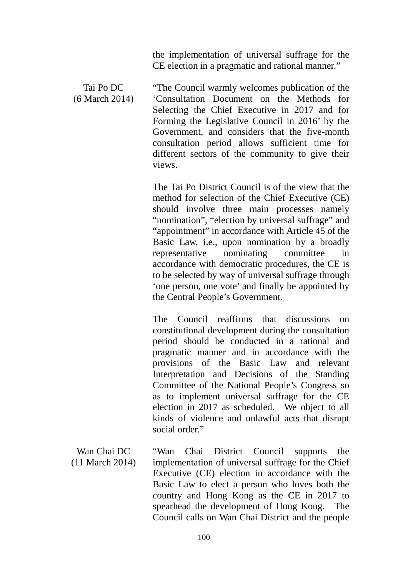the implementation of universal suffrage for the CE election in a pragmatic and rational manner."

Tai Po DC (6 March 2014) "The Council warmly welcomes publication of the 'Consultation Document on the Methods for Selecting the Chief Executive in 2017 and for Forming the Legislative Council in 2016' by the Government, and considers that the five-month consultation period allows sufficient time for different sectors of the community to give their views.

> The Tai Po District Council is of the view that the method for selection of the Chief Executive (CE) should involve three main processes namely "nomination", "election by universal suffrage" and "appointment" in accordance with Article 45 of the Basic Law, i.e., upon nomination by a broadly representative nominating committee in accordance with democratic procedures, the CE is to be selected by way of universal suffrage through 'one person, one vote' and finally be appointed by the Central People's Government.

> The Council reaffirms that discussions on constitutional development during the consultation period should be conducted in a rational and pragmatic manner and in accordance with the provisions of the Basic Law and relevant Interpretation and Decisions of the Standing Committee of the National People's Congress so as to implement universal suffrage for the CE election in 2017 as scheduled. We object to all kinds of violence and unlawful acts that disrupt social order."

Wan Chai DC (11 March 2014) "Wan Chai District Council supports the implementation of universal suffrage for the Chief Executive (CE) election in accordance with the Basic Law to elect a person who loves both the country and Hong Kong as the CE in 2017 to spearhead the development of Hong Kong. The Council calls on Wan Chai District and the people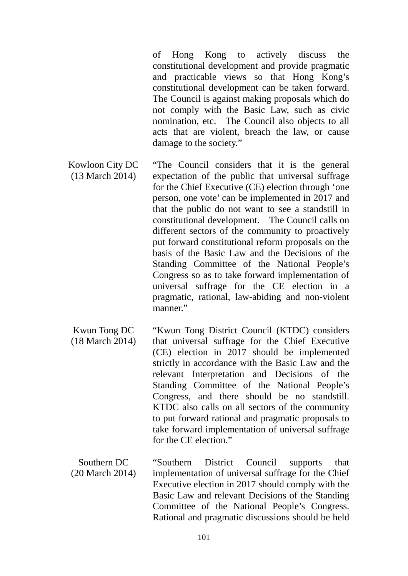of Hong Kong to actively discuss the constitutional development and provide pragmatic and practicable views so that Hong Kong's constitutional development can be taken forward. The Council is against making proposals which do not comply with the Basic Law, such as civic nomination, etc. The Council also objects to all acts that are violent, breach the law, or cause damage to the society."

- Kowloon City DC (13 March 2014) "The Council considers that it is the general expectation of the public that universal suffrage for the Chief Executive (CE) election through 'one person, one vote' can be implemented in 2017 and that the public do not want to see a standstill in constitutional development. The Council calls on different sectors of the community to proactively put forward constitutional reform proposals on the basis of the Basic Law and the Decisions of the Standing Committee of the National People's Congress so as to take forward implementation of universal suffrage for the CE election in a pragmatic, rational, law-abiding and non-violent manner."
- Kwun Tong DC (18 March 2014) "Kwun Tong District Council (KTDC) considers that universal suffrage for the Chief Executive (CE) election in 2017 should be implemented strictly in accordance with the Basic Law and the relevant Interpretation and Decisions of the Standing Committee of the National People's Congress, and there should be no standstill. KTDC also calls on all sectors of the community to put forward rational and pragmatic proposals to take forward implementation of universal suffrage for the CE election"

Southern DC (20 March 2014) "Southern District Council supports that implementation of universal suffrage for the Chief Executive election in 2017 should comply with the Basic Law and relevant Decisions of the Standing Committee of the National People's Congress. Rational and pragmatic discussions should be held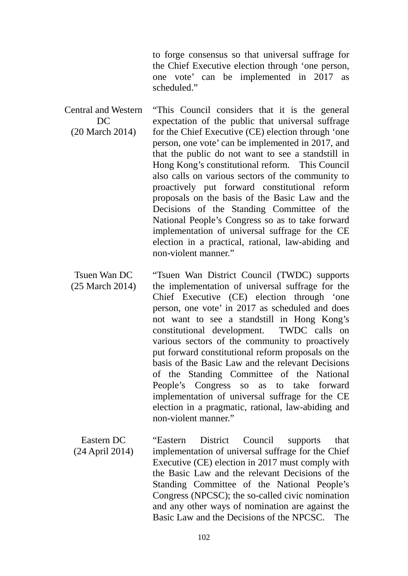to forge consensus so that universal suffrage for the Chief Executive election through 'one person, one vote' can be implemented in 2017 as scheduled."

Central and Western  $DC$ (20 March 2014) "This Council considers that it is the general expectation of the public that universal suffrage for the Chief Executive (CE) election through 'one person, one vote' can be implemented in 2017, and that the public do not want to see a standstill in Hong Kong's constitutional reform. This Council also calls on various sectors of the community to proactively put forward constitutional reform proposals on the basis of the Basic Law and the Decisions of the Standing Committee of the National People's Congress so as to take forward implementation of universal suffrage for the CE election in a practical, rational, law-abiding and non-violent manner."

Tsuen Wan DC (25 March 2014) "Tsuen Wan District Council (TWDC) supports the implementation of universal suffrage for the Chief Executive (CE) election through 'one person, one vote' in 2017 as scheduled and does not want to see a standstill in Hong Kong's constitutional development. TWDC calls on various sectors of the community to proactively put forward constitutional reform proposals on the basis of the Basic Law and the relevant Decisions of the Standing Committee of the National People's Congress so as to take forward implementation of universal suffrage for the CE election in a pragmatic, rational, law-abiding and non-violent manner."

Eastern DC (24 April 2014) "Eastern District Council supports that implementation of universal suffrage for the Chief Executive (CE) election in 2017 must comply with the Basic Law and the relevant Decisions of the Standing Committee of the National People's Congress (NPCSC); the so-called civic nomination and any other ways of nomination are against the Basic Law and the Decisions of the NPCSC. The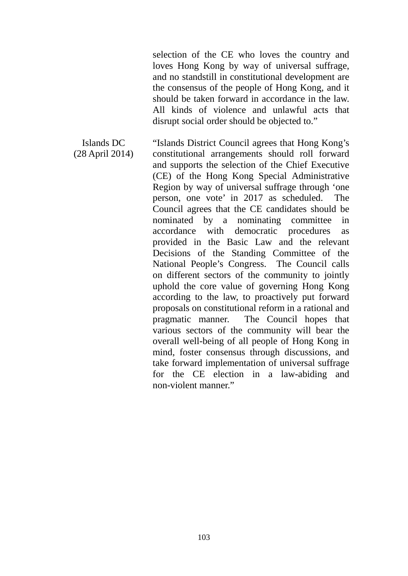selection of the CE who loves the country and loves Hong Kong by way of universal suffrage, and no standstill in constitutional development are the consensus of the people of Hong Kong, and it should be taken forward in accordance in the law. All kinds of violence and unlawful acts that disrupt social order should be objected to."

Islands DC (28 April 2014) "Islands District Council agrees that Hong Kong's constitutional arrangements should roll forward and supports the selection of the Chief Executive (CE) of the Hong Kong Special Administrative Region by way of universal suffrage through 'one person, one vote' in 2017 as scheduled. The Council agrees that the CE candidates should be nominated by a nominating committee in accordance with democratic procedures as provided in the Basic Law and the relevant Decisions of the Standing Committee of the National People's Congress. The Council calls on different sectors of the community to jointly uphold the core value of governing Hong Kong according to the law, to proactively put forward proposals on constitutional reform in a rational and pragmatic manner. The Council hopes that various sectors of the community will bear the overall well-being of all people of Hong Kong in mind, foster consensus through discussions, and take forward implementation of universal suffrage for the CE election in a law-abiding and non-violent manner."